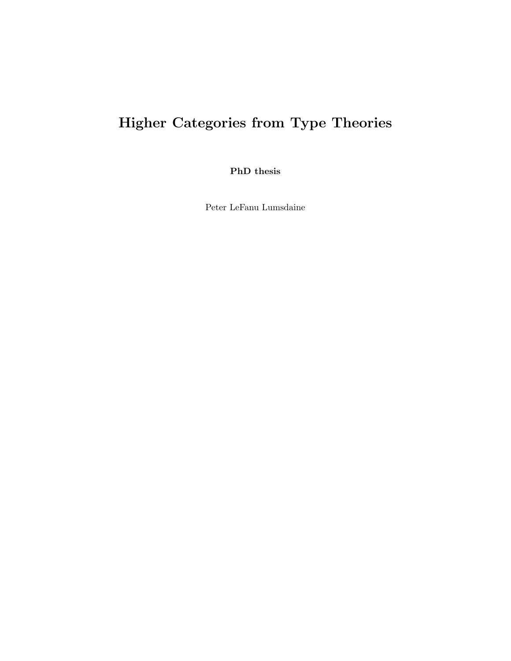# Higher Categories from Type Theories

PhD thesis

Peter LeFanu Lumsdaine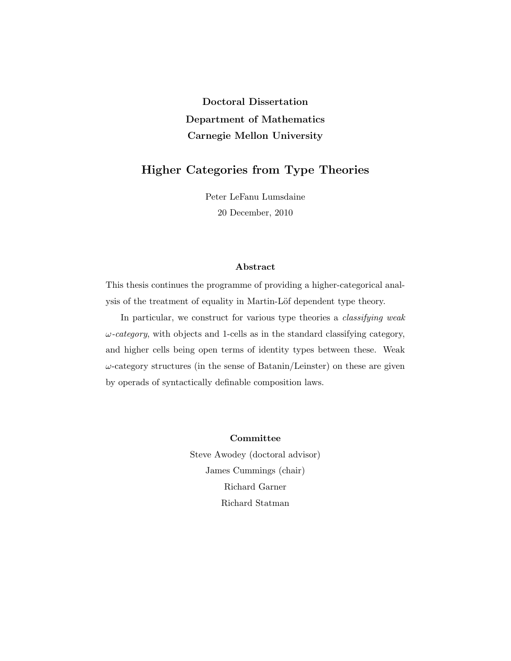# Doctoral Dissertation Department of Mathematics Carnegie Mellon University

# Higher Categories from Type Theories

Peter LeFanu Lumsdaine 20 December, 2010

### Abstract

This thesis continues the programme of providing a higher-categorical analysis of the treatment of equality in Martin-Löf dependent type theory.

In particular, we construct for various type theories a *classifying weak*  $\omega$ -category, with objects and 1-cells as in the standard classifying category, and higher cells being open terms of identity types between these. Weak  $\omega$ -category structures (in the sense of Batanin/Leinster) on these are given by operads of syntactically definable composition laws.

> Committee Steve Awodey (doctoral advisor) James Cummings (chair)

> > Richard Garner Richard Statman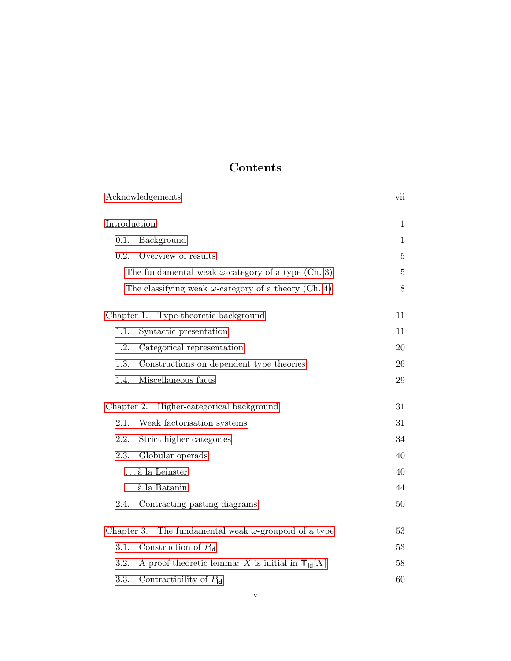# Contents

| Acknowledgements                                                    | vii          |
|---------------------------------------------------------------------|--------------|
| Introduction                                                        | $\mathbf{1}$ |
| 0.1.<br>Background                                                  | $\mathbf{1}$ |
| Overview of results<br>0.2.                                         | $\bf 5$      |
| The fundamental weak $\omega$ -category of a type (Ch. 3)           | $\bf 5$      |
| The classifying weak $\omega$ -category of a theory (Ch. 4)         | $8\,$        |
| Chapter 1. Type-theoretic background                                | 11           |
| 1.1.<br>Syntactic presentation                                      | 11           |
| 1.2.<br>Categorical representation                                  | 20           |
| 1.3.<br>Constructions on dependent type theories                    | 26           |
| Miscellaneous facts<br>1.4.                                         | 29           |
| Higher-categorical background<br>Chapter 2.                         | 31           |
| Weak factorisation systems<br>2.1.                                  | 31           |
| 2.2.<br>Strict higher categories                                    | 34           |
| 2.3.<br>Globular operads                                            | 40           |
| $\ldots$ à la Leinster                                              | 40           |
| à la Batanin                                                        | 44           |
| Contracting pasting diagrams<br>2.4.                                | 50           |
| The fundamental weak $\omega$ -groupoid of a type<br>Chapter 3.     | 53           |
| Construction of $P_{\text{Id}}$<br>3.1.                             | 53           |
| A proof-theoretic lemma: X is initial in $T_{\text{Id}}[X]$<br>3.2. | 58           |
| 3.3.<br>Contractibility of $P_{\text{Id}}$                          | 60           |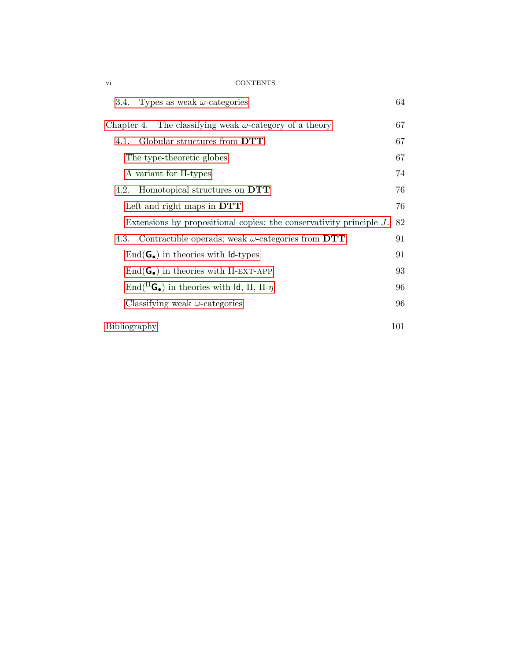### vi CONTENTS

| 3.4. Types as weak $\omega$ -categories                                           | 64  |
|-----------------------------------------------------------------------------------|-----|
| Chapter 4. The classifying weak $\omega$ -category of a theory                    | 67  |
| Globular structures from DTT<br>4.1.                                              | 67  |
| The type-theoretic globes                                                         | 67  |
| A variant for II-types                                                            | 74  |
| Homotopical structures on DTT<br>4.2.                                             | 76  |
| Left and right maps in $DTT$                                                      | 76  |
| Extensions by propositional copies: the conservativity principle $\overline{J}$ . | 82  |
| Contractible operads; weak $\omega$ -categories from DTT<br>4.3.                  | 91  |
| $\text{End}(\mathbf{G}_{\bullet})$ in theories with $\mathsf{Id}\text{-types}$    | 91  |
| $\text{End}(\mathbf{G}_{\bullet})$ in theories with $\Pi$ -EXT-APP                | 93  |
| End( ${}^{\Pi}$ G <sub>o</sub> ) in theories with ld, $\Pi$ , $\Pi$ - $\eta$      | 96  |
| Classifying weak $\omega$ -categories                                             | 96  |
| Bibliography                                                                      | 101 |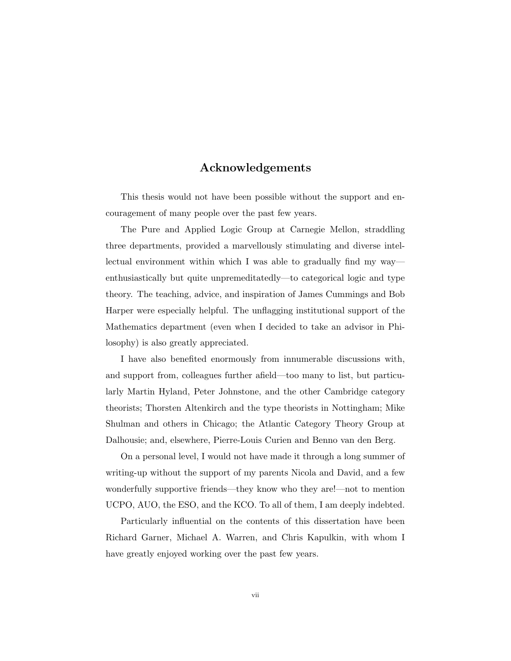## Acknowledgements

<span id="page-6-1"></span><span id="page-6-0"></span>This thesis would not have been possible without the support and encouragement of many people over the past few years.

The Pure and Applied Logic Group at Carnegie Mellon, straddling three departments, provided a marvellously stimulating and diverse intellectual environment within which I was able to gradually find my way enthusiastically but quite unpremeditatedly—to categorical logic and type theory. The teaching, advice, and inspiration of James Cummings and Bob Harper were especially helpful. The unflagging institutional support of the Mathematics department (even when I decided to take an advisor in Philosophy) is also greatly appreciated.

I have also benefited enormously from innumerable discussions with, and support from, colleagues further afield—too many to list, but particularly Martin Hyland, Peter Johnstone, and the other Cambridge category theorists; Thorsten Altenkirch and the type theorists in Nottingham; Mike Shulman and others in Chicago; the Atlantic Category Theory Group at Dalhousie; and, elsewhere, Pierre-Louis Curien and Benno van den Berg.

On a personal level, I would not have made it through a long summer of writing-up without the support of my parents Nicola and David, and a few wonderfully supportive friends—they know who they are!—not to mention UCPO, AUO, the ESO, and the KCO. To all of them, I am deeply indebted.

Particularly influential on the contents of this dissertation have been Richard Garner, Michael A. Warren, and Chris Kapulkin, with whom I have greatly enjoyed working over the past few years.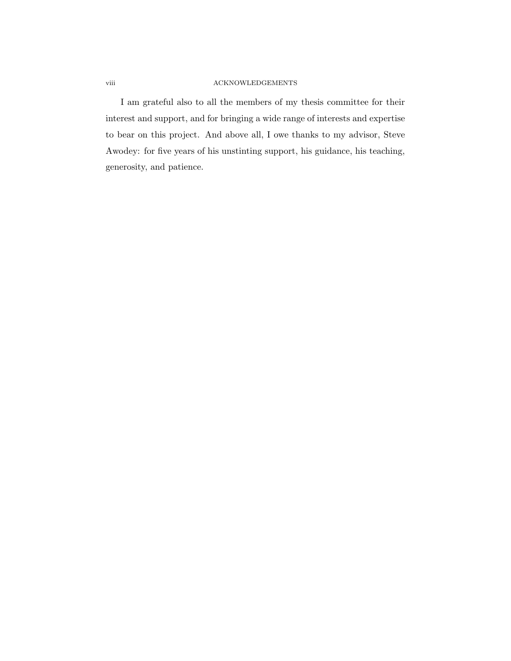### viii ACKNOWLEDGEMENTS

I am grateful also to all the members of my thesis committee for their interest and support, and for bringing a wide range of interests and expertise to bear on this project. And above all, I owe thanks to my advisor, Steve Awodey: for five years of his unstinting support, his guidance, his teaching, generosity, and patience.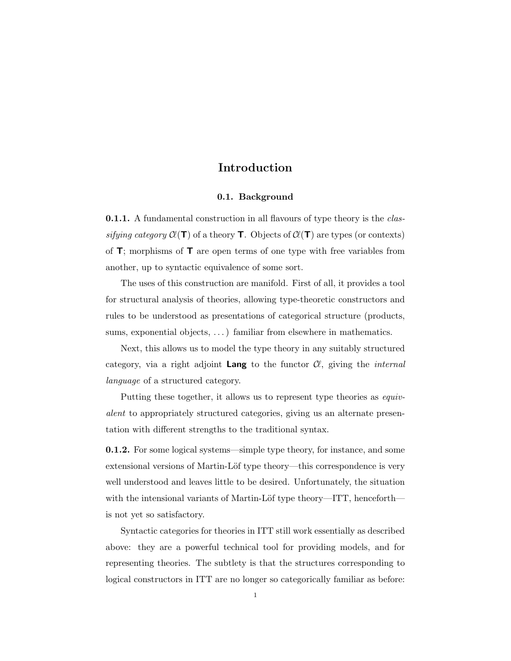# Introduction

#### 0.1. Background

<span id="page-8-0"></span>**0.1.1.** A fundamental construction in all flavours of type theory is the *clas*sifying category  $\mathcal{C}(\mathsf{T})$  of a theory **T**. Objects of  $\mathcal{C}(\mathsf{T})$  are types (or contexts) of  $\mathsf{T}$ ; morphisms of  $\mathsf{T}$  are open terms of one type with free variables from another, up to syntactic equivalence of some sort.

The uses of this construction are manifold. First of all, it provides a tool for structural analysis of theories, allowing type-theoretic constructors and rules to be understood as presentations of categorical structure (products, sums, exponential objects, ...) familiar from elsewhere in mathematics.

Next, this allows us to model the type theory in any suitably structured category, via a right adjoint **Lang** to the functor  $\mathcal{C}$ , giving the *internal* language of a structured category.

Putting these together, it allows us to represent type theories as equivalent to appropriately structured categories, giving us an alternate presentation with different strengths to the traditional syntax.

0.1.2. For some logical systems—simple type theory, for instance, and some extensional versions of Martin-Löf type theory—this correspondence is very well understood and leaves little to be desired. Unfortunately, the situation with the intensional variants of Martin-Löf type theory—ITT, henceforth is not yet so satisfactory.

Syntactic categories for theories in ITT still work essentially as described above: they are a powerful technical tool for providing models, and for representing theories. The subtlety is that the structures corresponding to logical constructors in ITT are no longer so categorically familiar as before: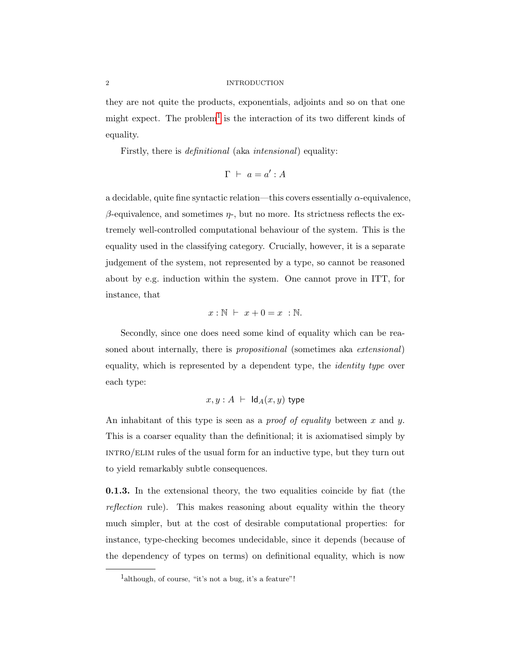#### 2 INTRODUCTION

they are not quite the products, exponentials, adjoints and so on that one might expect. The problem<sup>[1](#page-9-0)</sup> is the interaction of its two different kinds of equality.

Firstly, there is *definitional* (aka *intensional*) equality:

$$
\Gamma ~\vdash~ a = a' : A
$$

a decidable, quite fine syntactic relation—this covers essentially  $\alpha$ -equivalence,  $β$ -equivalence, and sometimes  $η$ -, but no more. Its strictness reflects the extremely well-controlled computational behaviour of the system. This is the equality used in the classifying category. Crucially, however, it is a separate judgement of the system, not represented by a type, so cannot be reasoned about by e.g. induction within the system. One cannot prove in ITT, for instance, that

$$
x:\mathbb{N} \ \vdash \ x+0=x \ : \mathbb{N}.
$$

Secondly, since one does need some kind of equality which can be reasoned about internally, there is *propositional* (sometimes aka *extensional*) equality, which is represented by a dependent type, the identity type over each type:

$$
x, y : A \ \vdash \ \mathsf{Id}_A(x, y) \ \mathsf{type}
$$

An inhabitant of this type is seen as a *proof of equality* between x and y. This is a coarser equality than the definitional; it is axiomatised simply by INTRO/ELIM rules of the usual form for an inductive type, but they turn out to yield remarkably subtle consequences.

0.1.3. In the extensional theory, the two equalities coincide by fiat (the reflection rule). This makes reasoning about equality within the theory much simpler, but at the cost of desirable computational properties: for instance, type-checking becomes undecidable, since it depends (because of the dependency of types on terms) on definitional equality, which is now

<span id="page-9-0"></span><sup>&</sup>lt;sup>1</sup>although, of course, "it's not a bug, it's a feature"!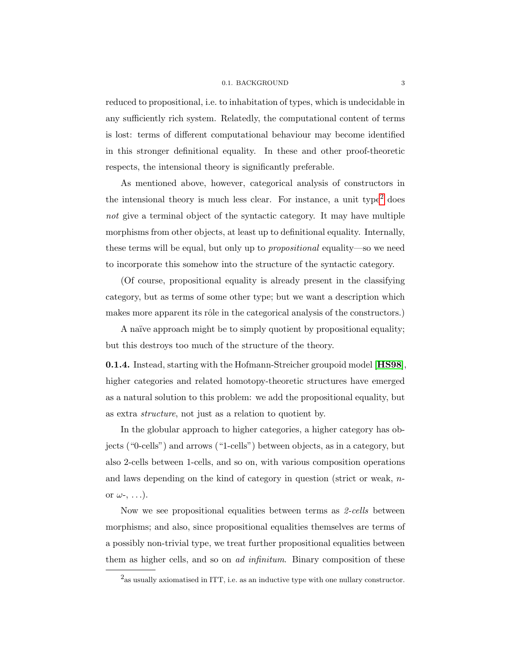#### 0.1. BACKGROUND 3

reduced to propositional, i.e. to inhabitation of types, which is undecidable in any sufficiently rich system. Relatedly, the computational content of terms is lost: terms of different computational behaviour may become identified in this stronger definitional equality. In these and other proof-theoretic respects, the intensional theory is significantly preferable.

As mentioned above, however, categorical analysis of constructors in the intensional theory is much less clear. For instance, a unit type<sup>[2](#page-10-0)</sup> does not give a terminal object of the syntactic category. It may have multiple morphisms from other objects, at least up to definitional equality. Internally, these terms will be equal, but only up to propositional equality—so we need to incorporate this somehow into the structure of the syntactic category.

(Of course, propositional equality is already present in the classifying category, but as terms of some other type; but we want a description which makes more apparent its rôle in the categorical analysis of the constructors.)

A naïve approach might be to simply quotient by propositional equality; but this destroys too much of the structure of the theory.

0.1.4. Instead, starting with the Hofmann-Streicher groupoid model [[HS98](#page-109-0)], higher categories and related homotopy-theoretic structures have emerged as a natural solution to this problem: we add the propositional equality, but as extra structure, not just as a relation to quotient by.

In the globular approach to higher categories, a higher category has objects ("0-cells") and arrows ("1-cells") between objects, as in a category, but also 2-cells between 1-cells, and so on, with various composition operations and laws depending on the kind of category in question (strict or weak, nor  $\omega$ -, ...).

Now we see propositional equalities between terms as 2-cells between morphisms; and also, since propositional equalities themselves are terms of a possibly non-trivial type, we treat further propositional equalities between them as higher cells, and so on ad infinitum. Binary composition of these

<span id="page-10-0"></span> $2<sub>as</sub>$  usually axiomatised in ITT, i.e. as an inductive type with one nullary constructor.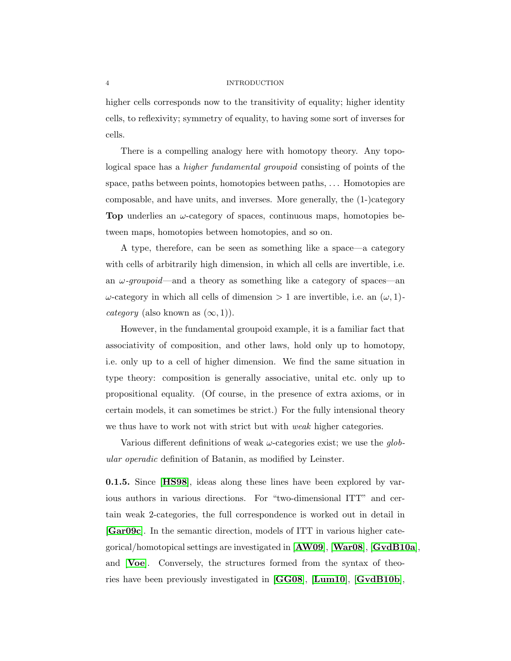#### 4 INTRODUCTION

higher cells corresponds now to the transitivity of equality; higher identity cells, to reflexivity; symmetry of equality, to having some sort of inverses for cells.

There is a compelling analogy here with homotopy theory. Any topological space has a higher fundamental groupoid consisting of points of the space, paths between points, homotopies between paths, . . . Homotopies are composable, and have units, and inverses. More generally, the (1-)category **Top** underlies an  $\omega$ -category of spaces, continuous maps, homotopies between maps, homotopies between homotopies, and so on.

A type, therefore, can be seen as something like a space—a category with cells of arbitrarily high dimension, in which all cells are invertible, i.e. an  $\omega$ -groupoid—and a theory as something like a category of spaces—an  $ω$ -category in which all cells of dimension > 1 are invertible, i.e. an  $(ω, 1)$ category (also known as  $(\infty, 1)$ ).

However, in the fundamental groupoid example, it is a familiar fact that associativity of composition, and other laws, hold only up to homotopy, i.e. only up to a cell of higher dimension. We find the same situation in type theory: composition is generally associative, unital etc. only up to propositional equality. (Of course, in the presence of extra axioms, or in certain models, it can sometimes be strict.) For the fully intensional theory we thus have to work not with strict but with *weak* higher categories.

Various different definitions of weak  $\omega$ -categories exist; we use the *qlob*ular operadic definition of Batanin, as modified by Leinster.

0.1.5. Since [[HS98](#page-109-0)], ideas along these lines have been explored by various authors in various directions. For "two-dimensional ITT" and certain weak 2-categories, the full correspondence is worked out in detail in [[Gar09c](#page-109-1)]. In the semantic direction, models of ITT in various higher categorical/homotopical settings are investigated in [[AW09](#page-108-0)], [[War08](#page-111-0)], [[GvdB10a](#page-109-2)], and [[Voe](#page-111-1)]. Conversely, the structures formed from the syntax of theories have been previously investigated in [[GG08](#page-109-3)], [[Lum10](#page-110-0)], [[GvdB10b](#page-109-4)],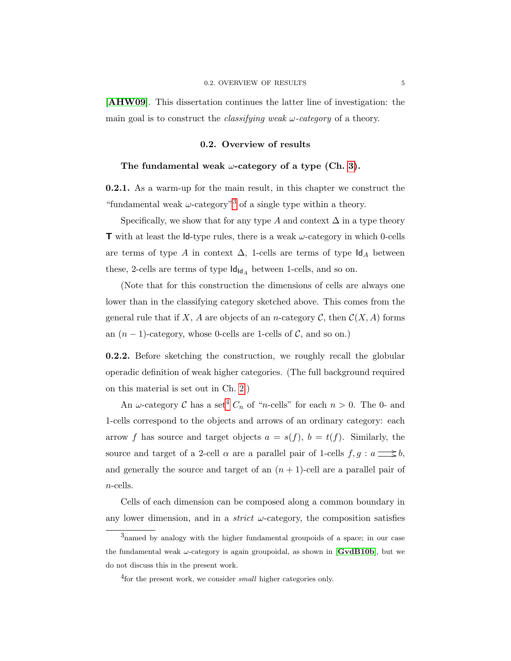[[AHW09](#page-108-1)]. This dissertation continues the latter line of investigation: the main goal is to construct the *classifying weak*  $\omega$ -*category* of a theory.

#### 0.2. Overview of results

#### <span id="page-12-1"></span><span id="page-12-0"></span>The fundamental weak  $\omega$ -category of a type (Ch. [3\)](#page-60-0).

0.2.1. As a warm-up for the main result, in this chapter we construct the "fundamental weak  $\omega$ -category"<sup>[3](#page-12-2)</sup> of a single type within a theory.

Specifically, we show that for any type A and context  $\Delta$  in a type theory **T** with at least the Id-type rules, there is a weak  $\omega$ -category in which 0-cells are terms of type A in context  $\Delta$ , 1-cells are terms of type  $\mathsf{Id}_A$  between these, 2-cells are terms of type  $\mathsf{Id}_{\mathsf{Id}_A}$  between 1-cells, and so on.

(Note that for this construction the dimensions of cells are always one lower than in the classifying category sketched above. This comes from the general rule that if X, A are objects of an n-category C, then  $\mathcal{C}(X, A)$  forms an  $(n-1)$ -category, whose 0-cells are 1-cells of  $\mathcal{C}$ , and so on.)

0.2.2. Before sketching the construction, we roughly recall the globular operadic definition of weak higher categories. (The full background required on this material is set out in Ch. [2.](#page-38-0))

An  $\omega$ -category  $\mathcal C$  has a set<sup>[4](#page-12-3)</sup>  $C_n$  of "*n*-cells" for each  $n > 0$ . The 0- and 1-cells correspond to the objects and arrows of an ordinary category: each arrow f has source and target objects  $a = s(f)$ ,  $b = t(f)$ . Similarly, the source and target of a 2-cell  $\alpha$  are a parallel pair of 1-cells  $f, g : a \longrightarrow b$ , and generally the source and target of an  $(n + 1)$ -cell are a parallel pair of n-cells.

Cells of each dimension can be composed along a common boundary in any lower dimension, and in a *strict*  $\omega$ -category, the composition satisfies

<span id="page-12-2"></span><sup>3</sup>named by analogy with the higher fundamental groupoids of a space; in our case the fundamental weak  $\omega$ -category is again groupoidal, as shown in [[GvdB10b](#page-109-4)], but we do not discuss this in the present work.

<span id="page-12-3"></span><sup>&</sup>lt;sup>4</sup> for the present work, we consider *small* higher categories only.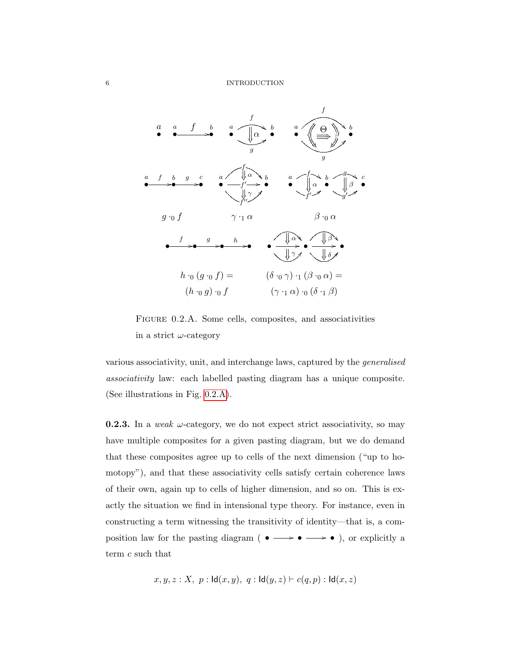

<span id="page-13-0"></span>Figure 0.2.A. Some cells, composites, and associativities in a strict  $\omega$ -category

various associativity, unit, and interchange laws, captured by the generalised associativity law: each labelled pasting diagram has a unique composite. (See illustrations in Fig. [0.2.A\)](#page-13-0).

**0.2.3.** In a weak  $\omega$ -category, we do not expect strict associativity, so may have multiple composites for a given pasting diagram, but we do demand that these composites agree up to cells of the next dimension ("up to homotopy"), and that these associativity cells satisfy certain coherence laws of their own, again up to cells of higher dimension, and so on. This is exactly the situation we find in intensional type theory. For instance, even in constructing a term witnessing the transitivity of identity—that is, a composition law for the pasting diagram (  $\bullet \longrightarrow \bullet \longrightarrow \bullet$  ), or explicitly a term c such that

$$
x, y, z : X, p : \text{Id}(x, y), q : \text{Id}(y, z) \vdash c(q, p) : \text{Id}(x, z)
$$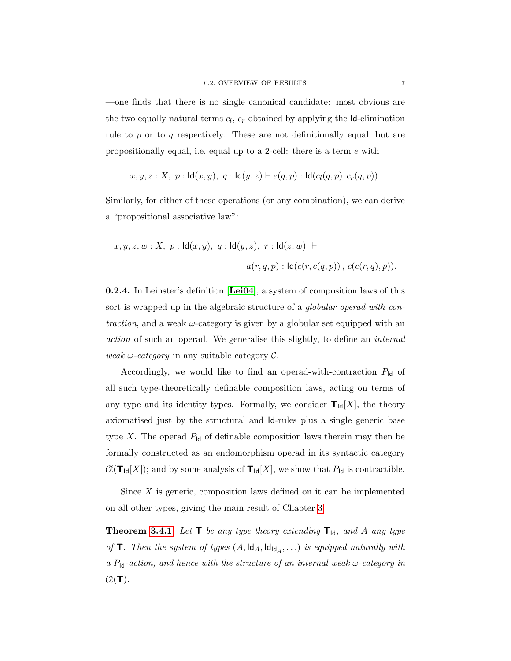—one finds that there is no single canonical candidate: most obvious are the two equally natural terms  $c_l$ ,  $c_r$  obtained by applying the **Id**-elimination rule to  $p$  or to  $q$  respectively. These are not definitionally equal, but are propositionally equal, i.e. equal up to a 2-cell: there is a term e with

$$
x, y, z : X, p : \text{Id}(x, y), q : \text{Id}(y, z) \vdash e(q, p) : \text{Id}(c_l(q, p), c_r(q, p)).
$$

Similarly, for either of these operations (or any combination), we can derive a "propositional associative law":

$$
x, y, z, w : X, p : \mathsf{Id}(x, y), q : \mathsf{Id}(y, z), r : \mathsf{Id}(z, w) \vdash
$$
  

$$
a(r, q, p) : \mathsf{Id}(c(r, c(q, p)), c(c(r, q), p)).
$$

0.2.4. In Leinster's definition [[Lei04](#page-110-1)], a system of composition laws of this sort is wrapped up in the algebraic structure of a *globular operad with con*traction, and a weak  $\omega$ -category is given by a globular set equipped with an action of such an operad. We generalise this slightly, to define an internal weak  $\omega$ -category in any suitable category  $\mathcal{C}$ .

Accordingly, we would like to find an operad-with-contraction  $P_{\mathsf{Id}}$  of all such type-theoretically definable composition laws, acting on terms of any type and its identity types. Formally, we consider  $T_{\text{Id}}[X]$ , the theory axiomatised just by the structural and Id-rules plus a single generic base type X. The operad  $P_{\text{Id}}$  of definable composition laws therein may then be formally constructed as an endomorphism operad in its syntactic category  $\mathcal{C}(\mathsf{T}_{\mathsf{Id}}[X])$ ; and by some analysis of  $\mathsf{T}_{\mathsf{Id}}[X]$ , we show that  $P_{\mathsf{Id}}$  is contractible.

Since  $X$  is generic, composition laws defined on it can be implemented on all other types, giving the main result of Chapter [3:](#page-60-0)

**Theorem [3.4.1.](#page-71-1)** Let  $\mathbf{T}$  be any type theory extending  $\mathbf{T}_{\mathsf{Id}}$ , and A any type of **T**. Then the system of types  $(A, \text{Id}_A, \text{Id}_{\text{Id}_A}, ...)$  is equipped naturally with a  $P_{\text{Id}}$ -action, and hence with the structure of an internal weak  $\omega$ -category in  $\mathcal{C}\ell(T)$ .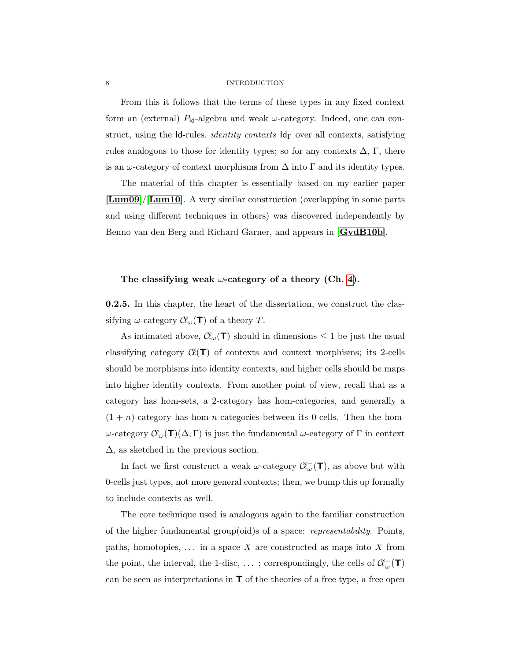#### 8 INTRODUCTION

From this it follows that the terms of these types in any fixed context form an (external)  $P_{\text{Id}}$ -algebra and weak  $\omega$ -category. Indeed, one can construct, using the Id-rules, *identity contexts*  $Id_{\Gamma}$  over all contexts, satisfying rules analogous to those for identity types; so for any contexts  $\Delta$ , Γ, there is an  $\omega$ -category of context morphisms from  $\Delta$  into  $\Gamma$  and its identity types.

The material of this chapter is essentially based on my earlier paper [[Lum09](#page-110-2)]/[[Lum10](#page-110-0)]. A very similar construction (overlapping in some parts and using different techniques in others) was discovered independently by Benno van den Berg and Richard Garner, and appears in [[GvdB10b](#page-109-4)].

#### <span id="page-15-0"></span>The classifying weak  $\omega$ -category of a theory (Ch. [4\)](#page-74-0).

0.2.5. In this chapter, the heart of the dissertation, we construct the classifying  $\omega$ -category  $\mathcal{C}\ell_{\omega}(\mathbf{T})$  of a theory T.

As intimated above,  $\mathcal{C}\!\ell_{\omega}(\mathsf{T})$  should in dimensions  $\leq 1$  be just the usual classifying category  $\mathcal{C}(\mathsf{T})$  of contexts and context morphisms; its 2-cells should be morphisms into identity contexts, and higher cells should be maps into higher identity contexts. From another point of view, recall that as a category has hom-sets, a 2-category has hom-categories, and generally a  $(1 + n)$ -category has hom-n-categories between its 0-cells. Then the homω-category  $\mathcal{C}_\omega(\mathbf{T})(\Delta,\Gamma)$  is just the fundamental  $\omega$ -category of Γ in context ∆, as sketched in the previous section.

In fact we first construct a weak  $\omega$ -category  $\mathcal{C}\!\ell_{\omega}^{-}(\mathsf{T})$ , as above but with 0-cells just types, not more general contexts; then, we bump this up formally to include contexts as well.

The core technique used is analogous again to the familiar construction of the higher fundamental group(oid)s of a space: *representability*. Points, paths, homotopies,  $\dots$  in a space X are constructed as maps into X from the point, the interval, the 1-disc, ... ; correspondingly, the cells of  $\mathcal{C}\!\ell_\omega^-(\mathbf{T})$ can be seen as interpretations in  $\mathsf{T}$  of the theories of a free type, a free open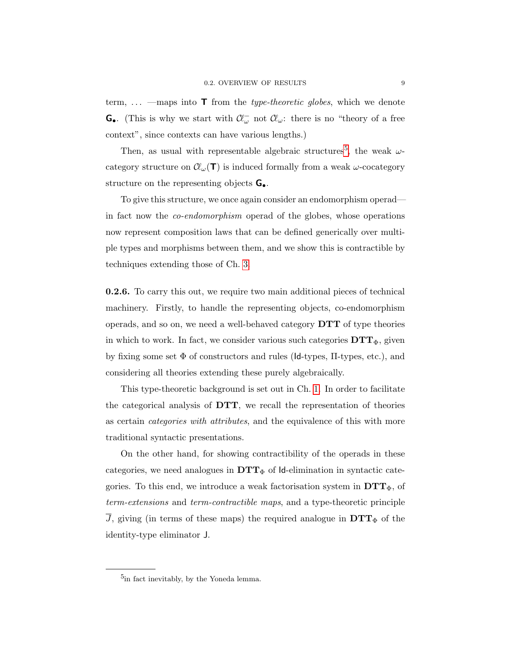term,  $\ldots$  —maps into **T** from the *type-theoretic globes*, which we denote **G.** (This is why we start with  $\mathcal{C}\ell_{\omega}$  not  $\mathcal{C}\ell_{\omega}$ : there is no "theory of a free context", since contexts can have various lengths.)

Then, as usual with representable algebraic structures<sup>[5](#page-16-0)</sup>, the weak  $\omega$ category structure on  $\mathcal{C}\ell_{\omega}(\mathbf{T})$  is induced formally from a weak  $\omega$ -cocategory structure on the representing objects G•.

To give this structure, we once again consider an endomorphism operad in fact now the co-endomorphism operad of the globes, whose operations now represent composition laws that can be defined generically over multiple types and morphisms between them, and we show this is contractible by techniques extending those of Ch. [3.](#page-60-0)

0.2.6. To carry this out, we require two main additional pieces of technical machinery. Firstly, to handle the representing objects, co-endomorphism operads, and so on, we need a well-behaved category  $\mathbf{DTT}$  of type theories in which to work. In fact, we consider various such categories  $\mathbf{DTT}_{\Phi},$  given by fixing some set  $\Phi$  of constructors and rules (Id-types,  $\Pi$ -types, etc.), and considering all theories extending these purely algebraically.

This type-theoretic background is set out in Ch. [1.](#page-18-0) In order to facilitate the categorical analysis of DTT, we recall the representation of theories as certain categories with attributes, and the equivalence of this with more traditional syntactic presentations.

On the other hand, for showing contractibility of the operads in these categories, we need analogues in  $DTT<sub>\Phi</sub>$  of Id-elimination in syntactic categories. To this end, we introduce a weak factorisation system in  $DTT_{\Phi}$ , of term-extensions and term-contractible maps, and a type-theoretic principle  $\overline{J}$ , giving (in terms of these maps) the required analogue in  $DTT_{\Phi}$  of the identity-type eliminator J.

<span id="page-16-0"></span><sup>&</sup>lt;sup>5</sup>in fact inevitably, by the Yoneda lemma.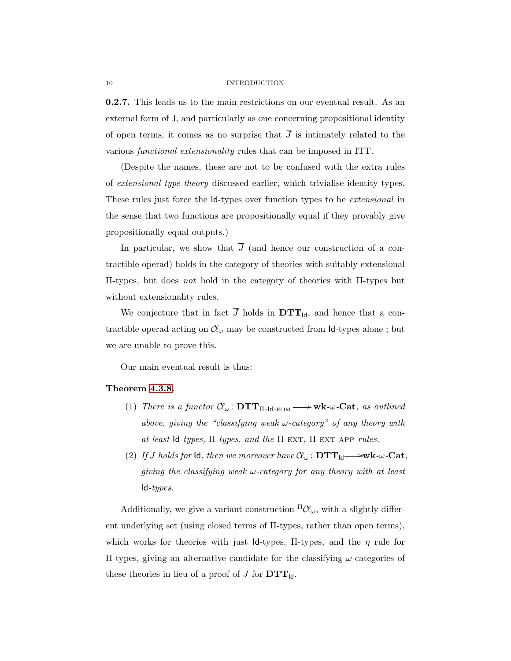#### 10 INTRODUCTION

0.2.7. This leads us to the main restrictions on our eventual result. As an external form of J, and particularly as one concerning propositional identity of open terms, it comes as no surprise that  $\overline{J}$  is intimately related to the various functional extensionality rules that can be imposed in ITT.

(Despite the names, these are not to be confused with the extra rules of extensional type theory discussed earlier, which trivialise identity types. These rules just force the Id-types over function types to be *extensional* in the sense that two functions are propositionally equal if they provably give propositionally equal outputs.)

In particular, we show that  $\overline{J}$  (and hence our construction of a contractible operad) holds in the category of theories with suitably extensional Π-types, but does not hold in the category of theories with Π-types but without extensionality rules.

We conjecture that in fact  $\overline{J}$  holds in  $DTT_{\text{Id}}$ , and hence that a contractible operad acting on  $\mathcal{C}\!\ell_\omega$  may be constructed from Id-types alone ; but we are unable to prove this.

Our main eventual result is thus:

#### Theorem [4.3.8.](#page-104-0)

- (1) There is a functor  $\mathcal{C}\!\ell_{\omega}$ :  $\mathbf{DTT}_{\Pi$ -Id-ELIM  $\longrightarrow$  wk- $\omega$ -Cat, as outlined above, giving the "classifying weak  $\omega$ -category" of any theory with at least Id-types,  $\Pi$ -types, and the  $\Pi$ -EXT,  $\Pi$ -EXT-APP rules.
- (2) If  $\overline{J}$  holds for  $\overline{Id}$ , then we moreover have  $\mathcal{C}\!\ell_{\omega}$ :  $\mathbf{DTT}_{\mathsf{Id}} \longrightarrow \!\!\mathbf{wk}\text{-}\!\!\mathbf{Cat}$ , giving the classifying weak  $\omega$ -category for any theory with at least  $Id$ -types.

Additionally, we give a variant construction  ${}^{\Pi} \mathcal{C} \ell_{\omega}$ , with a slightly different underlying set (using closed terms of Π-types, rather than open terms), which works for theories with just Id-types,  $\Pi$ -types, and the  $\eta$  rule for Π-types, giving an alternative candidate for the classifying ω-categories of these theories in lieu of a proof of  $\overline{J}$  for  $DTT_{\text{Id}}$ .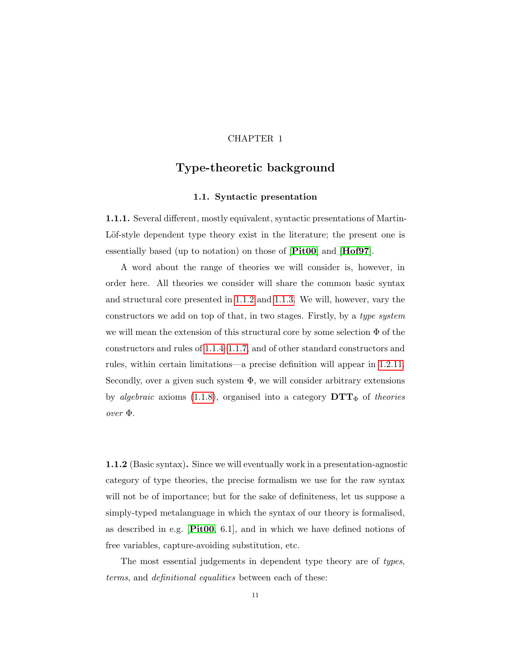### CHAPTER 1

# <span id="page-18-0"></span>Type-theoretic background

#### 1.1. Syntactic presentation

<span id="page-18-1"></span>1.1.1. Several different, mostly equivalent, syntactic presentations of Martin-Löf-style dependent type theory exist in the literature; the present one is essentially based (up to notation) on those of [[Pit00](#page-110-3)] and [[Hof97](#page-109-5)].

A word about the range of theories we will consider is, however, in order here. All theories we consider will share the common basic syntax and structural core presented in [1.1.2](#page-18-2) and [1.1.3.](#page-19-0) We will, however, vary the constructors we add on top of that, in two stages. Firstly, by a type system we will mean the extension of this structural core by some selection  $\Phi$  of the constructors and rules of [1.1.4–](#page-21-0)[1.1.7,](#page-24-0) and of other standard constructors and rules, within certain limitations—a precise definition will appear in [1.2.11.](#page-31-0) Secondly, over a given such system  $\Phi$ , we will consider arbitrary extensions by algebraic axioms [\(1.1.8\)](#page-25-0), organised into a category  $\mathbf{DTT}_{\Phi}$  of theories over Φ.

<span id="page-18-2"></span>1.1.2 (Basic syntax). Since we will eventually work in a presentation-agnostic category of type theories, the precise formalism we use for the raw syntax will not be of importance; but for the sake of definiteness, let us suppose a simply-typed metalanguage in which the syntax of our theory is formalised, as described in e.g. [[Pit00](#page-110-3), 6.1], and in which we have defined notions of free variables, capture-avoiding substitution, etc.

The most essential judgements in dependent type theory are of types, terms, and definitional equalities between each of these: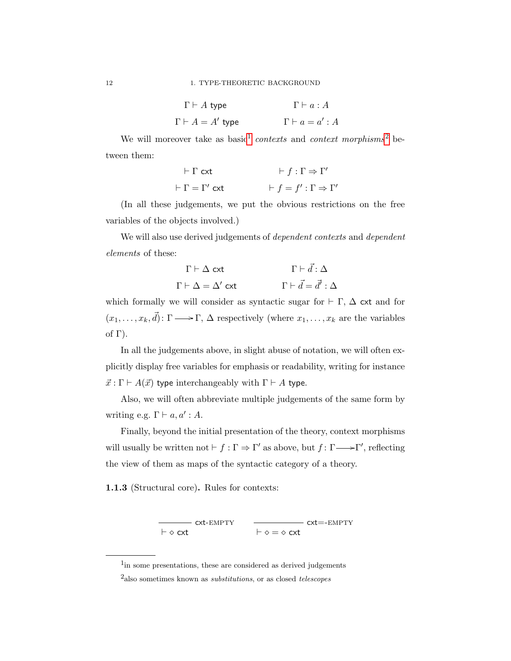| $\Gamma\vdash A$ type       | $\Gamma\vdash a:A$    |
|-----------------------------|-----------------------|
| $\Gamma \vdash A = A'$ type | $\Gamma\vdash a=a':A$ |

We will moreover take as basic<sup>[1](#page-19-1)</sup> contexts and context morphisms<sup>[2](#page-19-2)</sup> between them:

| $\vdash \Gamma$ cxt           | $\vdash f:\Gamma \Rightarrow \Gamma'$        |
|-------------------------------|----------------------------------------------|
| $\vdash \Gamma = \Gamma'$ cxt | $\vdash f = f' : \Gamma \Rightarrow \Gamma'$ |

(In all these judgements, we put the obvious restrictions on the free variables of the objects involved.)

We will also use derived judgements of *dependent contexts* and *dependent* elements of these:

$$
\Gamma \vdash \Delta \text{ ext} \qquad \qquad \Gamma \vdash \vec{d} : \Delta
$$

$$
\Gamma \vdash \Delta = \Delta' \text{ ext} \qquad \qquad \Gamma \vdash \vec{d} = \vec{d'} : \Delta
$$

which formally we will consider as syntactic sugar for  $\vdash \Gamma$ ,  $\Delta$  cxt and for  $(x_1, \ldots, x_k, \vec{d})$ :  $\Gamma \longrightarrow \Gamma$ ,  $\Delta$  respectively (where  $x_1, \ldots, x_k$  are the variables of  $\Gamma$ ).

In all the judgements above, in slight abuse of notation, we will often explicitly display free variables for emphasis or readability, writing for instance  $\vec{x}$ : Γ  $\vdash A(\vec{x})$  type interchangeably with  $\Gamma \vdash A$  type.

Also, we will often abbreviate multiple judgements of the same form by writing e.g.  $\Gamma \vdash a, a' : A$ .

Finally, beyond the initial presentation of the theory, context morphisms will usually be written not  $\vdash f : \Gamma \Rightarrow \Gamma'$  as above, but  $f : \Gamma \longrightarrow \Gamma'$ , reflecting the view of them as maps of the syntactic category of a theory.

<span id="page-19-0"></span>1.1.3 (Structural core). Rules for contexts:

 $\vdash \diamond$  cxt - cxt-empty<br>.  $\vdash \diamond = \diamond$  cxt cxt=-empty

<span id="page-19-2"></span><span id="page-19-1"></span><sup>&</sup>lt;sup>1</sup>in some presentations, these are considered as derived judgements

<sup>&</sup>lt;sup>2</sup>also sometimes known as *substitutions*, or as closed *telescopes*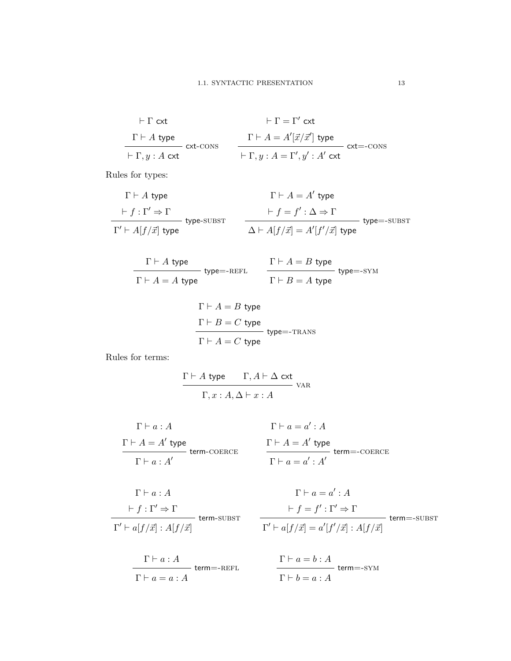$$
\vdash \Gamma \text{ ext} \qquad \qquad \vdash \Gamma = \Gamma' \text{ ext}
$$
\n
$$
\Gamma \vdash A \text{ type} \qquad \qquad \Gamma \vdash A = A'[\vec{x}/\vec{x}'] \text{ type} \qquad \qquad \vdash \Gamma, y : A \text{ ext} \qquad \qquad \vdash \Gamma, y : A = \Gamma', y' : A' \text{ ext} \qquad \qquad \text{ ext} = \text{cons}
$$

Rules for types:

$$
\Gamma \vdash A \text{ type}
$$
\n
$$
\vdash f : \Gamma' \Rightarrow \Gamma
$$
\n
$$
\vdash f : \Gamma' \Rightarrow \Gamma
$$
\n
$$
\vdash f \circ \Gamma'
$$
\n
$$
\vdash f \circ f' : \Delta \Rightarrow \Gamma
$$
\n
$$
\vdash f \circ f' : \Delta \Rightarrow \Gamma
$$
\n
$$
\Delta \vdash A[f/\vec{x}] = A'[f'/\vec{x}] \text{ type}
$$

$$
\cfrac{\Gamma \vdash A \text{ type}}{\Gamma \vdash A = A \text{ type}} \text{ type} = \text{REFL} \qquad \cfrac{\Gamma \vdash A = B \text{ type}}{\Gamma \vdash B = A \text{ type}} \text{ type} = \text{-SYM}
$$

$$
\Gamma \vdash A = B \text{ type}
$$
  
\n
$$
\Gamma \vdash B = C \text{ type}
$$
  
\n
$$
\Gamma \vdash A = C \text{ type}
$$

Rules for terms:

$$
\frac{\Gamma \vdash A \text{ type } \Gamma, A \vdash \Delta \text{ ext}}{\Gamma, x : A, \Delta \vdash x : A}
$$
   
 
$$
\Gamma
$$

$$
\Gamma \vdash a : A
$$
\n
$$
\Gamma \vdash a = a' : A
$$
\n
$$
\Gamma \vdash A = A' \text{ type}
$$
\n
$$
\Gamma \vdash a : A'
$$
\n
$$
\Gamma \vdash a = a' : A'
$$
\n
$$
\Gamma \vdash a = a' : A'
$$
\n
$$
\Gamma \vdash a = a' : A'
$$

$$
\Gamma \vdash a : A
$$
\n
$$
\vdash f : \Gamma' \Rightarrow \Gamma
$$
\n
$$
\frac{\Gamma' \vdash a[f/\vec{x}] : A[f/\vec{x}]}{\Gamma' \vdash a[f/\vec{x}] : A[f/\vec{x}]}
$$
\n
$$
\Gamma' \vdash
$$

$$
\frac{\Gamma \vdash a : A}{\Gamma \vdash a = a : A} \; \mathsf{term} = \textsf{REFL}
$$

$$
\Gamma \vdash a = a' : A
$$
\n
$$
\vdash f = f' : \Gamma' \Rightarrow \Gamma
$$
\n
$$
\Gamma' \vdash a[f/\vec{x}] = a'[f'/\vec{x}] : A[f/\vec{x}] \text{ term} = \text{SUBST}
$$

$$
\frac{\Gamma \vdash a = b : A}{\Gamma \vdash b = a : A} \; \mathrm{term} = \mathrm{sYM}
$$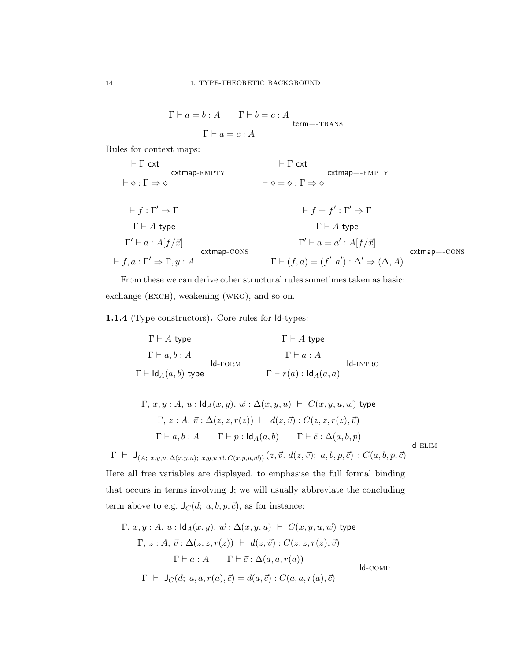$$
\frac{\Gamma \vdash a = b : A \qquad \Gamma \vdash b = c : A}{\Gamma \vdash a = c : A} \text{ term} = \text{-trans}
$$

Rules for context maps:

$$
\frac{\vdash \Gamma \text{ ext}}{\vdash \diamond : \Gamma \Rightarrow \diamond} \text{ extmap-EMPTY}
$$
\n
$$
\frac{\vdash \Gamma \text{ ext}}{\vdash \diamond = \diamond : \Gamma \Rightarrow \diamond} \text{ extmap--EMPTY}
$$
\n
$$
\vdash f : \Gamma' \Rightarrow \Gamma
$$
\n
$$
\Gamma \vdash A \text{ type}
$$
\n
$$
\frac{\Gamma' \vdash a : A[f/\vec{x}]}{\vdash f, a : \Gamma' \Rightarrow \Gamma, y : A} \text{ extmap-cons}
$$
\n
$$
\frac{\Gamma' \vdash a = a' : A[f/\vec{x}]}{\Gamma \vdash (f, a) = (f', a') : \Delta' \Rightarrow (\Delta, A)} \text{ extmap--cons}
$$

From these we can derive other structural rules sometimes taken as basic: exchange (exch), weakening (wkg), and so on.

<span id="page-21-0"></span>1.1.4 (Type constructors). Core rules for Id-types:

$$
\Gamma \vdash A \text{ type}
$$
\n
$$
\Gamma \vdash a, b : A
$$
\n
$$
\Gamma \vdash \text{Id}_{A}(a, b) \text{ type}
$$
\n
$$
\Gamma \vdash \text{Id}_{A}(a, a) \text{ type}
$$
\n
$$
\Gamma \vdash r(a) : \text{Id}_{A}(a, a)
$$

$$
\Gamma, x, y : A, u : \mathsf{Id}_A(x, y), \vec{w} : \Delta(x, y, u) \vdash C(x, y, u, \vec{w}) \text{ type}
$$
\n
$$
\Gamma, z : A, \vec{v} : \Delta(z, z, r(z)) \vdash d(z, \vec{v}) : C(z, z, r(z), \vec{v})
$$
\n
$$
\Gamma \vdash a, b : A \qquad \Gamma \vdash p : \mathsf{Id}_A(a, b) \qquad \Gamma \vdash \vec{c} : \Delta(a, b, p)
$$
\n
$$
\mathsf{Id}\text{-ELIM}
$$

 $\Gamma ~\vdash~ \mathsf{J}_{(A;~x,y,u.~\Delta(x,y,u);~x,y,u, \vec{w}.\ C(x,y,u, \vec{w}))} \left(z, \vec{v}.~d(z, \vec{v}); ~a,b,p, \vec{c}\right) : C(a,b,p, \vec{c})$ Here all free variables are displayed, to emphasise the full formal binding that occurs in terms involving J; we will usually abbreviate the concluding term above to e.g.  $\mathsf{J}_C(d;~a,b,p,\vec{c}),$  as for instance:

$$
\Gamma, x, y : A, u : \mathsf{Id}_A(x, y), \vec{w} : \Delta(x, y, u) \vdash C(x, y, u, \vec{w}) \text{ type}
$$
\n
$$
\Gamma, z : A, \vec{v} : \Delta(z, z, r(z)) \vdash d(z, \vec{v}) : C(z, z, r(z), \vec{v})
$$
\n
$$
\Gamma \vdash a : A \qquad \Gamma \vdash \vec{c} : \Delta(a, a, r(a))
$$
\n
$$
\Gamma \vdash J_C(d; a, a, r(a), \vec{c}) = d(a, \vec{c}) : C(a, a, r(a), \vec{c})
$$
\nId-COMP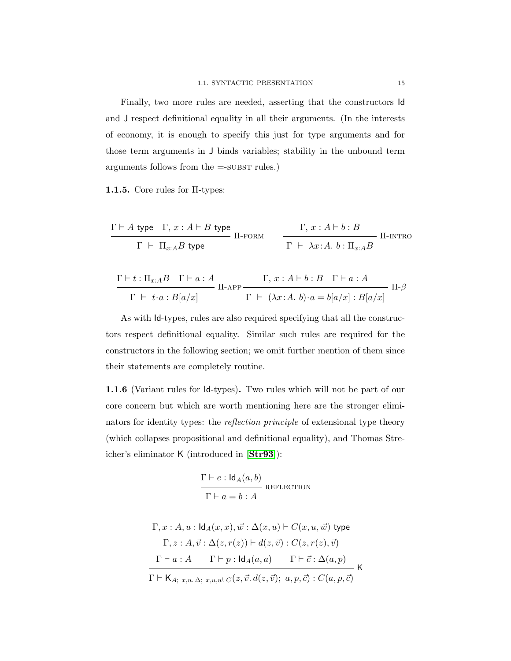Finally, two more rules are needed, asserting that the constructors Id and J respect definitional equality in all their arguments. (In the interests of economy, it is enough to specify this just for type arguments and for those term arguments in J binds variables; stability in the unbound term arguments follows from the  $=$ -SUBST rules.)

1.1.5. Core rules for  $\Pi$ -types:

$$
\cfrac{\Gamma \vdash A\;\mathsf{type}\quad \Gamma,\,x:A\vdash B\;\mathsf{type}}{\Gamma \;\vdash\; \Pi_{x:A}B\;\mathsf{type}}\;\; \Pi\text{-}\mathrm{FORM}\;\;\; \cfrac{\Gamma,\,x:A\vdash b:B}{\Gamma \;\vdash\; \lambda x:A.\; b:\Pi_{x:A}B}\;\Pi\text{-}\mathrm{INTRO}
$$

$$
\frac{\Gamma\vdash t:\Pi_{x:A}B\quad \Gamma\vdash a:A}{\Gamma\vdash t\cdot a:B[a/x]}\ \Pi\text{-APP}\frac{\Gamma,\,x:A\vdash b:B\quad \Gamma\vdash a:A}{\Gamma\vdash (\lambda x:A.\ b)\cdot a=b[a/x]:B[a/x]}\ \Pi\text{-}\beta
$$

As with Id-types, rules are also required specifying that all the constructors respect definitional equality. Similar such rules are required for the constructors in the following section; we omit further mention of them since their statements are completely routine.

<span id="page-22-0"></span>1.1.6 (Variant rules for Id-types). Two rules which will not be part of our core concern but which are worth mentioning here are the stronger eliminators for identity types: the reflection principle of extensional type theory (which collapses propositional and definitional equality), and Thomas Streicher's eliminator K (introduced in [[Str93](#page-111-2)]):

$$
\frac{\Gamma \vdash e : \mathsf{Id}_A(a, b)}{\Gamma \vdash a = b : A} \text{REFECTION}
$$

$$
\Gamma, x : A, u : \mathrm{Id}_{A}(x, x), \vec{w} : \Delta(x, u) \vdash C(x, u, \vec{w}) \text{ type}
$$
\n
$$
\Gamma, z : A, \vec{v} : \Delta(z, r(z)) \vdash d(z, \vec{v}) : C(z, r(z), \vec{v})
$$
\n
$$
\frac{\Gamma \vdash a : A \qquad \Gamma \vdash p : \mathrm{Id}_{A}(a, a) \qquad \Gamma \vdash \vec{c} : \Delta(a, p)}{\Gamma \vdash \mathsf{K}_{A; x, u} \Delta; x, u, \vec{w} \ldots \Gamma(z, \vec{v} \ldotp d(z, \vec{v}); a, p, \vec{c}) : C(a, p, \vec{c})} \mathsf{K}
$$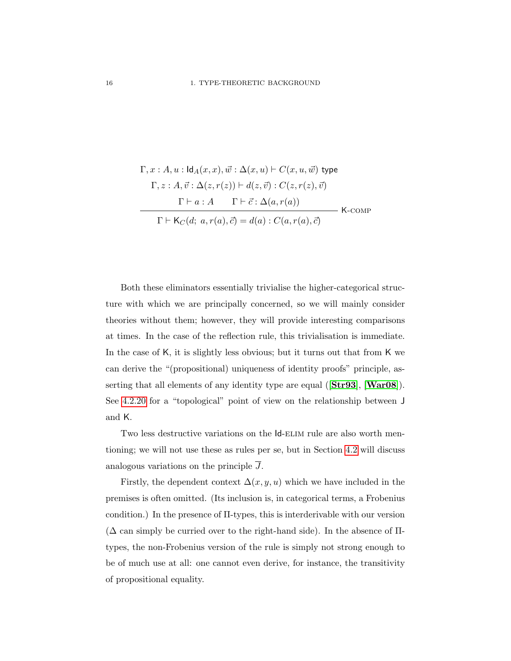$$
\Gamma, x : A, u : \mathsf{Id}_A(x, x), \vec{w} : \Delta(x, u) \vdash C(x, u, \vec{w}) \text{ type}
$$
\n
$$
\Gamma, z : A, \vec{v} : \Delta(z, r(z)) \vdash d(z, \vec{v}) : C(z, r(z), \vec{v})
$$
\n
$$
\Gamma \vdash a : A \qquad \Gamma \vdash \vec{c} : \Delta(a, r(a))
$$
\n
$$
\Gamma \vdash \mathsf{K}_C(d; a, r(a), \vec{c}) = d(a) : C(a, r(a), \vec{c}) \qquad \mathsf{K}\text{-comp}
$$

Both these eliminators essentially trivialise the higher-categorical structure with which we are principally concerned, so we will mainly consider theories without them; however, they will provide interesting comparisons at times. In the case of the reflection rule, this trivialisation is immediate. In the case of K, it is slightly less obvious; but it turns out that from K we can derive the "(propositional) uniqueness of identity proofs" principle, asserting that all elements of any identity type are equal  $(Str93]$  $(Str93]$  $(Str93]$ , [[War08](#page-111-0)]). See [4.2.20](#page-97-0) for a "topological" point of view on the relationship between J and K.

Two less destructive variations on the  $Id$ -ELIM rule are also worth mentioning; we will not use these as rules per se, but in Section [4.2](#page-83-0) will discuss analogous variations on the principle  $\overline{J}$ .

Firstly, the dependent context  $\Delta(x, y, u)$  which we have included in the premises is often omitted. (Its inclusion is, in categorical terms, a Frobenius condition.) In the presence of Π-types, this is interderivable with our version  $(\Delta$  can simply be curried over to the right-hand side). In the absence of  $\Pi$ types, the non-Frobenius version of the rule is simply not strong enough to be of much use at all: one cannot even derive, for instance, the transitivity of propositional equality.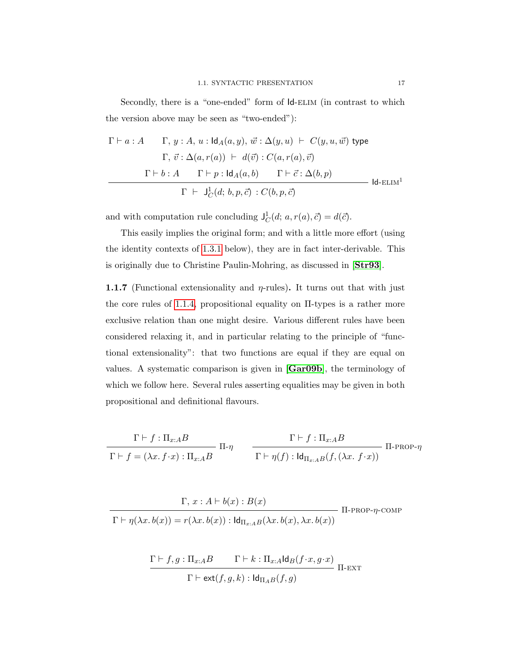Secondly, there is a "one-ended" form of  $Id$ -ELIM (in contrast to which the version above may be seen as "two-ended"):

$$
\Gamma \vdash a : A \qquad \Gamma, y : A, u : \mathrm{Id}_{A}(a, y), \vec{w} : \Delta(y, u) \vdash C(y, u, \vec{w}) \text{ type}
$$
\n
$$
\Gamma, \vec{v} : \Delta(a, r(a)) \vdash d(\vec{v}) : C(a, r(a), \vec{v})
$$
\n
$$
\Gamma \vdash b : A \qquad \Gamma \vdash p : \mathrm{Id}_{A}(a, b) \qquad \Gamma \vdash \vec{c} : \Delta(b, p)
$$
\n
$$
\Gamma \vdash J_{C}^{\mathbf{1}}(d; b, p, \vec{c}) : C(b, p, \vec{c}) \qquad \text{Id-ELIM}^{\mathbf{1}}
$$

and with computation rule concluding  $J_C^1(d; a, r(a), \vec{c}) = d(\vec{c}).$ 

This easily implies the original form; and with a little more effort (using the identity contexts of [1.3.1](#page-33-1) below), they are in fact inter-derivable. This is originally due to Christine Paulin-Mohring, as discussed in [[Str93](#page-111-2)].

<span id="page-24-0"></span>**1.1.7** (Functional extensionality and  $\eta$ -rules). It turns out that with just the core rules of [1.1.4,](#page-21-0) propositional equality on Π-types is a rather more exclusive relation than one might desire. Various different rules have been considered relaxing it, and in particular relating to the principle of "functional extensionality": that two functions are equal if they are equal on values. A systematic comparison is given in [[Gar09b](#page-109-6)], the terminology of which we follow here. Several rules asserting equalities may be given in both propositional and definitional flavours.

$$
\frac{\Gamma \vdash f : \Pi_{x:A}B}{\Gamma \vdash f = (\lambda x.\ f \cdot x) : \Pi_{x:A}B} \quad \frac{\Gamma \vdash f : \Pi_{x:A}B}{\Gamma \vdash \eta(f) : \text{Id}_{\Pi_{x:A}B}(f, (\lambda x.\ f \cdot x))} \quad \text{II-PROP-}\eta
$$

$$
\frac{\Gamma, x : A \vdash b(x) : B(x)}{\Gamma \vdash \eta(\lambda x. b(x)) = r(\lambda x. b(x)) : \mathrm{Id}_{\Pi_{x:A}B}(\lambda x. b(x), \lambda x. b(x))} \Pi\text{-prop-}\eta\text{-comp}
$$

$$
\frac{\Gamma \vdash f, g: \Pi_{x:A}B \qquad \Gamma \vdash k: \Pi_{x:A} \mathsf{Id}_B(f \cdot x, g \cdot x)}{\Gamma \vdash \mathsf{ext}(f, g, k): \mathsf{Id}_{\Pi_A B}(f, g)} \Pi\text{-EXT}
$$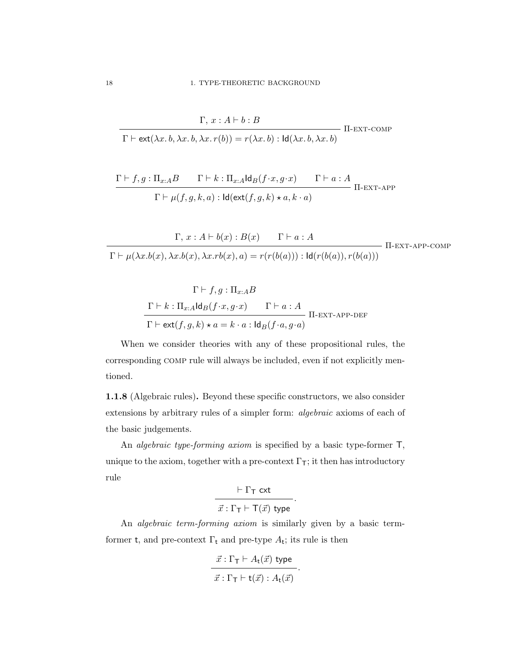$$
\frac{\Gamma, x : A \vdash b : B}{\Gamma \vdash \text{ext}(\lambda x. b, \lambda x. b, \lambda x. r(b)) = r(\lambda x. b) : \text{Id}(\lambda x. b, \lambda x. b)} \text{ II-EXT-COMP}
$$

$$
\frac{\Gamma \vdash f, g: \Pi_{x:A}B \qquad \Gamma \vdash k: \Pi_{x:A} \mathsf{Id}_B(f \cdot x, g \cdot x) \qquad \Gamma \vdash a:A}{\Gamma \vdash \mu(f, g, k, a): \mathsf{Id}(\mathsf{ext}(f, g, k) \star a, k \cdot a)} \quad \Pi\text{-EXT-APP}
$$

$$
\Gamma, x : A \vdash b(x) : B(x) \qquad \Gamma \vdash a : A
$$
\n
$$
\Gamma \vdash \mu(\lambda x.b(x), \lambda x.b(x), \lambda x.rb(x), a) = r(r(b(a))) : \text{Id}(r(b(a)), r(b(a))) \qquad \Pi\text{-EXT-APP-COMP}
$$

$$
\Gamma \vdash f, g : \Pi_{x:A}B
$$
\n
$$
\frac{\Gamma \vdash k : \Pi_{x:A} \mathsf{Id}_B(f \cdot x, g \cdot x) \qquad \Gamma \vdash a : A}{\Gamma \vdash \mathsf{ext}(f, g, k) \star a = k \cdot a : \mathsf{Id}_B(f \cdot a, g \cdot a)} \Pi\text{-EXT-APP-DEF}
$$

When we consider theories with any of these propositional rules, the corresponding comp rule will always be included, even if not explicitly mentioned.

<span id="page-25-0"></span>1.1.8 (Algebraic rules). Beyond these specific constructors, we also consider extensions by arbitrary rules of a simpler form: algebraic axioms of each of the basic judgements.

An *algebraic type-forming axiom* is specified by a basic type-former  $\mathsf{T}$ , unique to the axiom, together with a pre-context  $\Gamma$ <sub>T</sub>; it then has introductory rule

> $\vdash \Gamma_{\mathsf{T}}$  cxt  $\vec{x} : \Gamma_{\mathsf{T}} \vdash \mathsf{T}(\vec{x})$  type

.

An algebraic term-forming axiom is similarly given by a basic termformer t, and pre-context  $\Gamma_t$  and pre-type  $A_t$ ; its rule is then

$$
\frac{\vec{x}:\Gamma_{\mathsf{T}} \vdash A_{\mathsf{t}}(\vec{x}) \text{ type}}{\vec{x}:\Gamma_{\mathsf{T}} \vdash \mathsf{t}(\vec{x}): A_{\mathsf{t}}(\vec{x})}.
$$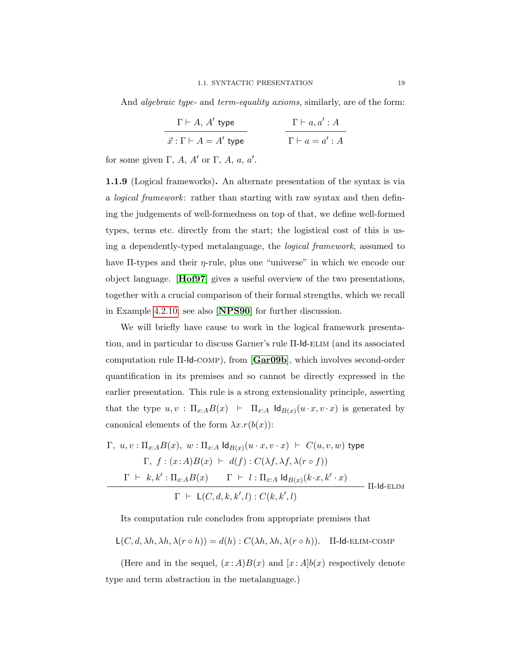And *algebraic type-* and *term-equality axioms*, similarly, are of the form:

| $\Gamma\vdash A, A'$ type        | $\Gamma\vdash a,a':A$ |
|----------------------------------|-----------------------|
| $\vec{x}:\Gamma\vdash A=A'$ type | $\Gamma\vdash a=a':A$ |

for some given  $\Gamma$ , A, A' or  $\Gamma$ , A, a, a'.

1.1.9 (Logical frameworks). An alternate presentation of the syntax is via a logical framework: rather than starting with raw syntax and then defining the judgements of well-formedness on top of that, we define well-formed types, terms etc. directly from the start; the logistical cost of this is using a dependently-typed metalanguage, the logical framework, assumed to have  $\Pi$ -types and their  $\eta$ -rule, plus one "universe" in which we encode our object language. [[Hof97](#page-109-5)] gives a useful overview of the two presentations, together with a crucial comparison of their formal strengths, which we recall in Example [4.2.10;](#page-88-0) see also [[NPS90](#page-110-4)] for further discussion.

We will briefly have cause to work in the logical framework presentation, and in particular to discuss Garner's rule Π-Id-elim (and its associated computation rule Π-Id-comp), from [[Gar09b](#page-109-6)], which involves second-order quantification in its premises and so cannot be directly expressed in the earlier presentation. This rule is a strong extensionality principle, asserting that the type  $u, v : \Pi_{x:A} B(x) \leftarrow \Pi_{x:A} \mathsf{Id}_{B(x)}(u \cdot x, v \cdot x)$  is generated by canonical elements of the form  $\lambda x.r(b(x))$ :

$$
\Gamma, u, v: \Pi_{x:A} B(x), w: \Pi_{x:A} \operatorname{Id}_{B(x)} (u \cdot x, v \cdot x) \vdash C(u, v, w) \text{ type}
$$
\n
$$
\Gamma, f: (x:A)B(x) \vdash d(f): C(\lambda f, \lambda f, \lambda (r \circ f))
$$
\n
$$
\Gamma \vdash k, k': \Pi_{x:A} B(x) \qquad \Gamma \vdash l: \Pi_{x:A} \operatorname{Id}_{B(x)} (k \cdot x, k' \cdot x)
$$
\n
$$
\Gamma \vdash \mathsf{L}(C, d, k, k', l): C(k, k', l)
$$
\n
$$
\Pi\text{-Id-ELIM}
$$

Its computation rule concludes from appropriate premises that

$$
L(C, d, \lambda h, \lambda h, \lambda(r \circ h)) = d(h) : C(\lambda h, \lambda h, \lambda(r \circ h)). \quad \text{II-Id-ELIM-COMP}
$$

(Here and in the sequel,  $(x : A)B(x)$  and  $[x : A]b(x)$  respectively denote type and term abstraction in the metalanguage.)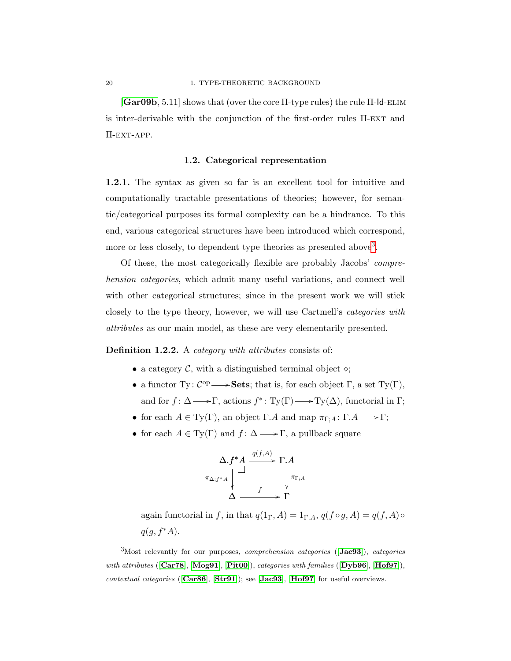[[Gar09b](#page-109-6), 5.11] shows that (over the core Π-type rules) the rule Π-Id-elim is inter-derivable with the conjunction of the first-order rules  $\Pi$ -EXT and Π-ext-app.

#### 1.2. Categorical representation

<span id="page-27-0"></span>1.2.1. The syntax as given so far is an excellent tool for intuitive and computationally tractable presentations of theories; however, for semantic/categorical purposes its formal complexity can be a hindrance. To this end, various categorical structures have been introduced which correspond, more or less closely, to dependent type theories as presented above<sup>[3](#page-27-1)</sup>.

Of these, the most categorically flexible are probably Jacobs' comprehension categories, which admit many useful variations, and connect well with other categorical structures; since in the present work we will stick closely to the type theory, however, we will use Cartmell's categories with attributes as our main model, as these are very elementarily presented.

Definition 1.2.2. A *category with attributes* consists of:

- a category  $\mathcal{C}$ , with a distinguished terminal object  $\diamond$ ;
- a functor Ty:  $\mathcal{C}^{op} \longrightarrow$  Sets; that is, for each object  $\Gamma$ , a set Ty( $\Gamma$ ), and for  $f: \Delta \longrightarrow \Gamma$ , actions  $f^*: Ty(\Gamma) \longrightarrow Ty(\Delta)$ , functorial in  $\Gamma$ ;
- for each  $A \in Ty(\Gamma)$ , an object  $\Gamma.A$  and map  $\pi_{\Gamma,A} : \Gamma.A \longrightarrow \Gamma$ ;
- for each  $A \in Ty(\Gamma)$  and  $f: \Delta \longrightarrow \Gamma$ , a pullback square

$$
\Delta .f^* A \xrightarrow{q(f,A)} \Gamma . A
$$
  

$$
\pi_{\Delta;f^* A} \downarrow \qquad \qquad \downarrow \pi_{\Gamma; A}
$$
  

$$
\Delta \xrightarrow{f} \Gamma
$$

again functorial in f, in that  $q(1_\Gamma, A) = 1_{\Gamma, A}$ ,  $q(f \circ g, A) = q(f, A) \circ$  $q(g, f^*A)$ .

<span id="page-27-1"></span> $3$ Most relevantly for our purposes, *comprehension categories* ([[Jac93](#page-109-7)]), *categories* with attributes ([[Car78](#page-108-2)], [[Mog91](#page-110-5)], [[Pit00](#page-110-3)]), categories with families ([[Dyb96](#page-108-3)], [[Hof97](#page-109-5)]), contextual categories ([[Car86](#page-108-4)], [[Str91](#page-111-3)]); see [[Jac93](#page-109-7)], [[Hof97](#page-109-5)] for useful overviews.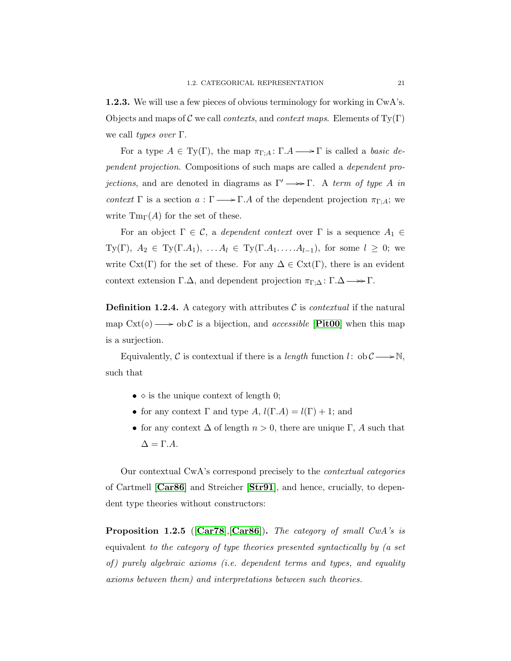<span id="page-28-1"></span>1.2.3. We will use a few pieces of obvious terminology for working in CwA's. Objects and maps of C we call *contexts*, and *context maps*. Elements of  $T(y|T)$ we call types over  $\Gamma$ .

For a type  $A \in Ty(\Gamma)$ , the map  $\pi_{\Gamma,A} : \Gamma.A \longrightarrow \Gamma$  is called a *basic de*pendent projection. Compositions of such maps are called a dependent pro*jections*, and are denoted in diagrams as  $\Gamma' \longrightarrow \Gamma$ . A term of type A in context Γ is a section  $a : \Gamma \longrightarrow \Gamma \Delta$  of the dependent projection  $\pi_{\Gamma; \Delta}$ ; we write  $\text{Tm}_{\Gamma}(A)$  for the set of these.

For an object  $\Gamma \in \mathcal{C}$ , a dependent context over  $\Gamma$  is a sequence  $A_1 \in$ Ty(Γ),  $A_2 \in \mathrm{Ty}(\Gamma.A_1), \ldots A_l \in \mathrm{Ty}(\Gamma.A_1, \ldots A_{l-1}),$  for some  $l \geq 0$ ; we write  $\text{Cxt}(\Gamma)$  for the set of these. For any  $\Delta \in \text{Cxt}(\Gamma)$ , there is an evident context extension  $\Gamma.\Delta$ , and dependent projection  $\pi_{\Gamma,\Delta} : \Gamma.\Delta \longrightarrow \Gamma$ .

**Definition 1.2.4.** A category with attributes  $\mathcal{C}$  is *contextual* if the natural map  $\text{Cxt}(\diamond) \longrightarrow \text{ob } \mathcal{C}$  is a bijection, and *accessible* [**[Pit00](#page-110-3)**] when this map is a surjection.

Equivalently, C is contextual if there is a *length* function  $l:$  ob  $C \longrightarrow \mathbb{N}$ , such that

- $\diamond$  is the unique context of length 0;
- for any context  $\Gamma$  and type  $A, l(\Gamma, A) = l(\Gamma) + 1$ ; and
- for any context  $\Delta$  of length  $n > 0$ , there are unique  $\Gamma$ , A such that  $\Delta = \Gamma.A.$

Our contextual CwA's correspond precisely to the contextual categories of Cartmell [[Car86](#page-108-4)] and Streicher [[Str91](#page-111-3)], and hence, crucially, to dependent type theories without constructors:

<span id="page-28-0"></span>**Proposition 1.2.5** ( $[Car78]$  $[Car78]$  $[Car78]$ ,  $[Car86]$  $[Car86]$  $[Car86]$ ). The category of small CwA's is equivalent to the category of type theories presented syntactically by (a set of) purely algebraic axioms (i.e. dependent terms and types, and equality axioms between them) and interpretations between such theories.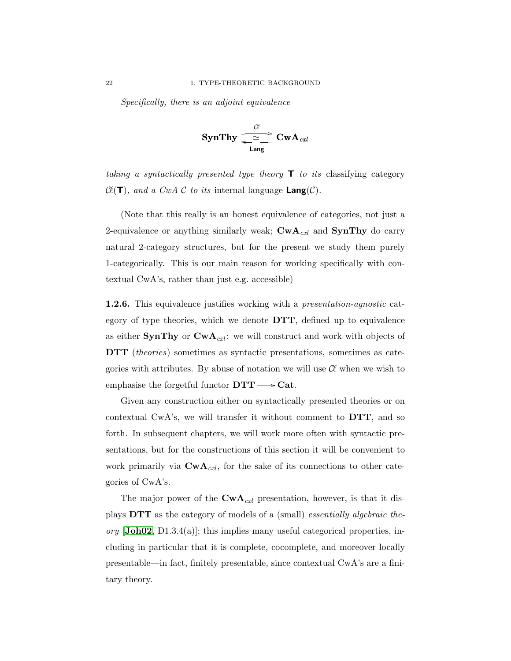Specifically, there is an adjoint equivalence

$$
\text{SynThy} \xrightarrow[\text{Lang}]{\mathcal{C}} \text{CwA}_{\text{czl}}
$$

taking a syntactically presented type theory  $\mathsf{T}$  to its classifying category  $\mathcal{C}(\mathsf{T})$ , and a CwA C to its internal language Lang(C).

(Note that this really is an honest equivalence of categories, not just a 2-equivalence or anything similarly weak;  $\mathbf{CwA}_{\textit{cxl}}$  and  $\mathbf{SynThy}$  do carry natural 2-category structures, but for the present we study them purely 1-categorically. This is our main reason for working specifically with contextual CwA's, rather than just e.g. accessible)

1.2.6. This equivalence justifies working with a presentation-agnostic category of type theories, which we denote  $\text{DTT}$ , defined up to equivalence as either **SynThy** or  $CwA_{\text{c}xl}$ : we will construct and work with objects of DTT (*theories*) sometimes as syntactic presentations, sometimes as categories with attributes. By abuse of notation we will use  $\mathcal C\ell$  when we wish to emphasise the forgetful functor  $DTT \longrightarrow Cat$ .

Given any construction either on syntactically presented theories or on contextual CwA's, we will transfer it without comment to DTT, and so forth. In subsequent chapters, we will work more often with syntactic presentations, but for the constructions of this section it will be convenient to work primarily via  $\text{CwA}_{\text{c}xl}$ , for the sake of its connections to other categories of CwA's.

The major power of the  $\text{CwA}_{\text{c}x\text{l}}$  presentation, however, is that it displays DTT as the category of models of a (small) essentially algebraic the- $\sigma r$  [[Joh02](#page-110-6), D1.3.4(a)]; this implies many useful categorical properties, including in particular that it is complete, cocomplete, and moreover locally presentable—in fact, finitely presentable, since contextual CwA's are a finitary theory.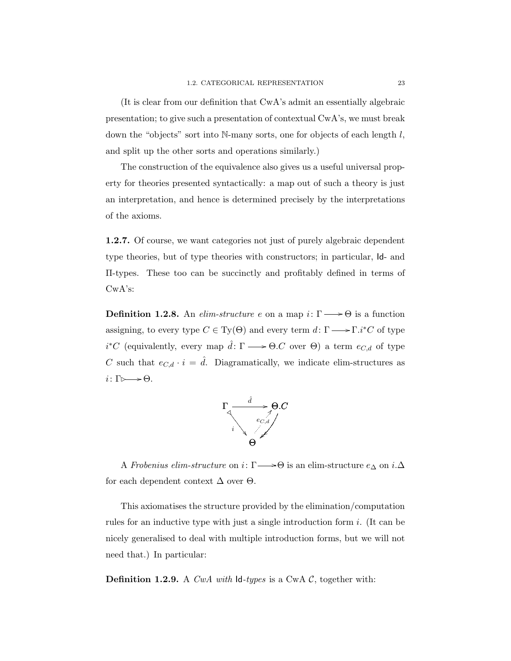(It is clear from our definition that CwA's admit an essentially algebraic presentation; to give such a presentation of contextual CwA's, we must break down the "objects" sort into  $N$ -many sorts, one for objects of each length  $l$ , and split up the other sorts and operations similarly.)

The construction of the equivalence also gives us a useful universal property for theories presented syntactically: a map out of such a theory is just an interpretation, and hence is determined precisely by the interpretations of the axioms.

1.2.7. Of course, we want categories not just of purely algebraic dependent type theories, but of type theories with constructors; in particular, Id- and Π-types. These too can be succinctly and profitably defined in terms of CwA's:

**Definition 1.2.8.** An elim-structure e on a map  $i: \Gamma \longrightarrow \Theta$  is a function assigning, to every type  $C \in Ty(\Theta)$  and every term  $d: \Gamma \longrightarrow \Gamma.i^*C$  of type  $i^*C$  (equivalently, every map  $\hat{d}: \Gamma \longrightarrow \Theta.C$  over  $\Theta$ ) a term  $e_{C,d}$  of type C such that  $e_{C,d} \cdot i = \hat{d}$ . Diagramatically, we indicate elim-structures as  $i\colon \Gamma \rightarrowtail \Theta.$ 



A Frobenius elim-structure on  $i\colon \Gamma {\longrightarrow} \Theta$  is an elim-structure  $e_\Delta$  on  $i.\Delta$ for each dependent context  $\Delta$  over  $\Theta$ .

This axiomatises the structure provided by the elimination/computation rules for an inductive type with just a single introduction form i. (It can be nicely generalised to deal with multiple introduction forms, but we will not need that.) In particular:

**Definition 1.2.9.** A CwA with  $\mathsf{Id}\text{-}t$  types is a CwA C, together with: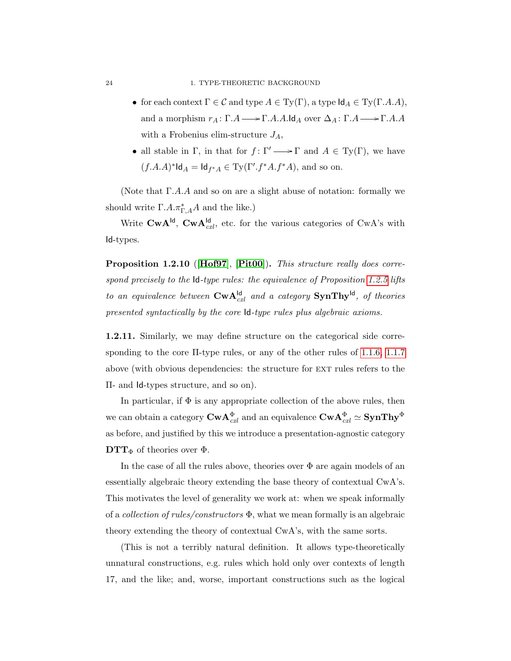- for each context  $\Gamma \in \mathcal{C}$  and type  $A \in \mathrm{Ty}(\Gamma)$ , a type  $\mathsf{Id}_A \in \mathrm{Ty}(\Gamma, A, A)$ , and a morphism  $r_A: \Gamma.A \longrightarrow \Gamma.A.A.\mathsf{Id}_A$  over  $\Delta_A: \Gamma.A \longrightarrow \Gamma.A.A$ with a Frobenius elim-structure  $J_A$ ,
- all stable in Γ, in that for  $f: \Gamma' \longrightarrow \Gamma$  and  $A \in Ty(\Gamma)$ , we have  $(f.A.A)^*$ ld $_A = \mathsf{Id}_{f^*A} \in \mathrm{Ty}(\Gamma'.f^*A.f^*A)$ , and so on.

(Note that  $\Gamma.A.A$  and so on are a slight abuse of notation: formally we should write  $\Gamma.A.\pi_{\Gamma,A}^*A$  and the like.)

Write  $\mathbf{CwA}^{\mathsf{Id}}$ ,  $\mathbf{CwA}^{\mathsf{Id}}_{\text{c}xl}$ , etc. for the various categories of  $CwA$ 's with Id-types.

Proposition 1.2.10 ([[Hof97](#page-109-5)], [[Pit00](#page-110-3)]). This structure really does correspond precisely to the Id-type rules: the equivalence of Proposition [1.2.5](#page-28-0) lifts to an equivalence between  $\mathbf{CwA}^{\mathsf{Id}}_{ext}$  and a category  $\mathbf{SynThy}^{\mathsf{Id}}$ , of theories presented syntactically by the core Id-type rules plus algebraic axioms.

<span id="page-31-0"></span>1.2.11. Similarly, we may define structure on the categorical side corresponding to the core Π-type rules, or any of the other rules of [1.1.6,](#page-22-0) [1.1.7](#page-24-0) above (with obvious dependencies: the structure for ext rules refers to the Π- and Id-types structure, and so on).

In particular, if  $\Phi$  is any appropriate collection of the above rules, then we can obtain a category  $\bm{\mathrm{Cw}}\bm{\mathrm{A}}_{cxl}^{\Phi}$  and an equivalence  $\bm{\mathrm{Cw}}\bm{\mathrm{A}}_{cxl}^{\Phi} \simeq \bm{\mathrm{SynThy}}^{\Phi}$ as before, and justified by this we introduce a presentation-agnostic category  $\mathbf{DTT}_{\Phi}$  of theories over  $\Phi$ .

In the case of all the rules above, theories over  $\Phi$  are again models of an essentially algebraic theory extending the base theory of contextual CwA's. This motivates the level of generality we work at: when we speak informally of a *collection of rules/constructors*  $\Phi$ , what we mean formally is an algebraic theory extending the theory of contextual CwA's, with the same sorts.

(This is not a terribly natural definition. It allows type-theoretically unnatural constructions, e.g. rules which hold only over contexts of length 17, and the like; and, worse, important constructions such as the logical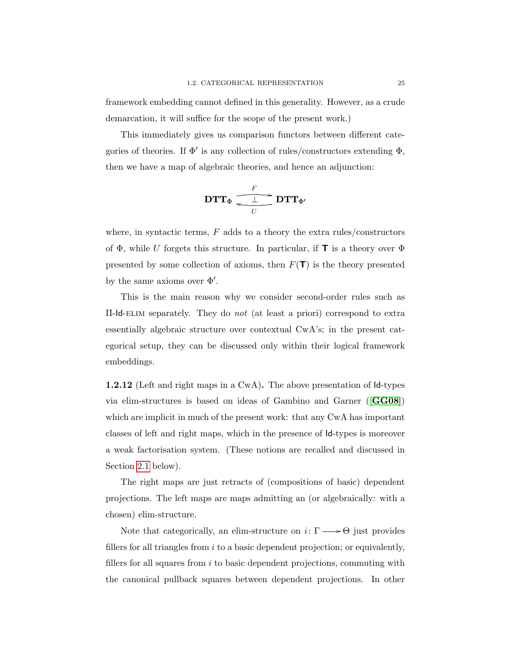framework embedding cannot defined in this generality. However, as a crude demarcation, it will suffice for the scope of the present work.)

This immediately gives us comparison functors between different categories of theories. If  $\Phi'$  is any collection of rules/constructors extending  $\Phi$ , then we have a map of algebraic theories, and hence an adjunction:

$$
\mathbf{DTT}_{\Phi} \xleftarrow{\begin{array}{c}\nF \\
\downarrow \\
U\n\end{array}} \mathbf{DTT}_{\Phi'}
$$

where, in syntactic terms,  $F$  adds to a theory the extra rules/constructors of  $\Phi$ , while U forgets this structure. In particular, if **T** is a theory over  $\Phi$ presented by some collection of axioms, then  $F(T)$  is the theory presented by the same axioms over  $\Phi'$ .

This is the main reason why we consider second-order rules such as Π-Id-elim separately. They do not (at least a priori) correspond to extra essentially algebraic structure over contextual CwA's; in the present categorical setup, they can be discussed only within their logical framework embeddings.

1.2.12 (Left and right maps in a CwA). The above presentation of Id-types via elim-structures is based on ideas of Gambino and Garner ([[GG08](#page-109-3)]) which are implicit in much of the present work: that any CwA has important classes of left and right maps, which in the presence of Id-types is moreover a weak factorisation system. (These notions are recalled and discussed in Section [2.1](#page-38-1) below).

The right maps are just retracts of (compositions of basic) dependent projections. The left maps are maps admitting an (or algebraically: with a chosen) elim-structure.

Note that categorically, an elim-structure on  $i\colon \Gamma {\:\longrightarrow\:} \Theta$  just provides fillers for all triangles from  $i$  to a basic dependent projection; or equivalently, fillers for all squares from  $i$  to basic dependent projections, commuting with the canonical pullback squares between dependent projections. In other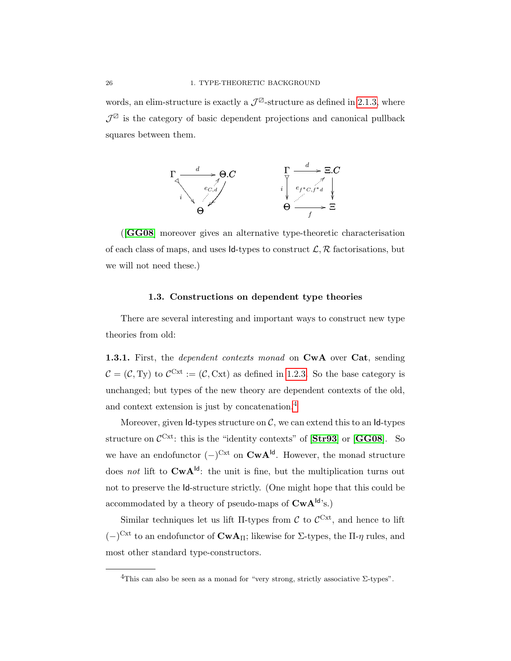words, an elim-structure is exactly a  $\mathcal{J}^{\boxtimes}$ -structure as defined in [2.1.3,](#page-40-0) where  $\mathcal{J}^{\mathbb{Z}}$  is the category of basic dependent projections and canonical pullback squares between them.



([[GG08](#page-109-3)] moreover gives an alternative type-theoretic characterisation of each class of maps, and uses  $Id$ -types to construct  $\mathcal{L}, \mathcal{R}$  factorisations, but we will not need these.)

#### 1.3. Constructions on dependent type theories

<span id="page-33-0"></span>There are several interesting and important ways to construct new type theories from old:

<span id="page-33-1"></span>1.3.1. First, the *dependent contexts monad* on CwA over Cat, sending  $\mathcal{C} = (\mathcal{C}, \mathrm{Ty})$  to  $\mathcal{C}^{\mathrm{Cxt}} := (\mathcal{C}, \mathrm{Cxt})$  as defined in [1.2.3.](#page-28-1) So the base category is unchanged; but types of the new theory are dependent contexts of the old, and context extension is just by concatenation.[4](#page-33-2)

Moreover, given  $Id$ -types structure on  $C$ , we can extend this to an  $Id$ -types structure on  $\mathcal{C}^{\text{Cxt}}$ : this is the "identity contexts" of  $[\text{Str93}]$  $[\text{Str93}]$  $[\text{Str93}]$  or  $[\text{GG08}]$  $[\text{GG08}]$  $[\text{GG08}]$ . So we have an endofunctor  $(-)^{\text{Cxt}}$  on  $\text{CwA}^{\text{Id}}$ . However, the monad structure does not lift to  $CwA^{d}$ : the unit is fine, but the multiplication turns out not to preserve the Id-structure strictly. (One might hope that this could be accommodated by a theory of pseudo-maps of  $CwA^{Id}$ 's.)

Similar techniques let us lift  $\Pi$ -types from C to  $\mathcal{C}^{\text{Cxt}}$ , and hence to lift  $(-)^{\text{Cxt}}$  to an endofunctor of **CwA**Π; likewise for Σ-types, the Π-η rules, and most other standard type-constructors.

<span id="page-33-2"></span><sup>&</sup>lt;sup>4</sup>This can also be seen as a monad for "very strong, strictly associative  $\Sigma$ -types".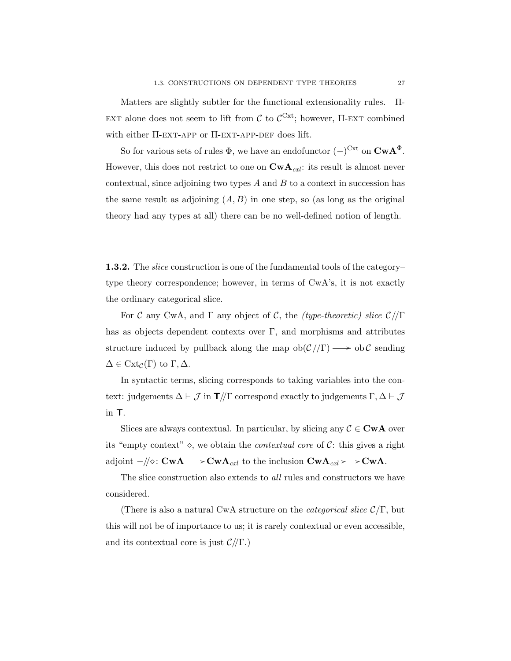Matters are slightly subtler for the functional extensionality rules. Π-EXT alone does not seem to lift from  $\mathcal{C}$  to  $\mathcal{C}^{\text{Cxt}}$ ; however,  $\Pi$ -EXT combined with either  $\Pi$ -EXT-APP or  $\Pi$ -EXT-APP-DEF does lift.

So for various sets of rules  $\Phi$ , we have an endofunctor  $(-)^{\text{Cxt}}$  on  $\text{CwA}^{\Phi}$ . However, this does not restrict to one on  $\mathbf{CwA}_{\mathit{cxl}}$ : its result is almost never contextual, since adjoining two types  $A$  and  $B$  to a context in succession has the same result as adjoining  $(A, B)$  in one step, so (as long as the original theory had any types at all) there can be no well-defined notion of length.

1.3.2. The *slice* construction is one of the fundamental tools of the category– type theory correspondence; however, in terms of CwA's, it is not exactly the ordinary categorical slice.

For C any CwA, and  $\Gamma$  any object of C, the (type-theoretic) slice  $\mathcal{C}/\Gamma$ has as objects dependent contexts over  $\Gamma$ , and morphisms and attributes structure induced by pullback along the map  $ob(\mathcal{C}/\Gamma) \longrightarrow ob\mathcal{C}$  sending  $\Delta \in \text{Cxt}_{\mathcal{C}}(\Gamma)$  to  $\Gamma, \Delta$ .

In syntactic terms, slicing corresponds to taking variables into the context: judgements  $\Delta \vdash \mathcal{J}$  in  $\mathbf{T}/\!/\Gamma$  correspond exactly to judgements  $\Gamma, \Delta \vdash \mathcal{J}$ in T.

Slices are always contextual. In particular, by slicing any  $\mathcal{C} \in \mathbf{Cw}\mathbf{A}$  over its "empty context"  $\diamond$ , we obtain the *contextual core* of  $C$ : this gives a right adjoint  $-/\!\!/\diamond$ : CwA  $\longrightarrow$  CwA<sub>cxl</sub> to the inclusion CwA<sub>cxl</sub>  $\longrightarrow$  CwA.

The slice construction also extends to *all* rules and constructors we have considered.

(There is also a natural CwA structure on the *categorical slice*  $\mathcal{C}/\Gamma$ , but this will not be of importance to us; it is rarely contextual or even accessible, and its contextual core is just  $\mathcal{C}/\Gamma$ .)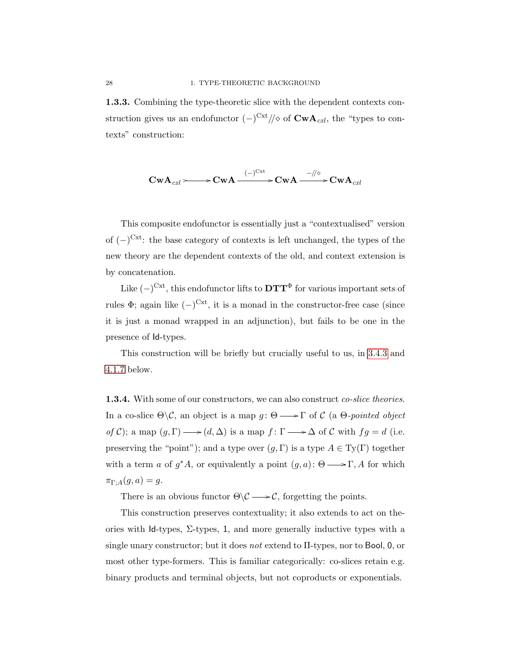1.3.3. Combining the type-theoretic slice with the dependent contexts construction gives us an endofunctor  $(-)^{\text{Cxt}}/\!/\diamond$  of  $\text{CwA}_{\text{c}xt}$ , the "types to contexts" construction:

$$
\mathbf{CwA}_{\mathit{cxl}} \!\!\! \longrightarrow \!\! \mathbf{CwA} \xrightarrow{(-)^{\mathbf{Cxt}}} \!\!\! \mathbf{CwA} \xrightarrow{-/\!/ \diamond} \!\!\! \mathbf{CwA}_{\mathit{cxl}}
$$

This composite endofunctor is essentially just a "contextualised" version of  $(-)^{\text{Cxt}}$ : the base category of contexts is left unchanged, the types of the new theory are the dependent contexts of the old, and context extension is by concatenation.

Like  $(-)^{\text{Cxt}}$ , this endofunctor lifts to  $\mathbf{DTT}^{\Phi}$  for various important sets of rules  $\Phi$ ; again like  $(-)^{\text{Cxt}}$ , it is a monad in the constructor-free case (since it is just a monad wrapped in an adjunction), but fails to be one in the presence of Id-types.

This construction will be briefly but crucially useful to us, in [3.4.3](#page-72-0) and [4.1.7](#page-79-0) below.

**1.3.4.** With some of our constructors, we can also construct *co-slice theories*. In a co-slice  $\Theta \backslash \mathcal{C}$ , an object is a map  $g : \Theta \longrightarrow \Gamma$  of  $\mathcal{C}$  (a  $\Theta$ -pointed object of C); a map  $(g, \Gamma) \longrightarrow (d, \Delta)$  is a map  $f \colon \Gamma \longrightarrow \Delta$  of C with  $fg = d$  (i.e. preserving the "point"); and a type over  $(g, \Gamma)$  is a type  $A \in Ty(\Gamma)$  together with a term a of  $g^*A$ , or equivalently a point  $(g, a)$ :  $\Theta \longrightarrow \Gamma$ , A for which  $\pi_{\Gamma;A}(g,a) = g.$ 

There is an obvious functor  $\Theta \backslash \mathcal{C} \longrightarrow \mathcal{C}$ , forgetting the points.

This construction preserves contextuality; it also extends to act on theories with Id-types,  $\Sigma$ -types, 1, and more generally inductive types with a single unary constructor; but it does not extend to Π-types, nor to Bool, 0, or most other type-formers. This is familiar categorically: co-slices retain e.g. binary products and terminal objects, but not coproducts or exponentials.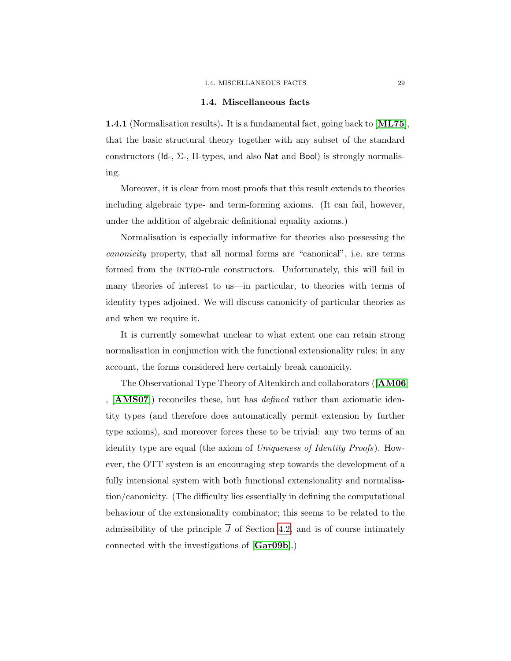#### 1.4. MISCELLANEOUS FACTS 29

#### 1.4. Miscellaneous facts

1.4.1 (Normalisation results). It is a fundamental fact, going back to [[ML75](#page-110-0)], that the basic structural theory together with any subset of the standard constructors (Id-,  $\Sigma$ -,  $\Pi$ -types, and also Nat and Bool) is strongly normalising.

Moreover, it is clear from most proofs that this result extends to theories including algebraic type- and term-forming axioms. (It can fail, however, under the addition of algebraic definitional equality axioms.)

Normalisation is especially informative for theories also possessing the canonicity property, that all normal forms are "canonical", i.e. are terms formed from the INTRO-rule constructors. Unfortunately, this will fail in many theories of interest to us—in particular, to theories with terms of identity types adjoined. We will discuss canonicity of particular theories as and when we require it.

It is currently somewhat unclear to what extent one can retain strong normalisation in conjunction with the functional extensionality rules; in any account, the forms considered here certainly break canonicity.

The Observational Type Theory of Altenkirch and collaborators ([[AM06](#page-108-0)] ,  $[AMSO7]$  reconciles these, but has *defined* rather than axiomatic identity types (and therefore does automatically permit extension by further type axioms), and moreover forces these to be trivial: any two terms of an identity type are equal (the axiom of Uniqueness of Identity Proofs). However, the OTT system is an encouraging step towards the development of a fully intensional system with both functional extensionality and normalisation/canonicity. (The difficulty lies essentially in defining the computational behaviour of the extensionality combinator; this seems to be related to the admissibility of the principle  $\overline{J}$  of Section [4.2,](#page-83-0) and is of course intimately connected with the investigations of [[Gar09b](#page-109-0)].)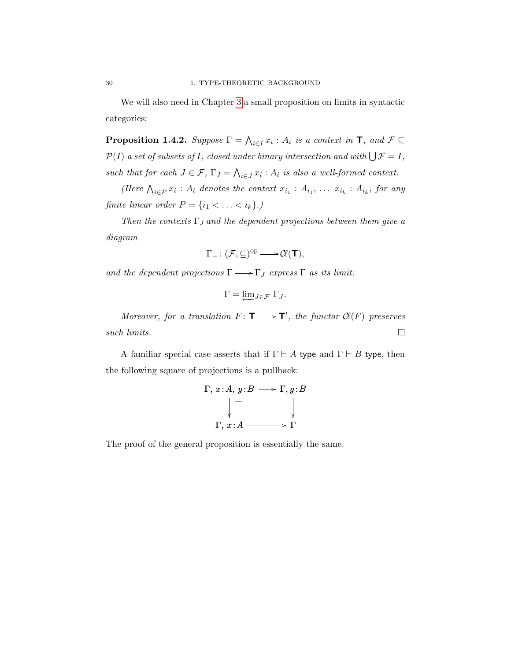We will also need in Chapter [3](#page-60-0) a small proposition on limits in syntactic categories:

<span id="page-37-0"></span>**Proposition 1.4.2.** Suppose  $\Gamma = \bigwedge_{i \in I} x_i : A_i$  is a context in  $\mathsf{T}$ , and  $\mathcal{F} \subseteq$  $\mathcal{P}(I)$  a set of subsets of I, closed under binary intersection and with  $\bigcup \mathcal{F} = I$ , such that for each  $J \in \mathcal{F}$ ,  $\Gamma_J = \bigwedge_{i \in J} x_i : A_i$  is also a well-formed context.

(Here  $\bigwedge_{i\in P} x_i : A_i$  denotes the context  $x_{i_1} : A_{i_1}, \ldots x_{i_k} : A_{i_k}$ , for any finite linear order  $P = \{i_1 < \ldots < i_k\}$ .)

Then the contexts  $\Gamma_J$  and the dependent projections between them give a diagram

$$
\Gamma_- \colon (\mathcal{F}, \subseteq)^{op} \longrightarrow \mathcal{C}\!\ell(T),
$$

and the dependent projections  $\Gamma \longrightarrow \Gamma_J$  express  $\Gamma$  as its limit:

$$
\Gamma = \underleftarrow{\lim} J \in \mathcal{F} \Gamma J.
$$

Moreover, for a translation  $F: T \longrightarrow T'$ , the functor  $Cl(F)$  preserves such limits.  $\Box$ 

A familiar special case asserts that if  $\Gamma \vdash A$  type and  $\Gamma \vdash B$  type, then the following square of projections is a pullback:

$$
\Gamma, x:A, y:B \longrightarrow \Gamma, y:B
$$
\n
$$
\downarrow \qquad \qquad \downarrow
$$
\n
$$
\Gamma, x:A \longrightarrow \Gamma
$$

The proof of the general proposition is essentially the same.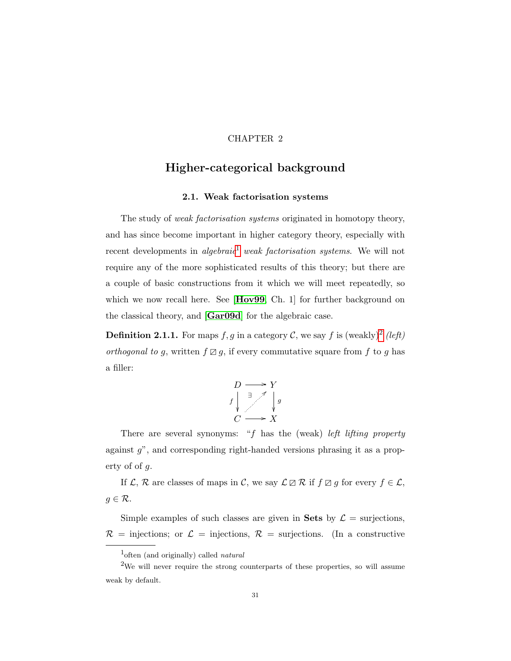## CHAPTER 2

# Higher-categorical background

### 2.1. Weak factorisation systems

The study of *weak factorisation systems* originated in homotopy theory, and has since become important in higher category theory, especially with recent developments in algebraic<sup>[1](#page-38-0)</sup> weak factorisation systems. We will not require any of the more sophisticated results of this theory; but there are a couple of basic constructions from it which we will meet repeatedly, so which we now recall here. See [[Hov99](#page-109-1), Ch. 1] for further background on the classical theory, and [[Gar09d](#page-109-2)] for the algebraic case.

**Definition [2](#page-38-1).1.1.** For maps  $f, g$  in a category C, we say f is (weakly)<sup>2</sup> (left) orthogonal to g, written  $f \boxtimes g$ , if every commutative square from f to g has a filler:



There are several synonyms: " $f$  has the (weak) left lifting property against g", and corresponding right-handed versions phrasing it as a property of of g.

If  $\mathcal{L}, \mathcal{R}$  are classes of maps in  $\mathcal{C}$ , we say  $\mathcal{L} \boxtimes \mathcal{R}$  if  $f \boxtimes g$  for every  $f \in \mathcal{L}$ ,  $g \in \mathcal{R}$ .

Simple examples of such classes are given in Sets by  $\mathcal{L} =$  surjections,  $\mathcal{R}$  = injections; or  $\mathcal{L}$  = injections,  $\mathcal{R}$  = surjections. (In a constructive

<span id="page-38-1"></span><span id="page-38-0"></span><sup>&</sup>lt;sup>1</sup>often (and originally) called *natural* 

<sup>&</sup>lt;sup>2</sup>We will never require the strong counterparts of these properties, so will assume weak by default.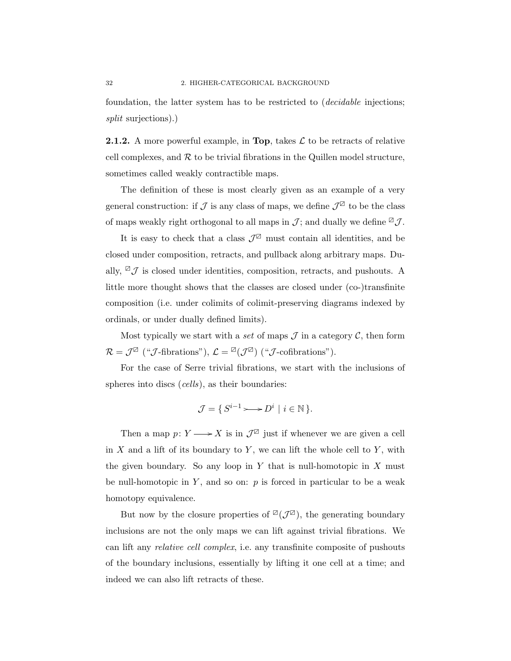foundation, the latter system has to be restricted to (decidable injections; split surjections).)

<span id="page-39-0"></span>**2.1.2.** A more powerful example, in Top, takes  $\mathcal{L}$  to be retracts of relative cell complexes, and  $R$  to be trivial fibrations in the Quillen model structure, sometimes called weakly contractible maps.

The definition of these is most clearly given as an example of a very general construction: if  $\mathcal J$  is any class of maps, we define  $\mathcal J^{\boxtimes}$  to be the class of maps weakly right orthogonal to all maps in  $\mathcal{J}$ ; and dually we define  $\mathbb{Z} \mathcal{J}$ .

It is easy to check that a class  $\mathcal{J}^{\boxtimes}$  must contain all identities, and be closed under composition, retracts, and pullback along arbitrary maps. Dually,  $\mathbb{Z} \mathcal{J}$  is closed under identities, composition, retracts, and pushouts. A little more thought shows that the classes are closed under (co-)transfinite composition (i.e. under colimits of colimit-preserving diagrams indexed by ordinals, or under dually defined limits).

Most typically we start with a set of maps  $\mathcal J$  in a category  $\mathcal C$ , then form  $\mathcal{R} = \mathcal{J}^{\boxtimes}$  (" $\mathcal{J}\text{-fibrations}$ "),  $\mathcal{L} = {}^{\boxtimes}(\mathcal{J}^{\boxtimes})$  (" $\mathcal{J}\text{-cofibrations}$ ").

For the case of Serre trivial fibrations, we start with the inclusions of spheres into discs (*cells*), as their boundaries:

$$
\mathcal{J} = \{ S^{i-1} \rightarrowtail D^i \mid i \in \mathbb{N} \}.
$$

Then a map  $p: Y \longrightarrow X$  is in  $\mathcal{J}^{\mathbb{Z}}$  just if whenever we are given a cell in  $X$  and a lift of its boundary to  $Y$ , we can lift the whole cell to  $Y$ , with the given boundary. So any loop in  $Y$  that is null-homotopic in  $X$  must be null-homotopic in  $Y$ , and so on:  $p$  is forced in particular to be a weak homotopy equivalence.

But now by the closure properties of  $\mathbb{Z}(\mathcal{J}^{\mathbb{Z}})$ , the generating boundary inclusions are not the only maps we can lift against trivial fibrations. We can lift any relative cell complex, i.e. any transfinite composite of pushouts of the boundary inclusions, essentially by lifting it one cell at a time; and indeed we can also lift retracts of these.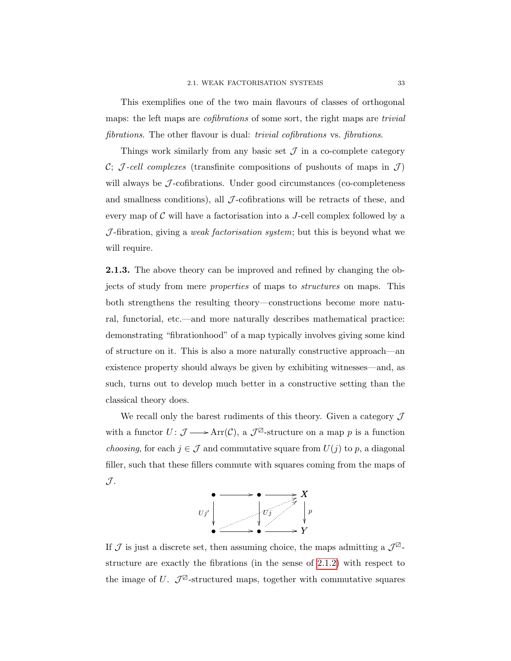This exemplifies one of the two main flavours of classes of orthogonal maps: the left maps are *cofibrations* of some sort, the right maps are *trivial* fibrations. The other flavour is dual: *trivial cofibrations* vs. *fibrations*.

Things work similarly from any basic set  $\mathcal J$  in a co-complete category C; J-cell complexes (transfinite compositions of pushouts of maps in  $\mathcal{J}$ ) will always be  $J$ -cofibrations. Under good circumstances (co-completeness and smallness conditions), all  $\mathcal{J}$ -cofibrations will be retracts of these, and every map of  $\mathcal C$  will have a factorisation into a J-cell complex followed by a  $J$ -fibration, giving a *weak factorisation system*; but this is beyond what we will require.

<span id="page-40-0"></span>2.1.3. The above theory can be improved and refined by changing the objects of study from mere properties of maps to structures on maps. This both strengthens the resulting theory—constructions become more natural, functorial, etc.—and more naturally describes mathematical practice: demonstrating "fibrationhood" of a map typically involves giving some kind of structure on it. This is also a more naturally constructive approach—an existence property should always be given by exhibiting witnesses—and, as such, turns out to develop much better in a constructive setting than the classical theory does.

We recall only the barest rudiments of this theory. Given a category  $\mathcal J$ with a functor  $U: \mathcal{J} \longrightarrow \text{Arr}(\mathcal{C}),$  a  $\mathcal{J}^{\boxtimes}$ -structure on a map p is a function *choosing*, for each  $j \in \mathcal{J}$  and commutative square from  $U(j)$  to p, a diagonal filler, such that these fillers commute with squares coming from the maps of  $\mathcal{J}.$ 



If  $\mathcal J$  is just a discrete set, then assuming choice, the maps admitting a  $\mathcal J^{\boxtimes}$ structure are exactly the fibrations (in the sense of [2.1.2\)](#page-39-0) with respect to the image of U.  $\mathcal{J}^{\boxtimes}$ -structured maps, together with commutative squares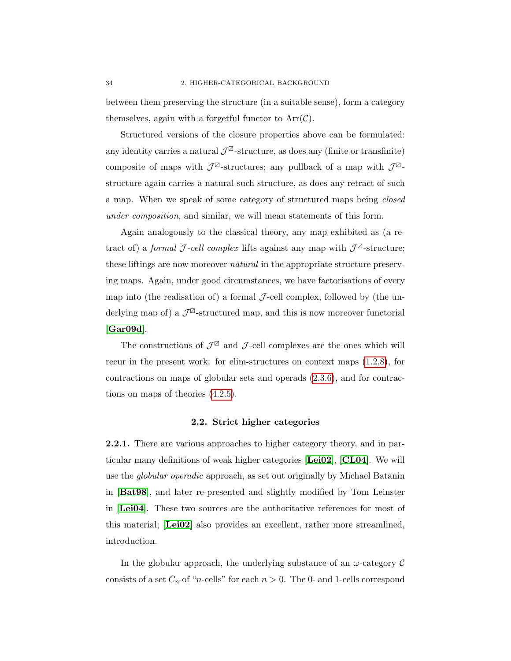between them preserving the structure (in a suitable sense), form a category themselves, again with a forgetful functor to  $Arr(\mathcal{C})$ .

Structured versions of the closure properties above can be formulated: any identity carries a natural  $\mathcal{J}^{\boxtimes}$ -structure, as does any (finite or transfinite) composite of maps with  $\mathcal{J}^{\boxtimes}$ -structures; any pullback of a map with  $\mathcal{J}^{\boxtimes}$ structure again carries a natural such structure, as does any retract of such a map. When we speak of some category of structured maps being closed under composition, and similar, we will mean statements of this form.

Again analogously to the classical theory, any map exhibited as (a retract of) a *formal* J-cell complex lifts against any map with  $\mathcal{J}^{\boxtimes}$ -structure; these liftings are now moreover natural in the appropriate structure preserving maps. Again, under good circumstances, we have factorisations of every map into (the realisation of) a formal  $\mathcal{J}\text{-cell complex}$ , followed by (the underlying map of) a  $\mathcal{J}^{\boxtimes}$ -structured map, and this is now moreover functorial [[Gar09d](#page-109-2)].

The constructions of  $\mathcal{J}^{\boxtimes}$  and  $\mathcal{J}\text{-cell}$  complexes are the ones which will recur in the present work: for elim-structures on context maps [\(1.2.8\)](#page-30-0), for contractions on maps of globular sets and operads [\(2.3.6\)](#page-49-0), and for contractions on maps of theories [\(4.2.5\)](#page-85-0).

#### 2.2. Strict higher categories

2.2.1. There are various approaches to higher category theory, and in particular many definitions of weak higher categories [[Lei02](#page-110-1)], [[CL04](#page-108-2)]. We will use the globular operadic approach, as set out originally by Michael Batanin in [[Bat98](#page-108-3)], and later re-presented and slightly modified by Tom Leinster in [[Lei04](#page-110-2)]. These two sources are the authoritative references for most of this material; [[Lei02](#page-110-1)] also provides an excellent, rather more streamlined, introduction.

In the globular approach, the underlying substance of an  $\omega$ -category  $\mathcal C$ consists of a set  $C_n$  of "*n*-cells" for each  $n > 0$ . The 0- and 1-cells correspond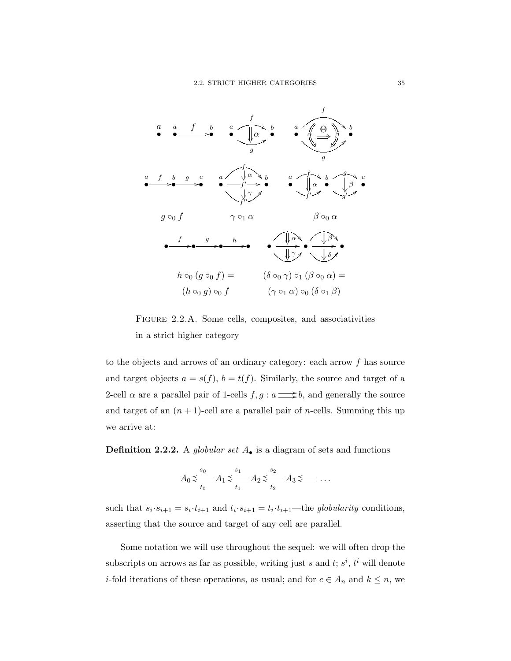

<span id="page-42-0"></span>Figure 2.2.A. Some cells, composites, and associativities in a strict higher category

to the objects and arrows of an ordinary category: each arrow  $f$  has source and target objects  $a = s(f)$ ,  $b = t(f)$ . Similarly, the source and target of a 2-cell  $\alpha$  are a parallel pair of 1-cells  $f, g : a \longrightarrow b$ , and generally the source and target of an  $(n + 1)$ -cell are a parallel pair of *n*-cells. Summing this up we arrive at:

**Definition 2.2.2.** A globular set  $A_{\bullet}$  is a diagram of sets and functions

$$
A_0 \leqslant \frac{s_0}{t_0} A_1 \leqslant \frac{s_1}{t_1} A_2 \leqslant \frac{s_2}{t_2} A_3 \leqslant \dots
$$

such that  $s_i \cdot s_{i+1} = s_i \cdot t_{i+1}$  and  $t_i \cdot s_{i+1} = t_i \cdot t_{i+1}$ —the globularity conditions, asserting that the source and target of any cell are parallel.

Some notation we will use throughout the sequel: we will often drop the subscripts on arrows as far as possible, writing just s and t;  $s^i$ ,  $t^i$  will denote *i*-fold iterations of these operations, as usual; and for  $c \in A_n$  and  $k \leq n$ , we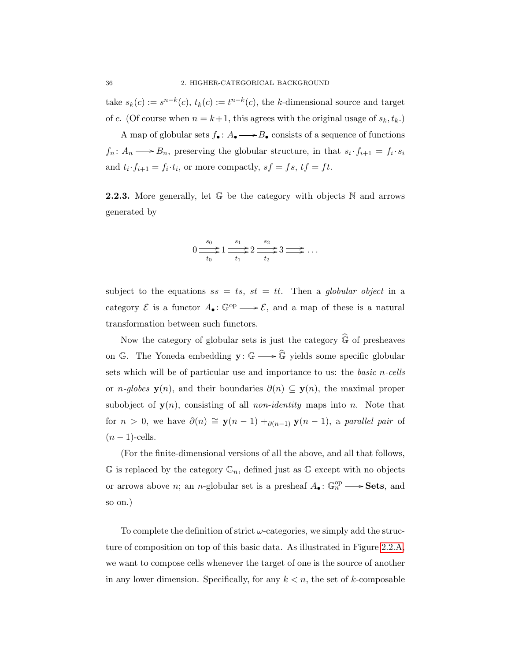take  $s_k(c) := s^{n-k}(c)$ ,  $t_k(c) := t^{n-k}(c)$ , the k-dimensional source and target of c. (Of course when  $n = k+1$ , this agrees with the original usage of  $s_k, t_k$ .)

A map of globular sets  $f_{\bullet} : A_{\bullet} \longrightarrow B_{\bullet}$  consists of a sequence of functions  $f_n: A_n \longrightarrow B_n$ , preserving the globular structure, in that  $s_i \cdot f_{i+1} = f_i \cdot s_i$ and  $t_i \cdot f_{i+1} = f_i \cdot t_i$ , or more compactly,  $sf = fs$ ,  $tf = ft$ .

**2.2.3.** More generally, let  $\mathbb{G}$  be the category with objects  $\mathbb{N}$  and arrows generated by

$$
0 \xrightarrow[t_0]{s_0} 1 \xrightarrow[t_1]{s_1} 2 \xrightarrow[t_2]{s_2} 3 \xrightarrow[t_2]{\cdots}
$$

subject to the equations  $ss = ts, st = tt$ . Then a globular object in a category  $\mathcal E$  is a functor  $A_{\bullet} : \mathbb G^{\text{op}} \longrightarrow \mathcal E$ , and a map of these is a natural transformation between such functors.

Now the category of globular sets is just the category  $\widehat{\mathbb{G}}$  of presheaves on G. The Yoneda embedding  $\mathbf{y}: \mathbb{G} \longrightarrow \widehat{\mathbb{G}}$  yields some specific globular sets which will be of particular use and importance to us: the *basic n-cells* or *n-globes*  $y(n)$ , and their boundaries  $\partial(n) \subseteq y(n)$ , the maximal proper subobject of  $y(n)$ , consisting of all *non-identity* maps into *n*. Note that for  $n > 0$ , we have  $\partial(n) \cong y(n-1) +_{\partial(n-1)} y(n-1)$ , a parallel pair of  $(n-1)$ -cells.

(For the finite-dimensional versions of all the above, and all that follows,  $\mathbb G$  is replaced by the category  $\mathbb G_n$ , defined just as  $\mathbb G$  except with no objects or arrows above *n*; an *n*-globular set is a presheaf  $A_{\bullet} : \mathbb{G}_n^{\text{op}} \longrightarrow$  **Sets**, and so on.)

To complete the definition of strict  $\omega$ -categories, we simply add the structure of composition on top of this basic data. As illustrated in Figure [2.2.A,](#page-42-0) we want to compose cells whenever the target of one is the source of another in any lower dimension. Specifically, for any  $k < n$ , the set of k-composable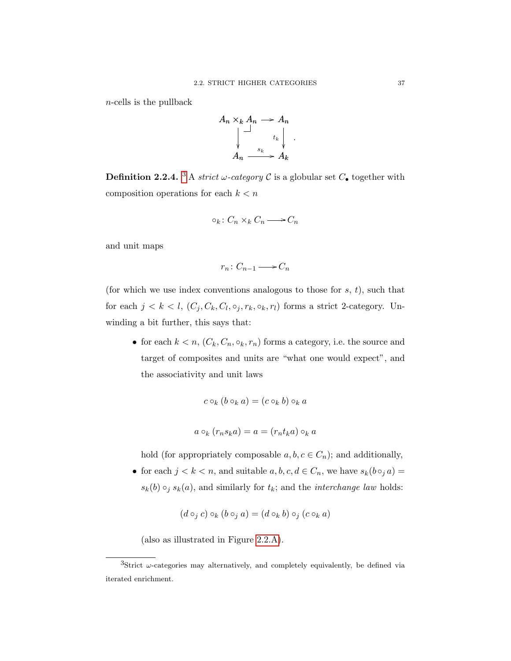n-cells is the pullback



**Definition 2.2.4.** <sup>[3](#page-44-0)</sup> A *strict*  $\omega$ -category  $\mathcal C$  is a globular set  $C_{\bullet}$  together with composition operations for each  $k < n$ 

$$
\circ_k \colon C_n \times_k C_n \longrightarrow C_n
$$

and unit maps

$$
r_n\colon C_{n-1}\longrightarrow C_n
$$

(for which we use index conventions analogous to those for  $s, t$ ), such that for each  $j < k < l$ ,  $(C_j, C_k, C_l, \circ_j, r_k, \circ_k, r_l)$  forms a strict 2-category. Unwinding a bit further, this says that:

• for each  $k < n$ ,  $(C_k, C_n, \circ_k, r_n)$  forms a category, i.e. the source and target of composites and units are "what one would expect", and the associativity and unit laws

$$
c \circ_k (b \circ_k a) = (c \circ_k b) \circ_k a
$$

$$
a \circ_k (r_n s_k a) = a = (r_n t_k a) \circ_k a
$$

hold (for appropriately composable  $a, b, c \in C_n$ ); and additionally,

• for each  $j < k < n$ , and suitable  $a, b, c, d \in C_n$ , we have  $s_k(b \circ_j a) =$  $s_k(b) \circ_j s_k(a)$ , and similarly for  $t_k$ ; and the *interchange law* holds:

$$
(d \circ_j c) \circ_k (b \circ_j a) = (d \circ_k b) \circ_j (c \circ_k a)
$$

(also as illustrated in Figure [2.2.A\)](#page-42-0).

<span id="page-44-0"></span> ${}^{3}$ Strict  $\omega$ -categories may alternatively, and completely equivalently, be defined via iterated enrichment.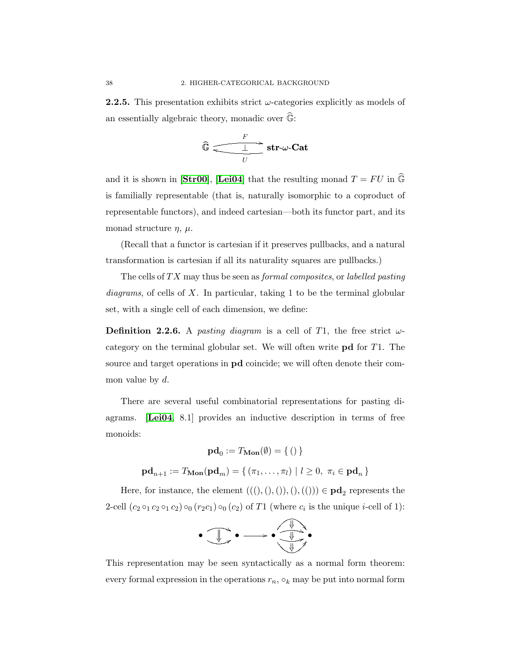**2.2.5.** This presentation exhibits strict  $\omega$ -categories explicitly as models of an essentially algebraic theory, monadic over  $\widehat{\mathbb{G}}$ :

$$
\widehat{\mathbb{G}} \xrightarrow[\qquad U]{F} \textbf{str}\text{-}\omega\text{-}\textbf{Cat}
$$

and it is shown in [[Str00](#page-111-0)], [[Lei04](#page-110-2)] that the resulting monad  $T = FU$  in  $\widehat{\mathbb{G}}$ is familially representable (that is, naturally isomorphic to a coproduct of representable functors), and indeed cartesian—both its functor part, and its monad structure  $\eta$ ,  $\mu$ .

(Recall that a functor is cartesian if it preserves pullbacks, and a natural transformation is cartesian if all its naturality squares are pullbacks.)

The cells of  $TX$  may thus be seen as *formal composites*, or *labelled pasting*  $diagrams$ , of cells of  $X$ . In particular, taking 1 to be the terminal globular set, with a single cell of each dimension, we define:

<span id="page-45-0"></span>**Definition 2.2.6.** A pasting diagram is a cell of T1, the free strict  $\omega$ category on the terminal globular set. We will often write pd for T1. The source and target operations in pd coincide; we will often denote their common value by  $d$ .

There are several useful combinatorial representations for pasting diagrams. [[Lei04](#page-110-2), 8.1] provides an inductive description in terms of free monoids:

$$
\mathbf{pd}_0 := T_{\mathbf{Mon}}(\emptyset) = \{ () \}
$$
  

$$
\mathbf{pd}_{n+1} := T_{\mathbf{Mon}}(\mathbf{pd}_m) = \{ (\pi_1, \dots, \pi_l) \mid l \ge 0, \ \pi_i \in \mathbf{pd}_n \}
$$

Here, for instance, the element  $(((),)),((),(()) \in \mathbf{pd}_2$  represents the 2-cell  $(c_2 \circ_1 c_2 \circ_1 c_2) \circ_0 (r_2 c_1) \circ_0 (c_2)$  of T1 (where  $c_i$  is the unique *i*-cell of 1):

$$
\bullet \xrightarrow{\text{!}} \bullet \xrightarrow{\text{!}} \bullet \xrightarrow{\text{!}} \bullet
$$

This representation may be seen syntactically as a normal form theorem: every formal expression in the operations  $r_n$ ,  $\circ_k$  may be put into normal form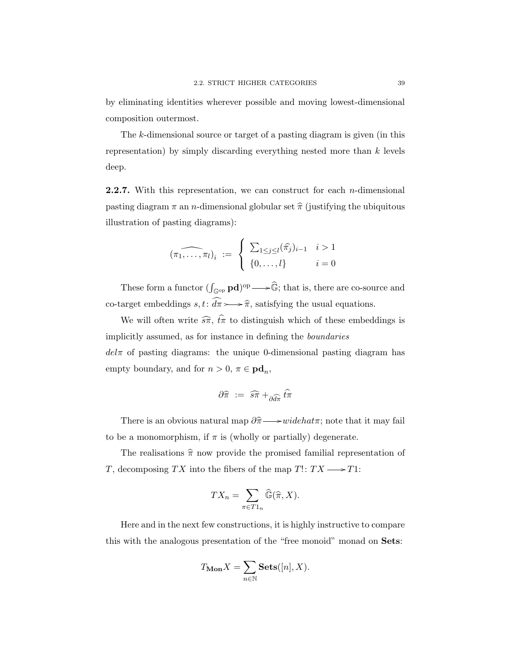by eliminating identities wherever possible and moving lowest-dimensional composition outermost.

The k-dimensional source or target of a pasting diagram is given (in this representation) by simply discarding everything nested more than  $k$  levels deep.

<span id="page-46-0"></span>**2.2.7.** With this representation, we can construct for each *n*-dimensional pasting diagram  $\pi$  an *n*-dimensional globular set  $\hat{\pi}$  (justifying the ubiquitous illustration of pasting diagrams):

$$
(\widehat{\pi_1,\ldots,\pi_l})_i \ := \ \left\{ \begin{array}{ll} \sum_{1\leq j\leq l}(\widehat{\pi_j})_{i-1} & i>1 \\ \{0,\ldots,l\} & i=0 \end{array} \right.
$$

These form a functor  $(\int_{\mathbb{G}^{op}} \mathbf{p} \mathbf{d})^{\text{op}} \longrightarrow \widehat{\mathbb{G}}$ ; that is, there are co-source and co-target embeddings  $s, t: \widehat{d\pi} \rightarrow \widehat{\pi}$ , satisfying the usual equations.

We will often write  $\widehat{s\pi}$ ,  $\widehat{t\pi}$  to distinguish which of these embeddings is implicitly assumed, as for instance in defining the boundaries  $del\pi$  of pasting diagrams: the unique 0-dimensional pasting diagram has empty boundary, and for  $n > 0$ ,  $\pi \in \mathbf{pd}_n$ ,

$$
\partial \widehat{\pi} \; := \; \widehat{s\pi} +_{\partial \widehat{d\pi}} \widehat{t\pi}
$$

There is an obvious natural map  $\partial \hat{\pi} \longrightarrow widehat{\pi}$ ; note that it may fail to be a monomorphism, if  $\pi$  is (wholly or partially) degenerate.

The realisations  $\hat{\pi}$  now provide the promised familial representation of T, decomposing TX into the fibers of the map  $T! : TX \longrightarrow T1$ :

$$
TX_n = \sum_{\pi \in T1_n} \widehat{\mathbb{G}}(\widehat{\pi}, X).
$$

Here and in the next few constructions, it is highly instructive to compare this with the analogous presentation of the "free monoid" monad on Sets:

$$
T_{\mathbf{Mon}} X = \sum_{n \in \mathbb{N}} \mathbf{Sets}([n], X).
$$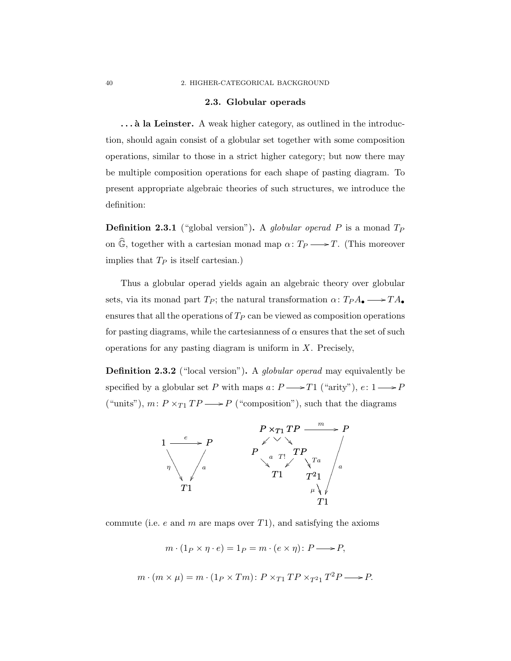### 2.3. Globular operads

... à la Leinster. A weak higher category, as outlined in the introduction, should again consist of a globular set together with some composition operations, similar to those in a strict higher category; but now there may be multiple composition operations for each shape of pasting diagram. To present appropriate algebraic theories of such structures, we introduce the definition:

**Definition 2.3.1** ("global version"). A globular operad P is a monad  $T_P$ on  $\widehat{\mathbb{G}}$ , together with a cartesian monad map  $\alpha \colon T_P \longrightarrow T$ . (This moreover implies that  $T_P$  is itself cartesian.)

Thus a globular operad yields again an algebraic theory over globular sets, via its monad part  $T_P$ ; the natural transformation  $\alpha: T_P A_{\bullet} \longrightarrow T A_{\bullet}$ ensures that all the operations of  $T_P$  can be viewed as composition operations for pasting diagrams, while the cartesianness of  $\alpha$  ensures that the set of such operations for any pasting diagram is uniform in  $X$ . Precisely,

**Definition 2.3.2** ("local version"). A *globular operad* may equivalently be specified by a globular set  $P$  with maps  $a\colon P {\:\longrightarrow\:} T1$  ("arity"),  $e\colon 1 {\:\longrightarrow\:} P$ ("units"),  $m\colon P\times_{T1} TP \longrightarrow P$  ("composition"), such that the diagrams



commute (i.e.  $e$  and  $m$  are maps over  $T1$ ), and satisfying the axioms

$$
m \cdot (1_P \times \eta \cdot e) = 1_P = m \cdot (e \times \eta) : P \longrightarrow P,
$$

$$
m \cdot (m \times \mu) = m \cdot (1_P \times Tm) : P \times_{T1} TP \times_{T21} T^2P \longrightarrow P.
$$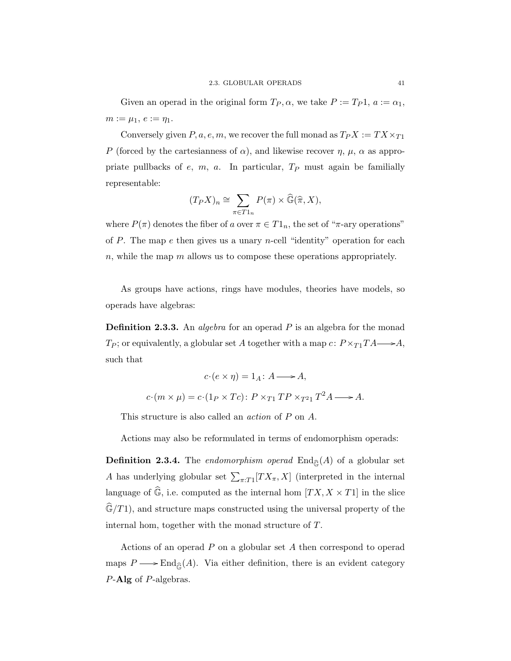Given an operad in the original form  $T_P$ ,  $\alpha$ , we take  $P := T_P 1$ ,  $a := \alpha_1$ ,  $m := \mu_1, e := \eta_1.$ 

Conversely given  $P, a, e, m$ , we recover the full monad as  $T_P X := TX \times_{T_1} X$ P (forced by the cartesianness of  $\alpha$ ), and likewise recover  $\eta$ ,  $\mu$ ,  $\alpha$  as appropriate pullbacks of  $e$ ,  $m$ ,  $a$ . In particular,  $T_P$  must again be familially representable:

$$
(T_P X)_n \cong \sum_{\pi \in T1_n} P(\pi) \times \widehat{\mathbb{G}}(\widehat{\pi}, X),
$$

where  $P(\pi)$  denotes the fiber of a over  $\pi \in T1_n$ , the set of " $\pi$ -ary operations" of  $P$ . The map  $e$  then gives us a unary *n*-cell "identity" operation for each  $n$ , while the map  $m$  allows us to compose these operations appropriately.

As groups have actions, rings have modules, theories have models, so operads have algebras:

**Definition 2.3.3.** An *algebra* for an operad  $P$  is an algebra for the monad  $T_P$ ; or equivalently, a globular set A together with a map  $c: P \times_{T_1} T A \longrightarrow A$ , such that

$$
c \cdot (e \times \eta) = 1_A \colon A \longrightarrow A,
$$
  

$$
c \cdot (m \times \mu) = c \cdot (1_P \times Tc) \colon P \times_{T1} TP \times_{T^2} T^2 A \longrightarrow A.
$$

This structure is also called an *action* of P on A.

Actions may also be reformulated in terms of endomorphism operads:

**Definition 2.3.4.** The endomorphism operad  $\text{End}_{\widehat{\mathbb{G}}}(A)$  of a globular set A has underlying globular set  $\sum_{\pi:T}[TX_{\pi},X]$  (interpreted in the internal language of  $\widehat{\mathbb{G}}$ , i.e. computed as the internal hom  $[T X, X \times T1]$  in the slice  $\widehat{\mathbb{G}}/T1$ , and structure maps constructed using the universal property of the internal hom, together with the monad structure of T.

Actions of an operad P on a globular set A then correspond to operad maps  $P \longrightarrow \text{End}_{\hat{G}}(A)$ . Via either definition, there is an evident category P-Alg of P-algebras.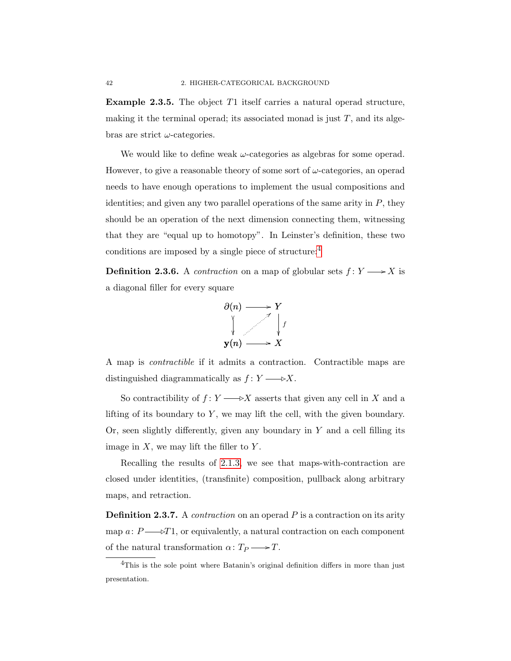Example 2.3.5. The object T1 itself carries a natural operad structure, making it the terminal operad; its associated monad is just  $T$ , and its algebras are strict  $\omega$ -categories.

We would like to define weak  $\omega$ -categories as algebras for some operad. However, to give a reasonable theory of some sort of  $\omega$ -categories, an operad needs to have enough operations to implement the usual compositions and identities; and given any two parallel operations of the same arity in  $P$ , they should be an operation of the next dimension connecting them, witnessing that they are "equal up to homotopy". In Leinster's definition, these two conditions are imposed by a single piece of structure:[4](#page-49-1)

<span id="page-49-0"></span>**Definition 2.3.6.** A *contraction* on a map of globular sets  $f: Y \longrightarrow X$  is a diagonal filler for every square



A map is contractible if it admits a contraction. Contractible maps are distinguished diagrammatically as  $f: Y \longrightarrow X$ .

So contractibility of  $f: Y \longrightarrow X$  asserts that given any cell in X and a lifting of its boundary to  $Y$ , we may lift the cell, with the given boundary. Or, seen slightly differently, given any boundary in  $Y$  and a cell filling its image in  $X$ , we may lift the filler to  $Y$ .

Recalling the results of [2.1.3,](#page-40-0) we see that maps-with-contraction are closed under identities, (transfinite) composition, pullback along arbitrary maps, and retraction.

**Definition 2.3.7.** A *contraction* on an operad  $P$  is a contraction on its arity map  $a: P \longrightarrow T1$ , or equivalently, a natural contraction on each component j of the natural transformation  $\alpha\colon T_P\longrightarrow T$ .

<span id="page-49-1"></span> ${}^{4}$ This is the sole point where Batanin's original definition differs in more than just presentation.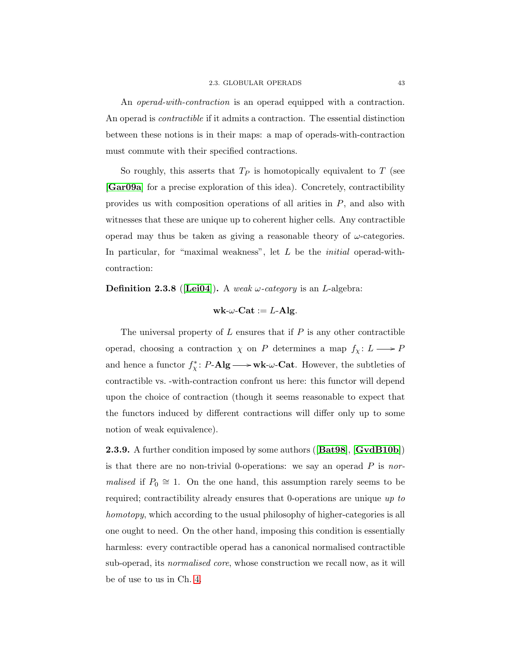An *operad-with-contraction* is an operad equipped with a contraction. An operad is contractible if it admits a contraction. The essential distinction between these notions is in their maps: a map of operads-with-contraction must commute with their specified contractions.

So roughly, this asserts that  $T_P$  is homotopically equivalent to  $T$  (see [[Gar09a](#page-109-3)] for a precise exploration of this idea). Concretely, contractibility provides us with composition operations of all arities in P, and also with witnesses that these are unique up to coherent higher cells. Any contractible operad may thus be taken as giving a reasonable theory of  $\omega$ -categories. In particular, for "maximal weakness", let  $L$  be the *initial* operad-withcontraction:

**Definition 2.3.8** ([[Lei04](#page-110-2)]). A weak  $\omega$ -category is an *L*-algebra:

$$
\mathbf{wk} \text{-} \omega\text{-}\mathbf{Cat} := L\text{-}\mathbf{Alg}.
$$

The universal property of  $L$  ensures that if  $P$  is any other contractible operad, choosing a contraction  $\chi$  on P determines a map  $f_{\chi} \colon L \longrightarrow P$ and hence a functor  $f_{\chi}^*$ :  $P\text{-}{\bf Alg} \longrightarrow$  wk- $\omega$ -Cat. However, the subtleties of contractible vs. -with-contraction confront us here: this functor will depend upon the choice of contraction (though it seems reasonable to expect that the functors induced by different contractions will differ only up to some notion of weak equivalence).

**2.3.9.** A further condition imposed by some authors ([[Bat98](#page-108-3)], [[GvdB10b](#page-109-4)]) is that there are no non-trivial 0-operations: we say an operad  $P$  is normalised if  $P_0 \cong 1$ . On the one hand, this assumption rarely seems to be required; contractibility already ensures that 0-operations are unique up to homotopy, which according to the usual philosophy of higher-categories is all one ought to need. On the other hand, imposing this condition is essentially harmless: every contractible operad has a canonical normalised contractible sub-operad, its normalised core, whose construction we recall now, as it will be of use to us in Ch. [4.](#page-74-0)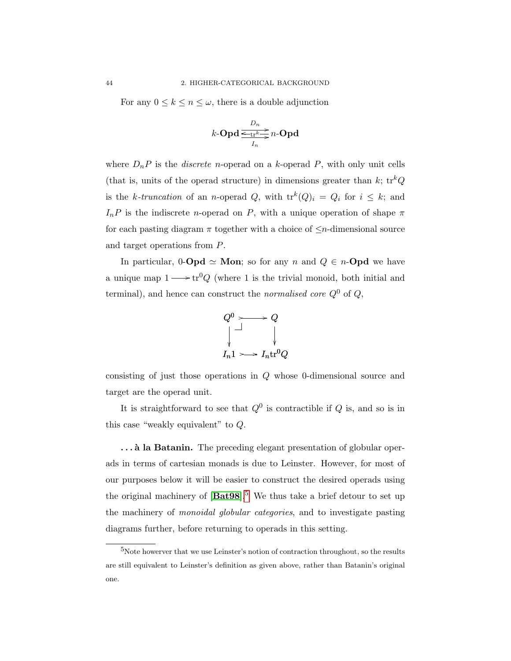For any  $0 \leq k \leq n \leq \omega$ , there is a double adjunction

$$
k\text{-}\mathbf{Opd} \xrightarrow[I_n]{D_n} n\text{-}\mathbf{Opd}
$$

where  $D_nP$  is the *discrete n*-operad on a *k*-operad *P*, with only unit cells (that is, units of the operad structure) in dimensions greater than  $k$ ;  $\text{tr}^kQ$ is the k-truncation of an n-operad Q, with  $tr^k(Q)_i = Q_i$  for  $i \leq k$ ; and  $I_nP$  is the indiscrete *n*-operad on P, with a unique operation of shape  $\pi$ for each pasting diagram  $\pi$  together with a choice of  $\leq n$ -dimensional source and target operations from P.

In particular, 0-**Opd**  $\simeq$  **Mon**; so for any n and  $Q \in n$ -**Opd** we have a unique map  $1 \longrightarrow \text{tr}^0 Q$  (where 1 is the trivial monoid, both initial and terminal), and hence can construct the *normalised core*  $Q^0$  of  $Q$ ,



consisting of just those operations in Q whose 0-dimensional source and target are the operad unit.

It is straightforward to see that  $Q^0$  is contractible if  $Q$  is, and so is in this case "weakly equivalent" to Q.

... **à la Batanin.** The preceding elegant presentation of globular operads in terms of cartesian monads is due to Leinster. However, for most of our purposes below it will be easier to construct the desired operads using the original machinery of  $[\text{Bat98}]$  $[\text{Bat98}]$  $[\text{Bat98}]$ .<sup>[5](#page-51-0)</sup> We thus take a brief detour to set up the machinery of monoidal globular categories, and to investigate pasting diagrams further, before returning to operads in this setting.

<span id="page-51-0"></span><sup>5</sup>Note howerver that we use Leinster's notion of contraction throughout, so the results are still equivalent to Leinster's definition as given above, rather than Batanin's original one.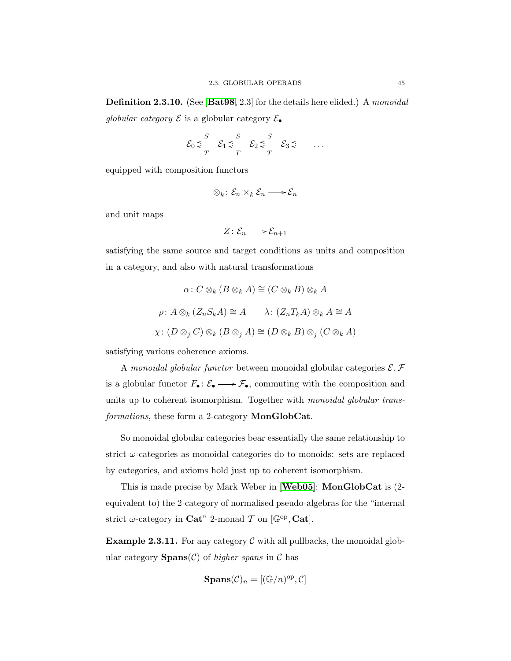**Definition 2.3.10.** (See [[Bat98](#page-108-3), 2.3] for the details here elided.) A monoidal globular category  $\mathcal E$  is a globular category  $\mathcal E_{\bullet}$ 

$$
\mathcal{E}_0 \leqslant \frac{S}{T} \mathcal{E}_1 \leqslant \frac{S}{T} \mathcal{E}_2 \leqslant \frac{S}{T} \mathcal{E}_3 \leqslant \ldots
$$

equipped with composition functors

$$
\otimes_k : \mathcal{E}_n \times_k \mathcal{E}_n \longrightarrow \mathcal{E}_n
$$

and unit maps

$$
Z\colon \mathcal{E}_n\longrightarrow \mathcal{E}_{n+1}
$$

satisfying the same source and target conditions as units and composition in a category, and also with natural transformations

$$
\alpha: C \otimes_k (B \otimes_k A) \cong (C \otimes_k B) \otimes_k A
$$
  

$$
\rho: A \otimes_k (Z_n S_k A) \cong A \qquad \lambda: (Z_n T_k A) \otimes_k A \cong A
$$
  

$$
\chi: (D \otimes_j C) \otimes_k (B \otimes_j A) \cong (D \otimes_k B) \otimes_j (C \otimes_k A)
$$

satisfying various coherence axioms.

A monoidal globular functor between monoidal globular categories  $\mathcal{E}, \mathcal{F}$ is a globular functor  $F_{\bullet}: \mathcal{E}_{\bullet} \longrightarrow \mathcal{F}_{\bullet}$ , commuting with the composition and units up to coherent isomorphism. Together with *monoidal globular trans*formations, these form a 2-category **MonGlobCat**.

So monoidal globular categories bear essentially the same relationship to strict  $\omega$ -categories as monoidal categories do to monoids: sets are replaced by categories, and axioms hold just up to coherent isomorphism.

This is made precise by Mark Weber in [[Web05](#page-111-1)]: MonGlobCat is (2 equivalent to) the 2-category of normalised pseudo-algebras for the "internal strict  $\omega$ -category in **Cat**" 2-monad  $\mathcal{T}$  on [ $\mathbb{G}^{op}$ , **Cat**].

**Example 2.3.11.** For any category  $\mathcal C$  with all pullbacks, the monoidal globular category  $\text{Spans}(\mathcal{C})$  of higher spans in  $\mathcal C$  has

$$
\mathbf{Spans}(\mathcal{C})_n = [(\mathbb{G}/n)^{\mathrm{op}}, \mathcal{C}]
$$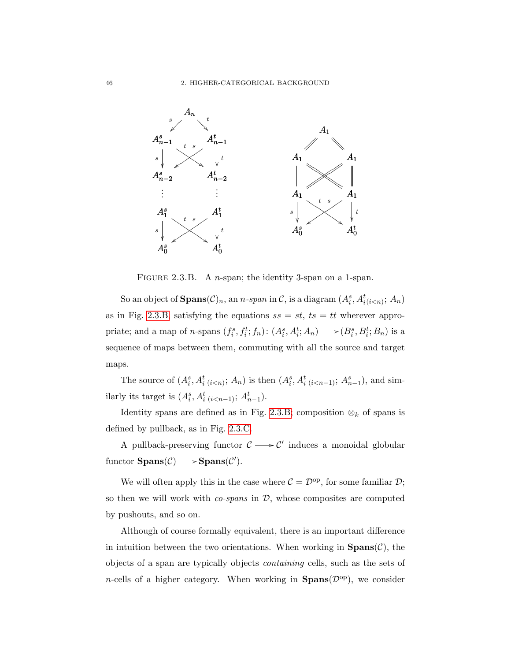

<span id="page-53-0"></span>FIGURE 2.3.B. A *n*-span; the identity 3-span on a 1-span.

So an object of  $\mathbf{Spans}(\mathcal{C})_n$ , an n-span in  $\mathcal{C}$ , is a diagram  $(A_i^s, A_{i(i$ as in Fig. [2.3.B,](#page-53-0) satisfying the equations  $ss = st$ ,  $ts = tt$  wherever appropriate; and a map of n-spans  $(f_i^s, f_i^t; f_n)$ :  $(A_i^s, A_i^t; A_n) \longrightarrow (B_i^s, B_i^t; B_n)$  is a sequence of maps between them, commuting with all the source and target maps.

The source of  $(A_i^s, A_i^t_{(i \leq n)}; A_n)$  is then  $(A_i^s, A_i^t_{(i \leq n-1)}; A_{n-1}^s)$ , and similarly its target is  $(A_i^s, A_{i(i(n-1)}^t; A_{n-1}^t)$ .

Identity spans are defined as in Fig. [2.3.B;](#page-53-0) composition  $\otimes_k$  of spans is defined by pullback, as in Fig. [2.3.C.](#page-54-0)

A pullback-preserving functor  $C \longrightarrow C'$  induces a monoidal globular functor  $\text{Spans}(\mathcal{C}) \longrightarrow \text{Spans}(\mathcal{C}')$ .

We will often apply this in the case where  $C = \mathcal{D}^{\text{op}}$ , for some familiar  $\mathcal{D}$ ; so then we will work with  $\cos\theta$  in  $\mathcal{D}$ , whose composites are computed by pushouts, and so on.

Although of course formally equivalent, there is an important difference in intuition between the two orientations. When working in  $\text{Spans}(\mathcal{C})$ , the objects of a span are typically objects containing cells, such as the sets of *n*-cells of a higher category. When working in **Spans** $(\mathcal{D}^{\text{op}})$ , we consider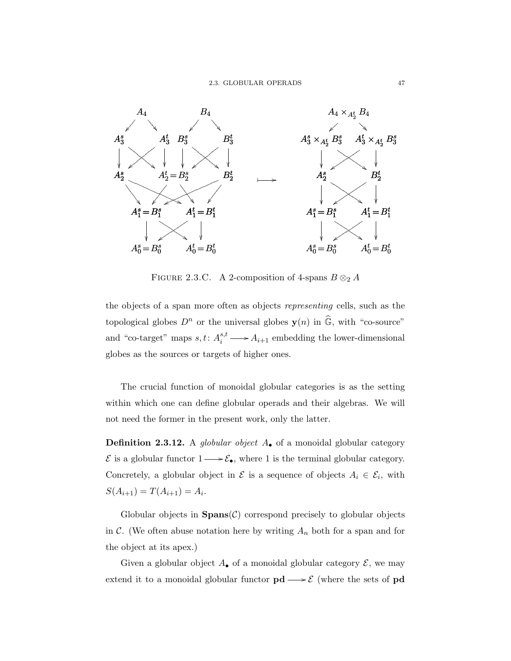

<span id="page-54-0"></span>FIGURE 2.3.C. A 2-composition of 4-spans  $B \otimes_2 A$ 

the objects of a span more often as objects representing cells, such as the topological globes  $D^n$  or the universal globes  $\mathbf{y}(n)$  in  $\widehat{\mathbb{G}}$ , with "co-source" and "co-target" maps  $s, t: A_i^{s,t}$  $i_i^{s,t} \longrightarrow A_{i+1}$  embedding the lower-dimensional globes as the sources or targets of higher ones.

The crucial function of monoidal globular categories is as the setting within which one can define globular operads and their algebras. We will not need the former in the present work, only the latter.

**Definition 2.3.12.** A globular object  $A_{\bullet}$  of a monoidal globular category  $\mathcal E$  is a globular functor  $1 \longrightarrow \mathcal E_{\bullet}$ , where 1 is the terminal globular category. Concretely, a globular object in  $\mathcal E$  is a sequence of objects  $A_i \in \mathcal E_i$ , with  $S(A_{i+1}) = T(A_{i+1}) = A_i.$ 

Globular objects in  $\text{Spans}(\mathcal{C})$  correspond precisely to globular objects in C. (We often abuse notation here by writing  $A_n$  both for a span and for the object at its apex.)

Given a globular object  $A_{\bullet}$  of a monoidal globular category  $\mathcal{E}$ , we may extend it to a monoidal globular functor  $\mathbf{pd}\longrightarrow \mathcal{E}$  (where the sets of  $\mathbf{pd}$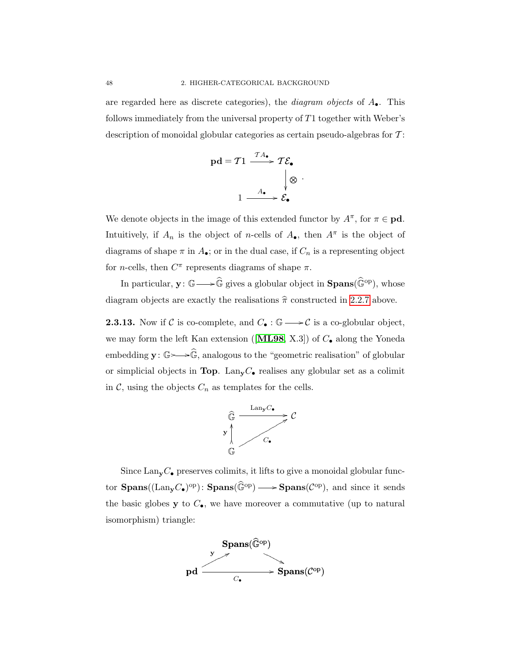are regarded here as discrete categories), the *diagram objects* of  $A_{\bullet}$ . This follows immediately from the universal property of T1 together with Weber's description of monoidal globular categories as certain pseudo-algebras for  $T$ :

$$
pd = T1 \xrightarrow{T A_{\bullet}} T \mathcal{E}_{\bullet}
$$
\n
$$
1 \xrightarrow{A_{\bullet}} \mathcal{E}_{\bullet}
$$

.

We denote objects in the image of this extended functor by  $A^{\pi}$ , for  $\pi \in \mathbf{pd}$ . Intuitively, if  $A_n$  is the object of n-cells of  $A_{\bullet}$ , then  $A^{\pi}$  is the object of diagrams of shape  $\pi$  in  $A_{\bullet}$ ; or in the dual case, if  $C_n$  is a representing object for *n*-cells, then  $C^{\pi}$  represents diagrams of shape  $\pi$ .

In particular,  $\mathbf{y} \colon \mathbb{G} \longrightarrow \widehat{\mathbb{G}}$  gives a globular object in  $\text{\bf Spans}(\widehat{\mathbb{G}}^{\text{op}})$ , whose diagram objects are exactly the realisations  $\hat{\pi}$  constructed in [2.2.7](#page-46-0) above.

**2.3.13.** Now if C is co-complete, and  $C_{\bullet} : \mathbb{G} \longrightarrow C$  is a co-globular object, we may form the left Kan extension ([[ML98](#page-110-3), X.3]) of  $C_{\bullet}$  along the Yoneda embedding  $\mathbf{y}: \mathbb{G} \rightarrow \widehat{\mathbb{G}}$ , analogous to the "geometric realisation" of globular or simplicial objects in Top. Lan<sub>y</sub> $C_{\bullet}$  realises any globular set as a colimit in  $\mathcal{C}$ , using the objects  $C_n$  as templates for the cells.



Since  $\text{Lan}_{\mathbf{y}}C_{\bullet}$  preserves colimits, it lifts to give a monoidal globular functor  $\text{Spans}((\text{Lan}_y C_{\bullet})^{\text{op}}): \text{Spans}(\widehat{\mathbb{G}}^{\text{op}}) \longrightarrow \text{Spans}(\mathcal{C}^{\text{op}})$ , and since it sends the basic globes  $y$  to  $C_{\bullet}$ , we have moreover a commutative (up to natural isomorphism) triangle:

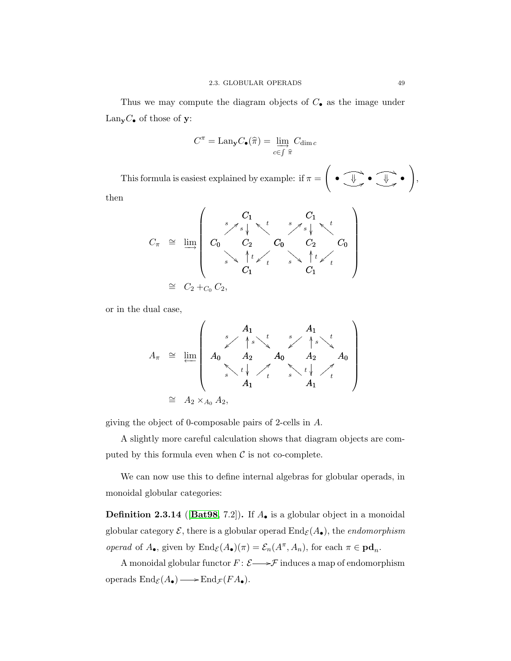Thus we may compute the diagram objects of  $C_{\bullet}$  as the image under Lan<sub>y</sub> $C_{\bullet}$  of those of y:

$$
C^{\pi} = \text{Lan}_{\mathbf{y}} C_{\bullet}(\widehat{\pi}) = \varinjlim_{c \in \int \widehat{\pi}} C_{\dim c}
$$

This formula is easiest explained by example: if  $\pi =$  $\sqrt{ }$  $\bullet$   $\widehat{\mathbb{F}}$  $\sum_{i=1}^{n} \bullet \underbrace{\text{diag}}_{i}$ ī  $\overline{\phantom{a}}$ l, •<br>A ī  $\overline{\phantom{a}}$  $\setminus$ ,

then

C<sup>π</sup> <sup>∼</sup><sup>=</sup> lim−→ C<sup>0</sup> C<sup>1</sup> s =zzzzz C<sup>0</sup> t aDDDDD C<sup>1</sup> s =zzzzz C<sup>0</sup> t aDDDDD C<sup>2</sup> s C<sup>2</sup> s C<sup>1</sup> t OO C<sup>1</sup> t OO s ! D D D D D t }z z z z z s ! D D D D D t }z z z z z <sup>∼</sup><sup>=</sup> <sup>C</sup><sup>2</sup> <sup>+</sup>C<sup>0</sup> <sup>C</sup>2,

or in the dual case,

$$
A_{\pi} \cong \lim_{h \to 0} \left( \begin{array}{cccc} A_1 & A_1 & A_1 \\ A_0 & A_2 & A_0 & A_2 \\ \vdots & \vdots & \vdots & \vdots \\ A_1 & A_1 & A_1 \end{array} \right)
$$

$$
\cong A_2 \times_{A_0} A_2,
$$

giving the object of 0-composable pairs of 2-cells in A.

A slightly more careful calculation shows that diagram objects are computed by this formula even when  $\mathcal C$  is not co-complete.

We can now use this to define internal algebras for globular operads, in monoidal globular categories:

<span id="page-56-0"></span>**Definition 2.3.14** ([[Bat98](#page-108-3), 7.2]). If  $A_{\bullet}$  is a globular object in a monoidal globular category  $\mathcal{E}$ , there is a globular operad  $\text{End}_{\mathcal{E}}(A_{\bullet})$ , the *endomorphism* operad of  $A_{\bullet}$ , given by  $\text{End}_{\mathcal{E}}(A_{\bullet})(\pi) = \mathcal{E}_n(A^{\pi}, A_n)$ , for each  $\pi \in \text{pd}_n$ .

A monoidal globular functor  $F\colon \mathcal{E}{\longrightarrow} \mathcal{F}$  induces a map of endomorphism operads  $\text{End}_{\mathcal{E}}(A_{\bullet}) \longrightarrow \text{End}_{\mathcal{F}}(FA_{\bullet}).$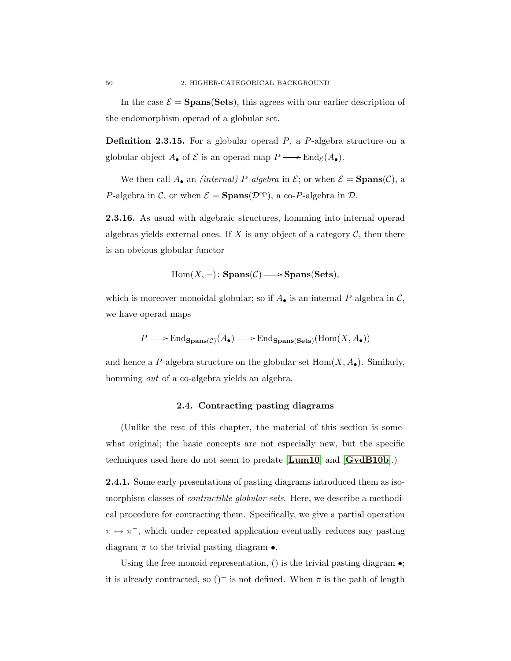In the case  $\mathcal{E} = \text{Spans}(\text{Sets})$ , this agrees with our earlier description of the endomorphism operad of a globular set.

**Definition 2.3.15.** For a globular operad  $P$ , a  $P$ -algebra structure on a globular object  $A_{\bullet}$  of  $\mathcal E$  is an operad map  $P \longrightarrow \text{End}_{\mathcal E}(A_{\bullet}).$ 

We then call  $A_{\bullet}$  an *(internal)* P-algebra in  $\mathcal{E}$ ; or when  $\mathcal{E} = \text{Spans}(\mathcal{C})$ , a P-algebra in C, or when  $\mathcal{E} = \text{Spans}(\mathcal{D}^{\text{op}})$ , a co-P-algebra in D.

<span id="page-57-1"></span>2.3.16. As usual with algebraic structures, homming into internal operad algebras yields external ones. If  $X$  is any object of a category  $C$ , then there is an obvious globular functor

 $Hom(X, -)$ :  $\text{Spans}(\mathcal{C}) \longrightarrow \text{Spans}(\text{Sets}),$ 

which is moreover monoidal globular; so if  $A_{\bullet}$  is an internal P-algebra in C, we have operad maps

$$
P \longrightarrow \text{End}_{\text{Spans}(\mathcal{C})}(A_{\bullet}) \longrightarrow \text{End}_{\text{Spans}(\text{Sets})}(\text{Hom}(X, A_{\bullet}))
$$

and hence a P-algebra structure on the globular set  $Hom(X, A_{\bullet})$ . Similarly, homming *out* of a co-algebra yields an algebra.

# 2.4. Contracting pasting diagrams

(Unlike the rest of this chapter, the material of this section is somewhat original; the basic concepts are not especially new, but the specific techniques used here do not seem to predate [[Lum10](#page-110-4)] and [[GvdB10b](#page-109-4)].)

<span id="page-57-0"></span>2.4.1. Some early presentations of pasting diagrams introduced them as isomorphism classes of *contractible globular sets*. Here, we describe a methodical procedure for contracting them. Specifically, we give a partial operation  $\pi \mapsto \pi^-$ , which under repeated application eventually reduces any pasting diagram  $\pi$  to the trivial pasting diagram  $\bullet$ .

Using the free monoid representation, () is the trivial pasting diagram  $\bullet$ ; it is already contracted, so  $($ )<sup>-</sup> is not defined. When  $\pi$  is the path of length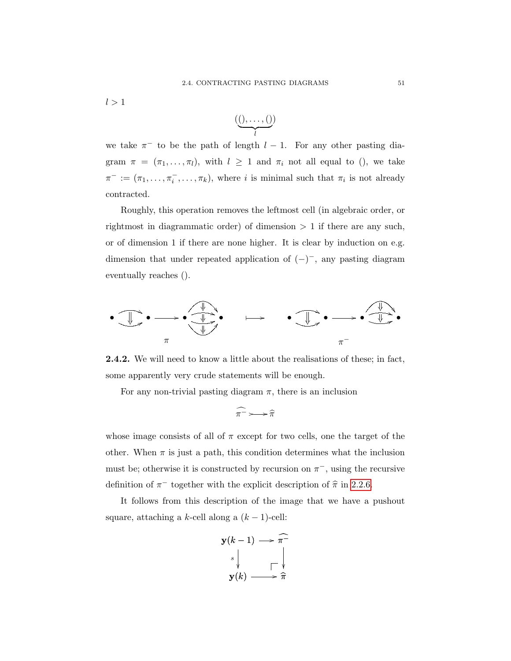$l > 1$ 

$$
(\underbrace{(0,\ldots,0)}_l)
$$

we take  $\pi^-$  to be the path of length  $l-1$ . For any other pasting diagram  $\pi = (\pi_1, \ldots, \pi_l)$ , with  $l \geq 1$  and  $\pi_i$  not all equal to (), we take  $\pi^- := (\pi_1, \ldots, \pi_i^-, \ldots, \pi_k)$ , where *i* is minimal such that  $\pi_i$  is not already contracted.

Roughly, this operation removes the leftmost cell (in algebraic order, or rightmost in diagrammatic order) of dimension  $> 1$  if there are any such, or of dimension 1 if there are none higher. It is clear by induction on e.g. dimension that under repeated application of  $(-)^{-}$ , any pasting diagram eventually reaches ().



<span id="page-58-0"></span>**2.4.2.** We will need to know a little about the realisations of these; in fact, some apparently very crude statements will be enough.

For any non-trivial pasting diagram  $\pi$ , there is an inclusion

$$
\widehat{\pi^-} \rightarrow \widehat{\pi}
$$

whose image consists of all of  $\pi$  except for two cells, one the target of the other. When  $\pi$  is just a path, this condition determines what the inclusion must be; otherwise it is constructed by recursion on  $\pi^-$ , using the recursive definition of  $\pi^-$  together with the explicit description of  $\hat{\pi}$  in [2.2.6.](#page-45-0)

It follows from this description of the image that we have a pushout square, attaching a k-cell along a  $(k-1)$ -cell:

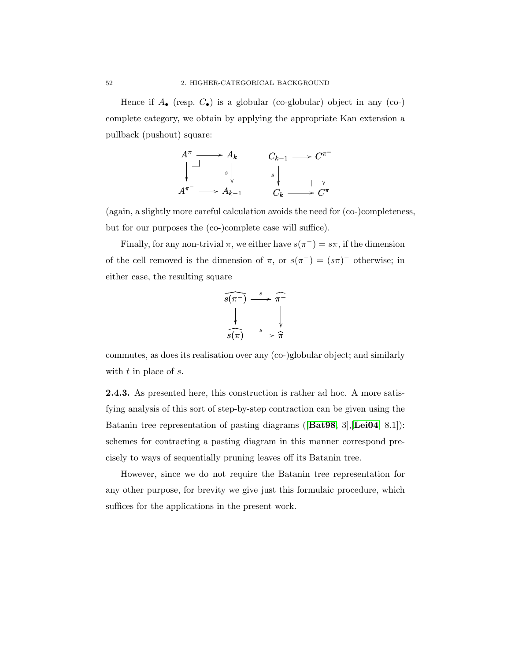Hence if  $A_{\bullet}$  (resp.  $C_{\bullet}$ ) is a globular (co-globular) object in any (co-) complete category, we obtain by applying the appropriate Kan extension a pullback (pushout) square:



(again, a slightly more careful calculation avoids the need for (co-)completeness, but for our purposes the (co-)complete case will suffice).

Finally, for any non-trivial  $\pi$ , we either have  $s(\pi^-) = s\pi$ , if the dimension of the cell removed is the dimension of  $\pi$ , or  $s(\pi^{-}) = (s\pi)^{-}$  otherwise; in either case, the resulting square

$$
\begin{array}{c}\n\widehat{s(\pi^-)} \xrightarrow{s} \widehat{\pi^-} \\
\downarrow \qquad \qquad \downarrow \qquad \qquad \downarrow \\
\widehat{s(\pi)} \xrightarrow{s} \widehat{\pi}\n\end{array}
$$

commutes, as does its realisation over any (co-)globular object; and similarly with  $t$  in place of  $s$ .

2.4.3. As presented here, this construction is rather ad hoc. A more satisfying analysis of this sort of step-by-step contraction can be given using the Batanin tree representation of pasting diagrams ([**[Bat98](#page-108-3)**, 3], [**[Lei04](#page-110-2)**, 8.1]): schemes for contracting a pasting diagram in this manner correspond precisely to ways of sequentially pruning leaves off its Batanin tree.

However, since we do not require the Batanin tree representation for any other purpose, for brevity we give just this formulaic procedure, which suffices for the applications in the present work.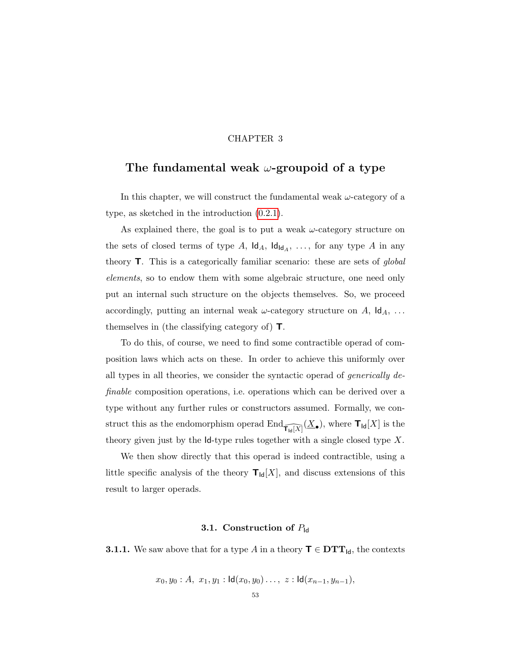## CHAPTER 3

# <span id="page-60-0"></span>The fundamental weak  $\omega$ -groupoid of a type

In this chapter, we will construct the fundamental weak  $\omega$ -category of a type, as sketched in the introduction [\(0.2.1\)](#page-12-0).

As explained there, the goal is to put a weak  $\omega$ -category structure on the sets of closed terms of type A,  $\mathsf{Id}_A$ ,  $\mathsf{Id}_{\mathsf{Id}_A}$ , ..., for any type A in any theory T. This is a categorically familiar scenario: these are sets of global elements, so to endow them with some algebraic structure, one need only put an internal such structure on the objects themselves. So, we proceed accordingly, putting an internal weak  $\omega$ -category structure on A,  $\mathsf{Id}_A$ , ... themselves in (the classifying category of) T.

To do this, of course, we need to find some contractible operad of composition laws which acts on these. In order to achieve this uniformly over all types in all theories, we consider the syntactic operad of generically definable composition operations, i.e. operations which can be derived over a type without any further rules or constructors assumed. Formally, we construct this as the endomorphism operad  $\text{End}_{\widehat{\mathsf{T}_{\mathsf{Id}}[X]}}(\underline{X}_{\bullet})$ , where  $\mathsf{T}_{\mathsf{Id}}[X]$  is the theory given just by the  $Id$ -type rules together with a single closed type X.

We then show directly that this operad is indeed contractible, using a little specific analysis of the theory  $T_{\text{Id}}[X]$ , and discuss extensions of this result to larger operads.

#### 3.1. Construction of  $P_{\text{Id}}$

<span id="page-60-1"></span>**3.1.1.** We saw above that for a type A in a theory  $\mathbf{T} \in \mathbf{DTT}_{\mathsf{Id}}$ , the contexts

$$
x_0, y_0 : A, x_1, y_1 : \mathsf{Id}(x_0, y_0) \ldots, z : \mathsf{Id}(x_{n-1}, y_{n-1}),
$$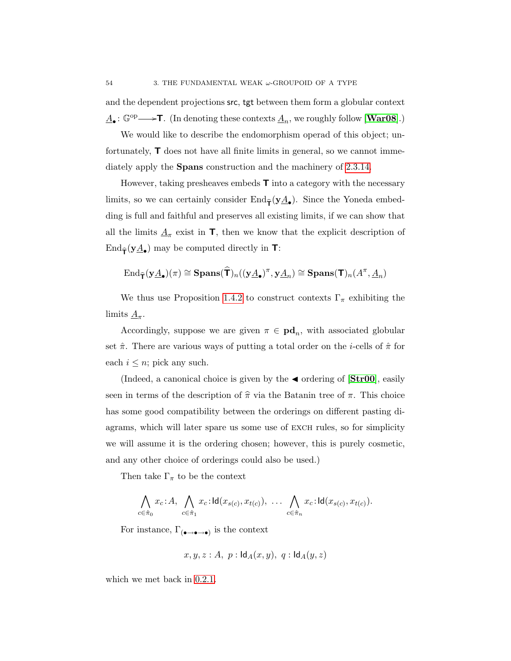and the dependent projections src, tgt between them form a globular context  $\underline{A}_{\bullet}$ :  $\mathbb{G}^{\text{op}} \longrightarrow$ T. (In denoting these contexts  $\underline{A}_n$ , we roughly follow [[War08](#page-111-2)].)

We would like to describe the endomorphism operad of this object; unfortunately, T does not have all finite limits in general, so we cannot immediately apply the Spans construction and the machinery of [2.3.14.](#page-56-0)

However, taking presheaves embeds  $\mathsf{T}$  into a category with the necessary limits, so we can certainly consider  $\text{End}_{\widehat{\mathsf{T}}}(\mathbf{y}\underline{A}_{\bullet})$ . Since the Yoneda embedding is full and faithful and preserves all existing limits, if we can show that all the limits  $\underline{A}_{\pi}$  exist in  $\mathsf{T}$ , then we know that the explicit description of  $\text{End}_{\widehat{\mathsf{T}}}(\mathbf{y}_{\mathbf{\underline{A}}_{\bullet}})$  may be computed directly in  $\mathsf{T}$ :

$$
\operatorname{End}_{\widehat{\mathbf{T}}}(y\underline{A}_{\bullet})(\pi)\cong\operatorname{Spans}(\widehat{\mathbf{T}})_{n}((y\underline{A}_{\bullet})^{\pi},y\underline{A}_{n})\cong\operatorname{Spans}(\mathbf{T})_{n}(A^{\pi},\underline{A}_{n})
$$

We thus use Proposition [1.4.2](#page-37-0) to construct contexts  $\Gamma_{\pi}$  exhibiting the limits  $\underline{A}_{\pi}$ .

Accordingly, suppose we are given  $\pi \in \mathbf{pd}_n$ , with associated globular set  $\hat{\pi}$ . There are various ways of putting a total order on the *i*-cells of  $\hat{\pi}$  for each  $i \leq n$ ; pick any such.

(Indeed, a canonical choice is given by the  $\triangleleft$  ordering of  $[\text{Str}00]$ , easily seen in terms of the description of  $\hat{\pi}$  via the Batanin tree of  $\pi$ . This choice has some good compatibility between the orderings on different pasting diagrams, which will later spare us some use of exch rules, so for simplicity we will assume it is the ordering chosen; however, this is purely cosmetic, and any other choice of orderings could also be used.)

Then take  $\Gamma_{\pi}$  to be the context

$$
\bigwedge_{c \in \hat{\pi}_0} x_c \colon A, \bigwedge_{c \in \hat{\pi}_1} x_c \colon \mathsf{Id}(x_{s(c)}, x_{t(c)}), \dots \bigwedge_{c \in \hat{\pi}_n} x_c \colon \mathsf{Id}(x_{s(c)}, x_{t(c)})
$$

For instance,  $\Gamma_{(\bullet \to \bullet \to \bullet)}$  is the context

$$
x, y, z : A, p : \mathsf{Id}_A(x, y), q : \mathsf{Id}_A(y, z)
$$

which we met back in [0.2.1.](#page-12-0)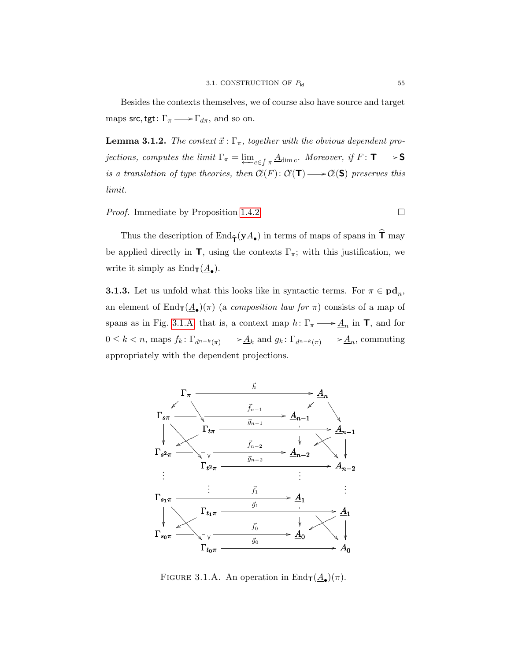Besides the contexts themselves, we of course also have source and target maps src, tgt:  $\Gamma_{\pi} \longrightarrow \Gamma_{d\pi}$ , and so on.

**Lemma 3.1.2.** The context  $\vec{x}$ : Γ<sub>π</sub>, together with the obvious dependent projections, computes the limit  $\Gamma_{\pi} = \varprojlim_{c \in \int \pi} \underline{A}_{\dim c}$ . Moreover, if  $F: \mathsf{T} \longrightarrow \mathsf{S}$ is a translation of type theories, then  $Cl(F): Cl(T) \longrightarrow Cl(S)$  preserves this limit.

*Proof.* Immediate by Proposition [1.4.2](#page-37-0)  $\Box$ 

write it simply as  $\text{End}_{\mathbf{T}}(\underline{A}_{\bullet}).$ 

Thus the description of  $\text{End}_{\widehat{\mathsf{T}}}(\mathbf{y}\underline{A}_{\bullet})$  in terms of maps of spans in  $\mathsf T$  may be applied directly in  $\mathsf{T}$ , using the contexts  $\Gamma_{\pi}$ ; with this justification, we

<span id="page-62-1"></span>**3.1.3.** Let us unfold what this looks like in syntactic terms. For  $\pi \in \text{pd}_n$ , an element of  $\text{End}_{\textsf{T}}(\underline{A}_{\bullet})(\pi)$  (a *composition law for*  $\pi$ ) consists of a map of spans as in Fig. [3.1.A;](#page-62-0) that is, a context map  $h: \Gamma_{\pi} \longrightarrow \underline{A}_n$  in **T**, and for  $0 \leq k < n$ , maps  $f_k: \Gamma_{d^{n-k}(\pi)} \longrightarrow \underline{A}_k$  and  $g_k: \Gamma_{d^{n-k}(\pi)} \longrightarrow \underline{A}_n$ , commuting appropriately with the dependent projections.



<span id="page-62-0"></span>FIGURE 3.1.A. An operation in  $\text{End}_{\mathbf{T}}(\underline{A}_{\bullet})(\pi)$ .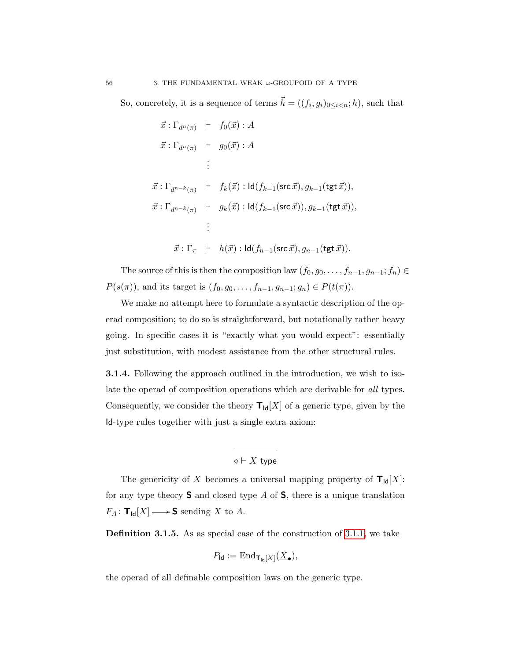So, concretely, it is a sequence of terms  $\vec{h} = ((f_i, g_i)_{0 \leq i < n}; h)$ , such that

$$
\vec{x} : \Gamma_{d^n(\pi)} \vdash f_0(\vec{x}) : A
$$
\n
$$
\vec{x} : \Gamma_{d^n(\pi)} \vdash g_0(\vec{x}) : A
$$
\n
$$
\vdots
$$
\n
$$
\vec{x} : \Gamma_{d^{n-k}(\pi)} \vdash f_k(\vec{x}) : \text{Id}(f_{k-1}(\text{src } \vec{x}), g_{k-1}(\text{tgt } \vec{x})),
$$
\n
$$
\vec{x} : \Gamma_{d^{n-k}(\pi)} \vdash g_k(\vec{x}) : \text{Id}(f_{k-1}(\text{src } \vec{x}), g_{k-1}(\text{tgt } \vec{x})),
$$
\n
$$
\vdots
$$
\n
$$
\vec{x} : \Gamma_{\pi} \vdash h(\vec{x}) : \text{Id}(f_{n-1}(\text{src } \vec{x}), g_{n-1}(\text{tgt } \vec{x})).
$$

The source of this is then the composition law  $(f_0, g_0, \ldots, f_{n-1}, g_{n-1}; f_n) \in$  $P(s(\pi))$ , and its target is  $(f_0, g_0, \ldots, f_{n-1}, g_{n-1}; g_n) \in P(t(\pi))$ .

We make no attempt here to formulate a syntactic description of the operad composition; to do so is straightforward, but notationally rather heavy going. In specific cases it is "exactly what you would expect": essentially just substitution, with modest assistance from the other structural rules.

3.1.4. Following the approach outlined in the introduction, we wish to isolate the operad of composition operations which are derivable for all types. Consequently, we consider the theory  $\mathbf{T}_{\mathsf{Id}}[X]$  of a generic type, given by the Id-type rules together with just a single extra axiom:

 $\diamond \vdash X$  type

The genericity of X becomes a universal mapping property of  $T_{\text{Id}}[X]$ : for any type theory  $S$  and closed type A of  $S$ , there is a unique translation  $F_A\colon \mathbf{T}_{\mathsf{Id}}[X] \longrightarrow \mathsf{S}$  sending X to A.

Definition 3.1.5. As as special case of the construction of [3.1.1,](#page-60-1) we take

$$
P_{\mathsf{Id}} := \mathrm{End}_{\mathsf{T}_{\mathsf{Id}}[X]}(\underline{X}_{\bullet}),
$$

the operad of all definable composition laws on the generic type.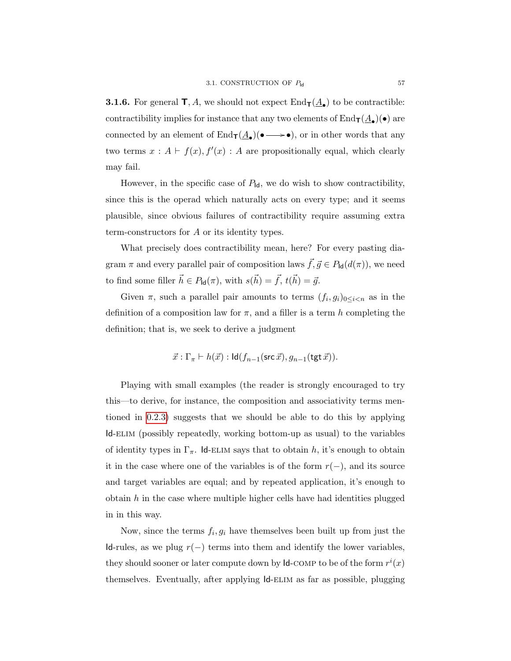<span id="page-64-0"></span>**3.1.6.** For general  $\mathbf{T}, A$ , we should not expect  $\text{End}_{\mathbf{T}}(\underline{A}_{\bullet})$  to be contractible: contractibility implies for instance that any two elements of  $\text{End}_{\textsf{T}}(\underline{A}_{\bullet})(\bullet)$  are connected by an element of  $\text{End}_{\mathbf{T}}(\underline{A}_{\bullet})(\bullet \longrightarrow \bullet)$ , or in other words that any two terms  $x : A \vdash f(x), f'(x) : A$  are propositionally equal, which clearly may fail.

However, in the specific case of  $P_{\text{Id}}$ , we do wish to show contractibility, since this is the operad which naturally acts on every type; and it seems plausible, since obvious failures of contractibility require assuming extra term-constructors for A or its identity types.

What precisely does contractibility mean, here? For every pasting diagram  $\pi$  and every parallel pair of composition laws  $\vec{f}, \vec{g} \in P_{\text{Id}}(d(\pi))$ , we need to find some filler  $\vec{h} \in P_{\mathsf{Id}}(\pi)$ , with  $s(\vec{h}) = \vec{f}, t(\vec{h}) = \vec{g}$ .

Given  $\pi$ , such a parallel pair amounts to terms  $(f_i, g_i)_{0 \leq i \leq n}$  as in the definition of a composition law for  $\pi$ , and a filler is a term h completing the definition; that is, we seek to derive a judgment

$$
\vec{x} : \Gamma_{\pi} \vdash h(\vec{x}) : \mathsf{Id}(f_{n-1}(\mathsf{src}\,\vec{x}), g_{n-1}(\mathsf{tgt}\,\vec{x})).
$$

Playing with small examples (the reader is strongly encouraged to try this—to derive, for instance, the composition and associativity terms mentioned in [0.2.3\)](#page-13-0) suggests that we should be able to do this by applying Id-elim (possibly repeatedly, working bottom-up as usual) to the variables of identity types in  $\Gamma_{\pi}$ . Id-ELIM says that to obtain h, it's enough to obtain it in the case where one of the variables is of the form  $r(-)$ , and its source and target variables are equal; and by repeated application, it's enough to obtain  $h$  in the case where multiple higher cells have had identities plugged in in this way.

Now, since the terms  $f_i, g_i$  have themselves been built up from just the Id-rules, as we plug  $r(-)$  terms into them and identify the lower variables, they should sooner or later compute down by  $\mathsf{Id}\text{-}\mathrm{COMP}$  to be of the form  $r^i(x)$ themselves. Eventually, after applying  $\mathsf{Id}\text{-}\mathrm{ELIM}$  as far as possible, plugging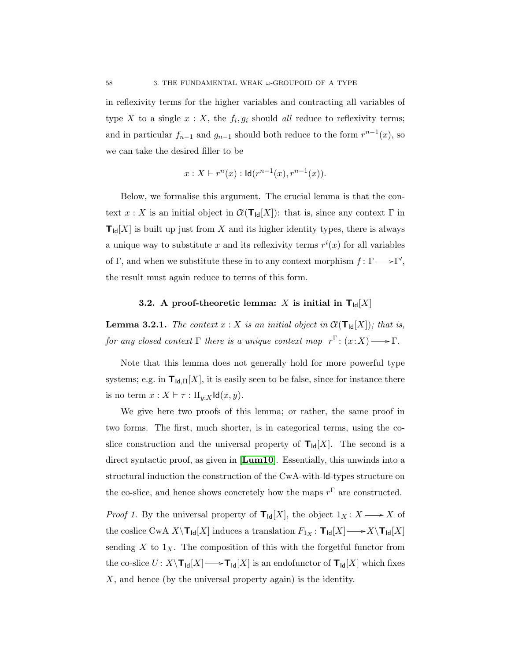in reflexivity terms for the higher variables and contracting all variables of type X to a single  $x: X$ , the  $f_i, g_i$  should all reduce to reflexivity terms; and in particular  $f_{n-1}$  and  $g_{n-1}$  should both reduce to the form  $r^{n-1}(x)$ , so we can take the desired filler to be

$$
x: X \vdash r^n(x) : \mathsf{Id}(r^{n-1}(x), r^{n-1}(x)).
$$

Below, we formalise this argument. The crucial lemma is that the context  $x : X$  is an initial object in  $\mathcal{C}(\mathsf{T}_{\mathsf{Id}}[X])$ : that is, since any context  $\Gamma$  in  $T_{\text{Id}}[X]$  is built up just from X and its higher identity types, there is always a unique way to substitute x and its reflexivity terms  $r^i(x)$  for all variables of  $\Gamma$ , and when we substitute these in to any context morphism  $f: \Gamma \longrightarrow \Gamma'$ , the result must again reduce to terms of this form.

# 3.2. A proof-theoretic lemma: X is initial in  $T_{\text{Id}}[X]$

<span id="page-65-0"></span>**Lemma 3.2.1.** The context  $x : X$  is an initial object in  $\mathcal{C}(\mathsf{T}_{\mathsf{Id}}[X])$ ; that is, for any closed context  $\Gamma$  there is a unique context map  $r^{\Gamma}$ :  $(x:X) \longrightarrow \Gamma$ .

Note that this lemma does not generally hold for more powerful type systems; e.g. in  $\mathbf{T}_{\mathsf{Id},\Pi}[X]$ , it is easily seen to be false, since for instance there is no term  $x : X \vdash \tau : \Pi_{y:X}$ Id $(x, y)$ .

We give here two proofs of this lemma; or rather, the same proof in two forms. The first, much shorter, is in categorical terms, using the coslice construction and the universal property of  $T_{\text{Id}}[X]$ . The second is a direct syntactic proof, as given in  $[\mathbf{Lum10}]$  $[\mathbf{Lum10}]$  $[\mathbf{Lum10}]$ . Essentially, this unwinds into a structural induction the construction of the CwA-with-Id-types structure on the co-slice, and hence shows concretely how the maps  $r^{\Gamma}$  are constructed.

*Proof 1.* By the universal property of  $T_{\text{Id}}[X]$ , the object  $1_X: X \longrightarrow X$  of the coslice CwA  $X\setminus \mathbf{T}_{\mathsf{Id}}[X]$  induces a translation  $F_{1X}: \mathbf{T}_{\mathsf{Id}}[X] \longrightarrow X\setminus \mathbf{T}_{\mathsf{Id}}[X]$ sending X to  $1_X$ . The composition of this with the forgetful functor from the co-slice  $U: X\backslash \mathbf{T}_{\mathsf{Id}}[X] \longrightarrow \mathbf{T}_{\mathsf{Id}}[X]$  is an endofunctor of  $\mathbf{T}_{\mathsf{Id}}[X]$  which fixes  $X$ , and hence (by the universal property again) is the identity.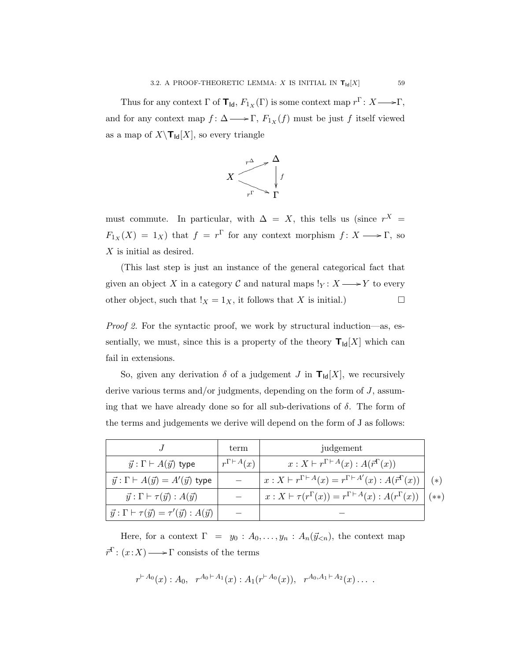Thus for any context  $\Gamma$  of  $\mathbf{T}_{\mathsf{Id}}$ ,  $F_{1_X}(\Gamma)$  is some context map  $r^{\Gamma}$ :  $X \longrightarrow \Gamma$ , and for any context map  $f: \Delta \longrightarrow \Gamma$ ,  $F_{1_X}(f)$  must be just f itself viewed as a map of  $X\setminus\mathbf{T}_{\mathsf{Id}}[X]$ , so every triangle



must commute. In particular, with  $\Delta = X$ , this tells us (since  $r^X$  =  $F_{1_X}(X) = 1_X$ ) that  $f = r^{\Gamma}$  for any context morphism  $f: X \longrightarrow \Gamma$ , so X is initial as desired.

(This last step is just an instance of the general categorical fact that given an object X in a category C and natural maps  $!_Y : X \longrightarrow Y$  to every other object, such that  $!_X = 1_X$ , it follows that X is initial.)

Proof 2. For the syntactic proof, we work by structural induction—as, essentially, we must, since this is a property of the theory  $T_{\text{Id}}[X]$  which can fail in extensions.

So, given any derivation  $\delta$  of a judgement J in  $T_{\text{Id}}[X]$ , we recursively derive various terms and/or judgments, depending on the form of  $J$ , assuming that we have already done so for all sub-derivations of  $\delta$ . The form of the terms and judgements we derive will depend on the form of J as follows:

|                                                                       | term                     | judgement                                                                               |               |
|-----------------------------------------------------------------------|--------------------------|-----------------------------------------------------------------------------------------|---------------|
| $\vec{y}$ : $\Gamma \vdash A(\vec{y})$ type                           | $r^{\Gamma \vdash A}(x)$ | $x: X \vdash r^{\Gamma \vdash A}(x) : A(\vec{r}^{\Gamma}(x))$                           |               |
| $\vec{y} : \Gamma \vdash A(\vec{y}) = A'(\vec{y})$ type               |                          | $x: X \vdash r^{\Gamma \vdash A}(x) = r^{\Gamma \vdash A'}(x) : A(\vec{r}^{\Gamma}(x))$ | $(*)$         |
| $\vec{y}$ : $\Gamma \vdash \tau(\vec{y})$ : $A(\vec{y})$              |                          | $x: X \vdash \tau(r^{\Gamma}(x)) = r^{\Gamma \vdash A}(x) : A(r^{\Gamma}(x))$           | $(\ast \ast)$ |
| $\vec{y} : \Gamma \vdash \tau(\vec{y}) = \tau'(\vec{y}) : A(\vec{y})$ |                          |                                                                                         |               |

Here, for a context  $\Gamma = y_0 : A_0, \ldots, y_n : A_n(\vec{y}_{n})$ , the context map  $\vec{r}^{\Gamma}$ :  $(x:X) \longrightarrow \Gamma$  consists of the terms

$$
r^{A_0}(x): A_0, r^{A_0+A_1}(x): A_1(r^{A_0}(x)), r^{A_0,A_1+A_2}(x) \ldots
$$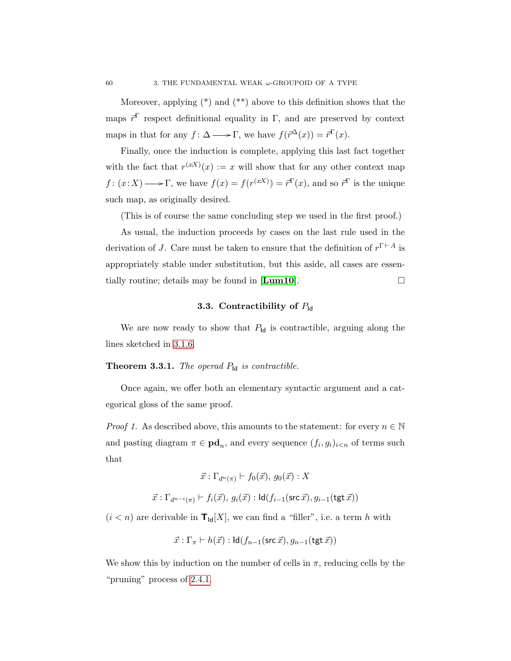Moreover, applying  $(*)$  and  $(**)$  above to this definition shows that the maps  $\vec{r}^{\Gamma}$  respect definitional equality in Γ, and are preserved by context maps in that for any  $f: \Delta \longrightarrow \Gamma$ , we have  $f(\vec{r}^{\Delta}(x)) = \vec{r}^{\Gamma}(x)$ .

Finally, once the induction is complete, applying this last fact together with the fact that  $r^{(xx)}(x) := x$  will show that for any other context map  $f: (x:X) \longrightarrow \Gamma$ , we have  $f(x) = f(r^{(xX)}) = \vec{r}^T(x)$ , and so  $\vec{r}^T$  is the unique such map, as originally desired.

(This is of course the same concluding step we used in the first proof.)

As usual, the induction proceeds by cases on the last rule used in the derivation of J. Care must be taken to ensure that the definition of  $r^{\Gamma \vdash A}$  is appropriately stable under substitution, but this aside, all cases are essentially routine; details may be found in  $[\mathbf{Lum10}]$  $[\mathbf{Lum10}]$  $[\mathbf{Lum10}]$ .

### 3.3. Contractibility of  $P_{\text{Id}}$

We are now ready to show that  $P_{\text{Id}}$  is contractible, arguing along the lines sketched in [3.1.6.](#page-64-0)

# <span id="page-67-0"></span>**Theorem 3.3.1.** The operad  $P_{\text{Id}}$  is contractible.

Once again, we offer both an elementary syntactic argument and a categorical gloss of the same proof.

*Proof 1.* As described above, this amounts to the statement: for every  $n \in \mathbb{N}$ and pasting diagram  $\pi \in \mathbf{pd}_n$ , and every sequence  $(f_i, g_i)_{i \leq n}$  of terms such that

$$
\vec{x} : \Gamma_{d^n(\pi)} \vdash f_0(\vec{x}), g_0(\vec{x}) : X
$$

$$
\vec{x}:\Gamma_{d^{n-i}(\pi)}\vdash f_i(\vec{x}),\,g_i(\vec{x}):\mathsf{Id}(f_{i-1}(\mathsf{src}\,\vec{x}),g_{i-1}(\mathsf{tgt}\,\vec{x}))
$$

 $(i < n)$  are derivable in  $\mathbf{T}_{\mathsf{Id}}[X],$  we can find a "filler", i.e. a term  $h$  with

$$
\vec{x} : \Gamma_{\pi} \vdash h(\vec{x}) : \mathsf{Id}(f_{n-1}(\mathsf{src}\,\vec{x}), g_{n-1}(\mathsf{tgt}\,\vec{x}))
$$

We show this by induction on the number of cells in  $\pi$ , reducing cells by the "pruning" process of [2.4.1.](#page-57-0)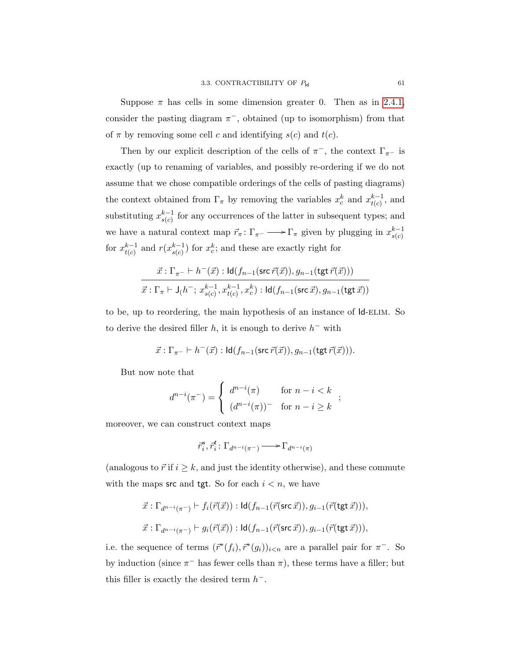Suppose  $\pi$  has cells in some dimension greater 0. Then as in [2.4.1,](#page-57-0) consider the pasting diagram  $\pi^-$ , obtained (up to isomorphism) from that of  $\pi$  by removing some cell c and identifying  $s(c)$  and  $t(c)$ .

Then by our explicit description of the cells of  $\pi^-$ , the context  $\Gamma_{\pi^-}$  is exactly (up to renaming of variables, and possibly re-ordering if we do not assume that we chose compatible orderings of the cells of pasting diagrams) the context obtained from  $\Gamma_{\pi}$  by removing the variables  $x_c^k$  and  $x_{t(c)}^{k-1}$  $_{t(c)}^{k-1}$ , and substituting  $x_{s(c)}^{k-1}$  $s(c)$  for any occurrences of the latter in subsequent types; and we have a natural context map  $\vec{r}_{\pi} : \Gamma_{\pi^-} \longrightarrow \Gamma_{\pi}$  given by plugging in  $x_{s(c)}^{k-1}$  $s(c)$ for  $x_{t(c)}^{k-1}$  $_{t(c)}^{k-1}$  and  $r(x_{s(c)}^{k-1})$  $s(c)$  for  $x_c^k$ ; and these are exactly right for

$$
\frac{\vec x:\Gamma_{\pi^-}\vdash h^-(\vec x):\operatorname{Id}(f_{n-1}(\operatorname{src}\vec r(\vec x)),g_{n-1}(\operatorname{tgt}\vec r(\vec x)))}{\vec x:\Gamma_{\pi}\vdash \operatorname{J}(h^-;\,x_{s(c)}^{k-1},x_{t(c)}^{k-1},x_c^k):\operatorname{Id}(f_{n-1}(\operatorname{src}\vec x),g_{n-1}(\operatorname{tgt}\vec x))}
$$

to be, up to reordering, the main hypothesis of an instance of  $Id$ -ELIM. So to derive the desired filler  $h$ , it is enough to derive  $h^-$  with

$$
\vec{x}:\Gamma_{\pi^-}\vdash h^-(\vec{x}):\mathsf{Id}(f_{n-1}(\mathsf{src}\,\vec{r}(\vec{x})),g_{n-1}(\mathsf{tgt}\,\vec{r}(\vec{x}))).
$$

But now note that

$$
d^{n-i}(\pi^-) = \begin{cases} d^{n-i}(\pi) & \text{for } n-i < k \\ (d^{n-i}(\pi))^- & \text{for } n-i \ge k \end{cases};
$$

moreover, we can construct context maps

$$
\vec{r}_i^s, \vec{r}_i^t \colon \Gamma_{d^{n-i}(\pi^-)} \longrightarrow \Gamma_{d^{n-i}(\pi)}
$$

(analogous to  $\vec{r}$  if  $i \geq k$ , and just the identity otherwise), and these commute with the maps src and tgt. So for each  $i < n$ , we have

$$
\vec{x}: \Gamma_{d^{n-i}(\pi^-)} \vdash f_i(\vec{r}(\vec{x})) : \mathsf{Id}(f_{n-1}(\vec{r}(\mathsf{src}\,\vec{x})), g_{i-1}(\vec{r}(\mathsf{tgt}\,\vec{x}))),
$$
  

$$
\vec{x}: \Gamma_{d^{n-i}(\pi^-)} \vdash g_i(\vec{r}(\vec{x})) : \mathsf{Id}(f_{n-1}(\vec{r}(\mathsf{src}\,\vec{x})), g_{i-1}(\vec{r}(\mathsf{tgt}\,\vec{x}))),
$$

i.e. the sequence of terms  $(\vec{r}^*(f_i), \vec{r}^*(g_i))_{i \le n}$  are a parallel pair for  $\pi^-$ . So by induction (since  $\pi^-$  has fewer cells than  $\pi$ ), these terms have a filler; but this filler is exactly the desired term  $h^-$ .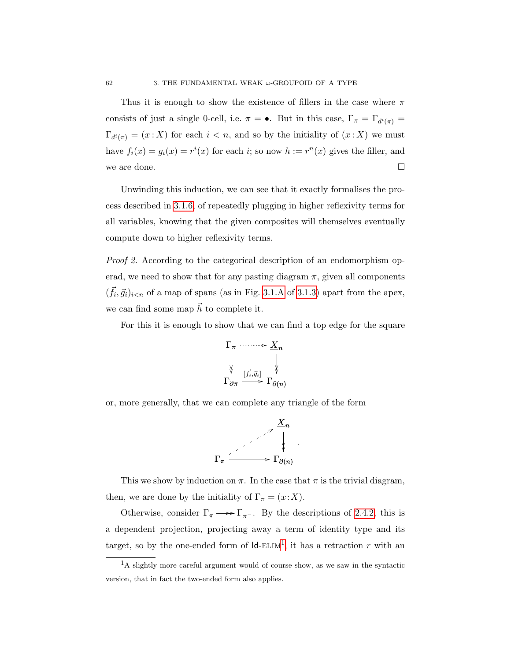Thus it is enough to show the existence of fillers in the case where  $\pi$ consists of just a single 0-cell, i.e.  $\pi = \bullet$ . But in this case,  $\Gamma_{\pi} = \Gamma_{d^i(\pi)} =$  $\Gamma_{d^i(\pi)} = (x : X)$  for each  $i < n$ , and so by the initiality of  $(x : X)$  we must have  $f_i(x) = g_i(x) = r^i(x)$  for each i; so now  $h := r^n(x)$  gives the filler, and we are done.  $\Box$ 

Unwinding this induction, we can see that it exactly formalises the process described in [3.1.6,](#page-64-0) of repeatedly plugging in higher reflexivity terms for all variables, knowing that the given composites will themselves eventually compute down to higher reflexivity terms.

Proof 2. According to the categorical description of an endomorphism operad, we need to show that for any pasting diagram  $\pi$ , given all components  $(\vec{f}_i, \vec{g}_i)_{i \le n}$  of a map of spans (as in Fig. [3.1.A](#page-62-0) of [3.1.3\)](#page-62-1) apart from the apex, we can find some map  $\vec{h}$  to complete it.

For this it is enough to show that we can find a top edge for the square



or, more generally, that we can complete any triangle of the form



This we show by induction on  $\pi$ . In the case that  $\pi$  is the trivial diagram, then, we are done by the initiality of  $\Gamma_{\pi} = (x : X)$ .

Otherwise, consider  $\Gamma_{\pi} \longrightarrow \Gamma_{\pi^{-}}$ . By the descriptions of [2.4.2,](#page-58-0) this is a dependent projection, projecting away a term of identity type and its target, so by the one-ended form of  $\mathsf{Id}\text{-}\mathrm{ELIM}^1$  $\mathsf{Id}\text{-}\mathrm{ELIM}^1$ , it has a retraction r with an

<span id="page-69-0"></span><sup>&</sup>lt;sup>1</sup>A slightly more careful argument would of course show, as we saw in the syntactic version, that in fact the two-ended form also applies.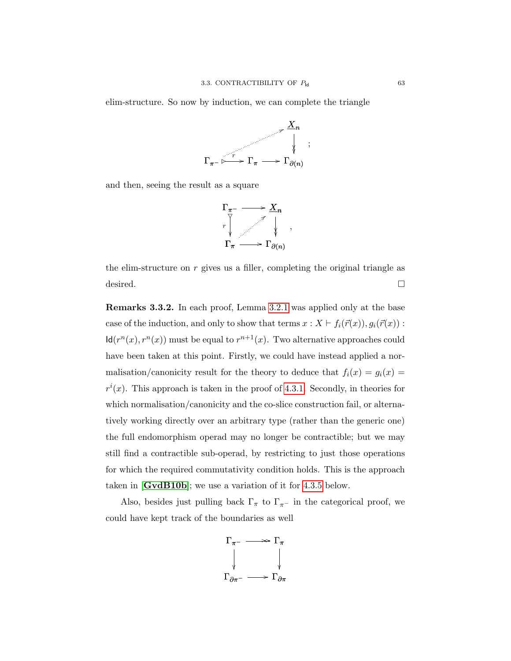elim-structure. So now by induction, we can complete the triangle



and then, seeing the result as a square



the elim-structure on  $r$  gives us a filler, completing the original triangle as desired.

Remarks 3.3.2. In each proof, Lemma [3.2.1](#page-65-0) was applied only at the base case of the induction, and only to show that terms  $x : X \vdash f_i(\vec{r}(x)), g_i(\vec{r}(x))$ :  $\mathsf{Id}(r^n(x), r^n(x))$  must be equal to  $r^{n+1}(x)$ . Two alternative approaches could have been taken at this point. Firstly, we could have instead applied a normalisation/canonicity result for the theory to deduce that  $f_i(x) = g_i(x) =$  $r^{i}(x)$ . This approach is taken in the proof of [4.3.1.](#page-98-0) Secondly, in theories for which normalisation/canonicity and the co-slice construction fail, or alternatively working directly over an arbitrary type (rather than the generic one) the full endomorphism operad may no longer be contractible; but we may still find a contractible sub-operad, by restricting to just those operations for which the required commutativity condition holds. This is the approach taken in [[GvdB10b](#page-109-4)]; we use a variation of it for [4.3.5](#page-102-0) below.

Also, besides just pulling back  $\Gamma_{\pi}$  to  $\Gamma_{\pi^-}$  in the categorical proof, we could have kept track of the boundaries as well

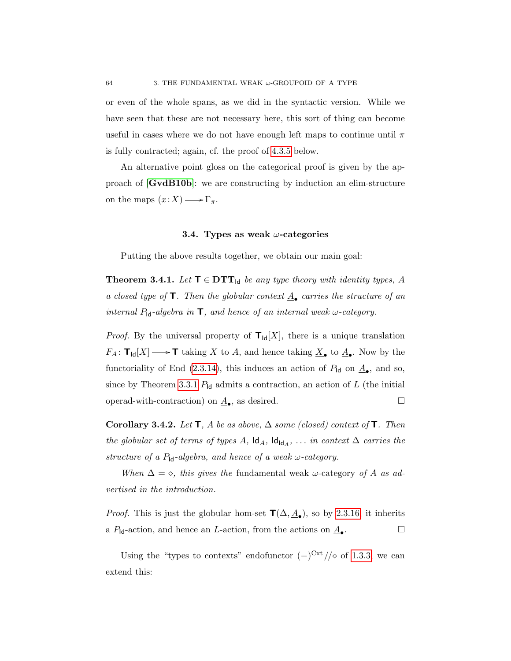or even of the whole spans, as we did in the syntactic version. While we have seen that these are not necessary here, this sort of thing can become useful in cases where we do not have enough left maps to continue until  $\pi$ is fully contracted; again, cf. the proof of [4.3.5](#page-102-0) below.

An alternative point gloss on the categorical proof is given by the approach of [[GvdB10b](#page-109-4)]: we are constructing by induction an elim-structure on the maps  $(x:X) \longrightarrow \Gamma_{\pi}$ .

#### 3.4. Types as weak  $\omega$ -categories

Putting the above results together, we obtain our main goal:

**Theorem 3.4.1.** Let  $\mathbf{T} \in \mathbf{DTT}_{\mathsf{Id}}$  be any type theory with identity types, A a closed type of  $\mathsf{T}$ . Then the globular context  $\underline{A}_{\bullet}$  carries the structure of an internal  $P_{\mathsf{Id}}$ -algebra in  $\mathsf{T}$ , and hence of an internal weak  $\omega$ -category.

*Proof.* By the universal property of  $T_{\text{Id}}[X]$ , there is a unique translation  $F_A: \mathsf{T}_{\mathsf{Id}}[X] \longrightarrow \mathsf{T}$  taking X to A, and hence taking  $\underline{X}_{\bullet}$  to  $\underline{A}_{\bullet}$ . Now by the functoriality of End [\(2.3.14\)](#page-56-0), this induces an action of  $P_{\text{Id}}$  on  $\underline{A}_{\bullet}$ , and so, since by Theorem [3.3.1](#page-67-0)  $P_{\text{Id}}$  admits a contraction, an action of L (the initial operad-with-contraction) on  $\underline{A}_{\bullet}$ , as desired.

Corollary 3.4.2. Let  $\mathsf{T}$ , A be as above,  $\Delta$  some (closed) context of  $\mathsf{T}$ . Then the globular set of terms of types A,  $\mathsf{Id}_A$ ,  $\mathsf{Id}_{\mathsf{Id}_A}$ , ... in context  $\Delta$  carries the structure of a  $P_{\mathsf{Id}}$ -algebra, and hence of a weak  $\omega$ -category.

When  $\Delta = \diamond$ , this gives the fundamental weak  $\omega$ -category of A as advertised in the introduction.

*Proof.* This is just the globular hom-set  $\mathsf{T}(\Delta, \underline{A}_{\bullet})$ , so by [2.3.16,](#page-57-1) it inherits a  $P_{\mathsf{Id}}$ -action, and hence an *L*-action, from the actions on  $\underline{A}_{\bullet}$ . . — П

Using the "types to contexts" endofunctor  $(-)^{\text{Cxt}}/\sqrt{\ }$  of [1.3.3,](#page-35-0) we can extend this: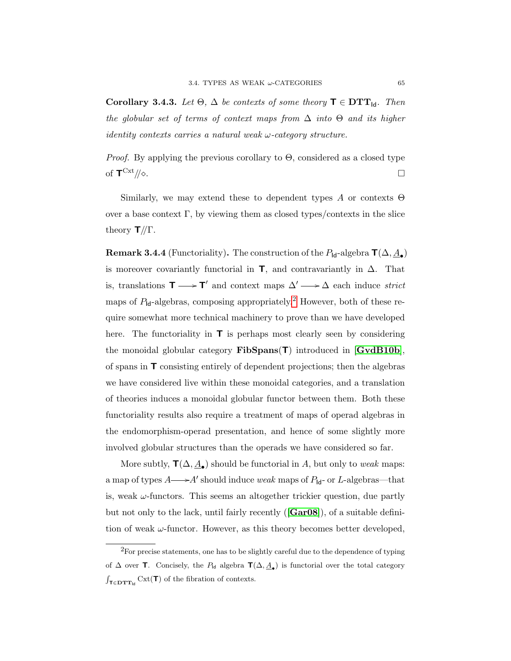Corollary 3.4.3. Let  $\Theta$ ,  $\Delta$  be contexts of some theory  $\mathbf{T} \in \mathbf{DTT}_{\mathsf{Id}}$ . Then the globular set of terms of context maps from  $\Delta$  into  $\Theta$  and its higher identity contexts carries a natural weak  $\omega$ -category structure.

*Proof.* By applying the previous corollary to  $\Theta$ , considered as a closed type of  $\mathsf{T}^{\mathrm{Cxt}}/\!\!/\diamond$ .  $\exp\left(\frac{\cosh\theta}{\cosh\theta}\right)$ 

Similarly, we may extend these to dependent types A or contexts  $\Theta$ over a base context  $\Gamma$ , by viewing them as closed types/contexts in the slice theory  $\mathbf{T}/\!/\Gamma$ .

**Remark 3.4.4** (Functoriality). The construction of the  $P_{\text{Id}}$ -algebra  $\mathsf{T}(\Delta, \underline{A}_{\bullet})$ is moreover covariantly functorial in  $\mathbf{T}$ , and contravariantly in  $\Delta$ . That is, translations  $\mathbf{T} \longrightarrow \mathbf{T}'$  and context maps  $\Delta' \longrightarrow \Delta$  each induce strict maps of  $P_{\text{Id}}$ -algebras, composing appropriately.<sup>[2](#page-72-0)</sup> However, both of these require somewhat more technical machinery to prove than we have developed here. The functoriality in  $\mathbf T$  is perhaps most clearly seen by considering the monoidal globular category  $\text{FibSpans}(\mathsf{T})$  introduced in  $[\text{GvdB10b}]$  $[\text{GvdB10b}]$  $[\text{GvdB10b}]$ , of spans in T consisting entirely of dependent projections; then the algebras we have considered live within these monoidal categories, and a translation of theories induces a monoidal globular functor between them. Both these functoriality results also require a treatment of maps of operad algebras in the endomorphism-operad presentation, and hence of some slightly more involved globular structures than the operads we have considered so far.

More subtly,  $\mathbf{T}(\Delta, \underline{A}_{\bullet})$  should be functorial in A, but only to weak maps: a map of types  $A \longrightarrow A'$  should induce weak maps of  $P_{\text{Id}}$ - or L-algebras—that is, weak  $\omega$ -functors. This seems an altogether trickier question, due partly but not only to the lack, until fairly recently  $(\lceil \text{Gar08} \rceil)$  $(\lceil \text{Gar08} \rceil)$  $(\lceil \text{Gar08} \rceil)$ , of a suitable definition of weak  $\omega$ -functor. However, as this theory becomes better developed,

<span id="page-72-0"></span> ${}^{2}$ For precise statements, one has to be slightly careful due to the dependence of typing of  $\Delta$  over **T**. Concisely, the  $P_{\mathsf{Id}}$  algebra  $\mathsf{T}(\Delta, \underline{A}_{\bullet})$  is functorial over the total category  $\int_{\mathbf{T} \in \mathbf{DTT}_{\mathsf{Id}}} \mathrm{Cxt}(\mathbf{T})$  of the fibration of contexts.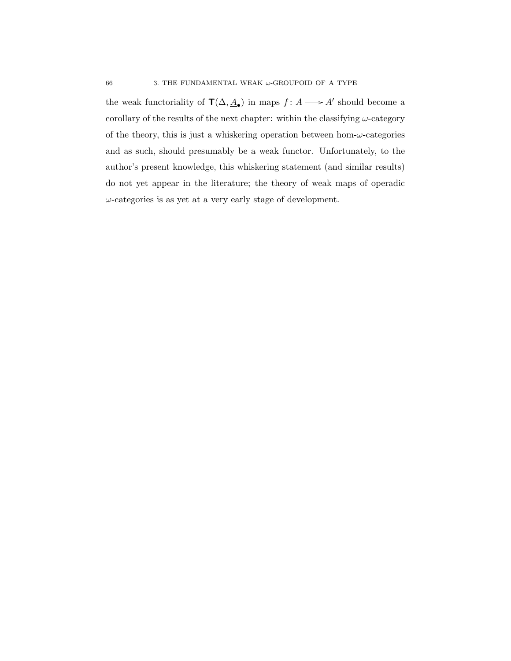the weak functoriality of  $\mathbf{T}(\Delta, \underline{A}_{\bullet})$  in maps  $f : A \longrightarrow A'$  should become a corollary of the results of the next chapter: within the classifying  $\omega$ -category of the theory, this is just a whiskering operation between hom- $\omega$ -categories and as such, should presumably be a weak functor. Unfortunately, to the author's present knowledge, this whiskering statement (and similar results) do not yet appear in the literature; the theory of weak maps of operadic  $\omega$ -categories is as yet at a very early stage of development.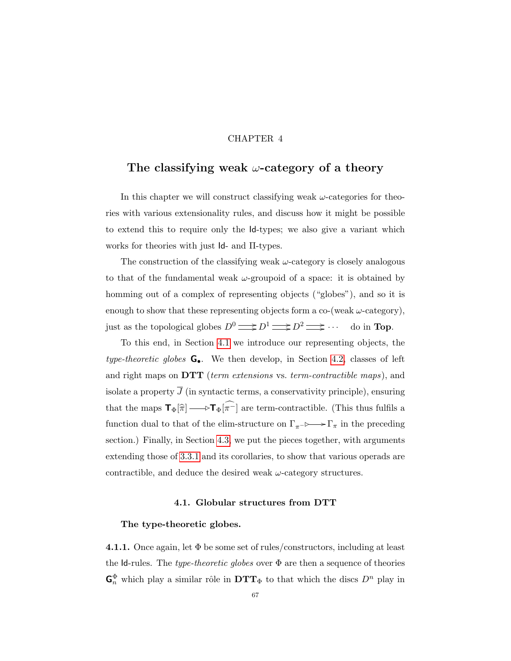### CHAPTER 4

# The classifying weak  $\omega$ -category of a theory

In this chapter we will construct classifying weak  $\omega$ -categories for theories with various extensionality rules, and discuss how it might be possible to extend this to require only the Id-types; we also give a variant which works for theories with just Id- and Π-types.

The construction of the classifying weak  $\omega$ -category is closely analogous to that of the fundamental weak  $\omega$ -groupoid of a space: it is obtained by homming out of a complex of representing objects ("globes"), and so it is enough to show that these representing objects form a co-(weak  $\omega$ -category), just as the topological globes  $D^0 \longrightarrow D^1 \longrightarrow D^2 \longrightarrow \cdots$  do in **Top**.

To this end, in Section [4.1](#page-74-0) we introduce our representing objects, the type-theoretic globes  $\mathbf{G}_{\bullet}$ . We then develop, in Section [4.2,](#page-83-0) classes of left and right maps on  $DTT$  (term extensions vs. term-contractible maps), and isolate a property  $\overline{J}$  (in syntactic terms, a conservativity principle), ensuring that the maps  $\mathbf{T}_{\Phi}[\hat{\pi}] \longrightarrow \mathbf{T}_{\Phi}[\hat{\pi}^{-}]$  are term-contractible. (This thus fulfils a function dual to that of the elim-structure on  $\Gamma_{\pi^-} \rightarrowtail \Gamma_{\pi}$  in the preceding section.) Finally, in Section [4.3,](#page-98-0) we put the pieces together, with arguments extending those of [3.3.1](#page-67-0) and its corollaries, to show that various operads are contractible, and deduce the desired weak  $\omega$ -category structures.

### 4.1. Globular structures from DTT

### <span id="page-74-0"></span>The type-theoretic globes.

4.1.1. Once again, let  $\Phi$  be some set of rules/constructors, including at least the Id-rules. The type-theoretic globes over  $\Phi$  are then a sequence of theories  $\mathbf{G}_n^{\Phi}$  which play a similar rôle in  $\mathbf{DTT}_{\Phi}$  to that which the discs  $D^n$  play in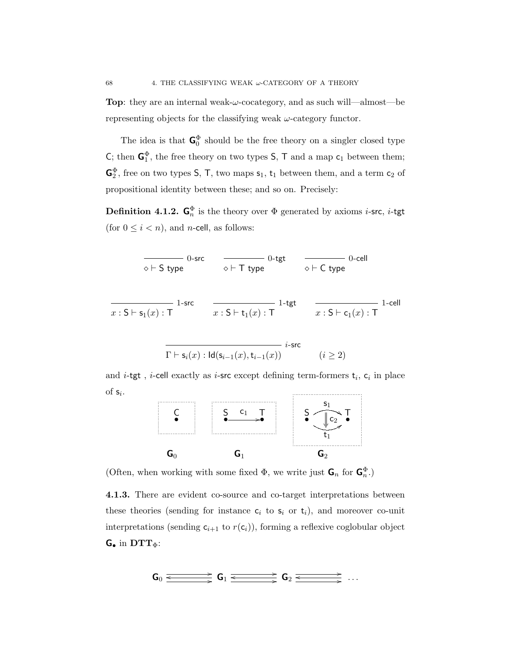**Top:** they are an internal weak- $\omega$ -cocategory, and as such will—almost—be representing objects for the classifying weak  $\omega$ -category functor.

The idea is that  $\mathsf{G}_{0}^{\Phi}$  should be the free theory on a singler closed type C; then  $\mathbf{G}_1^{\Phi}$ , the free theory on two types  $\mathsf{S}, \mathsf{T}$  and a map  $\mathsf{c}_1$  between them;  $\mathsf{G}_2^{\Phi}$ , free on two types  $\mathsf{S}, \mathsf{T}$ , two maps  $\mathsf{s}_1$ ,  $\mathsf{t}_1$  between them, and a term  $\mathsf{c}_2$  of propositional identity between these; and so on. Precisely:

**Definition 4.1.2.**  $\mathbf{G}_n^{\Phi}$  is the theory over  $\Phi$  generated by axioms *i*-src, *i*-tgt (for  $0 \leq i < n$ ), and *n*-cell, as follows:

$$
\frac{}{\diamond + S \text{ type}} \qquad \frac{}{\diamond + T \text{ type}} \qquad \frac{}{\diamond + C \text{ type}} \qquad \frac{}{\diamond - \text{cell}}
$$
\n
$$
\frac{}{\diamond + C \text{ type}} \qquad \frac{}{\diamond + C \text{ type}} \qquad \frac{}{\diamond + C \text{ type}} \qquad \frac{}{\diamond + C \text{ type}} \qquad \frac{}{\diamond + C \text{ type}} \qquad \frac{}{\diamond + C \text{ type}} \qquad \frac{}{\diamond + C \text{ type}} \qquad \frac{}{\diamond + C \text{ type}} \qquad \frac{}{\diamond + C \text{ type}} \qquad \frac{}{\diamond + C \text{ type}} \qquad \frac{}{\diamond + C \text{ type}} \qquad \frac{}{\diamond + C \text{ type}} \qquad \frac{}{\diamond + C \text{ type}} \qquad \frac{}{\diamond + C \text{ type}} \qquad \frac{}{\diamond + C \text{ type}} \qquad \frac{}{\diamond + C \text{ type}} \qquad \frac{}{\diamond + C \text{ type}} \qquad \frac{}{\diamond + C \text{ type}} \qquad \frac{}{\diamond + C \text{ type}} \qquad \frac{}{\diamond + C \text{ type}} \qquad \frac{}{\diamond + C \text{ type}} \qquad \frac{}{\diamond + C \text{ type}} \qquad \frac{}{\diamond + C \text{ type}} \qquad \frac{}{\diamond + C \text{ type}} \qquad \frac{}{\diamond + C \text{ type}} \qquad \frac{}{\diamond + C \text{ type}} \qquad \frac{}{\diamond + C \text{ type}} \qquad \frac{}{\diamond + C \text{ type}} \qquad \frac{}{\diamond + C \text{ type}} \qquad \frac{}{\diamond + C \text{ type}} \qquad \frac{}{\diamond + C \text{ type}} \qquad \frac{}{\diamond + C \text{ type}} \qquad \frac{}{\diamond + C \text{ type}} \qquad \frac{}{\diamond + C \text{ type}} \qquad \frac{}{\diamond + C \text{ type}} \qquad \frac{}{\diamond + C \text{ type}} \qquad \frac{}{\diamond + C \text{ type}} \qquad \frac{}{\diamond + C \text{ type}} \qquad \frac{}{\diamond + C \text{ type}} \qquad \frac{}{\diamond + C \text{ type}} \qquad \frac{}{\diamond + C \text{ type}} \qquad \frac{}{\diamond + C \text{ type}} \qquad \frac{}{\diamond + C \text{ type}} \qquad \frac{}{\diamond + C \text{ type}} \qquad \frac{}{\diamond + C \text{ type}} \qquad \frac{}{\diamond + C \text{ type}} \qquad \frac{}{\diamond +
$$

and *i*-tgt, *i*-cell exactly as *i*-src except defining term-formers  $t_i$ ,  $c_i$  in place of  $s_i$ .

 $(i \geq 2)$ 

 $\Gamma \vdash \mathsf{s}_i(x) : \mathsf{Id}(\mathsf{s}_{i-1}(x),\mathsf{t}_{i-1}(x))$ 



(Often, when working with some fixed  $\Phi$ , we write just  $\mathbf{G}_n$  for  $\mathbf{G}_n^{\Phi}$ .)

4.1.3. There are evident co-source and co-target interpretations between these theories (sending for instance  $c_i$  to  $s_i$  or  $t_i$ ), and moreover co-unit interpretations (sending  $c_{i+1}$  to  $r(c_i)$ ), forming a reflexive coglobular object  $G_{\bullet}$  in  $DTT_{\Phi}$ :

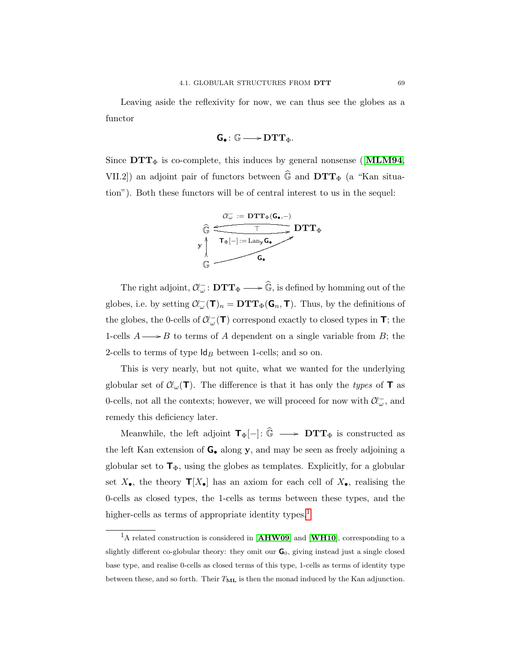Leaving aside the reflexivity for now, we can thus see the globes as a functor

$$
\textbf{G}_{\bullet} \colon \mathbb{G} \longrightarrow \mathbf{DTT}_{\Phi}.
$$

Since  $DTT_{\Phi}$  is co-complete, this induces by general nonsense ([[MLM94](#page-110-0), VII.2]) an adjoint pair of functors between  $\widehat{\mathbb{G}}$  and  $\mathbf{DTT}_{\Phi}$  (a "Kan situation"). Both these functors will be of central interest to us in the sequel:



The right adjoint,  $\mathcal{C}^-_{\omega} : \mathbf{DTT}_{\Phi} \longrightarrow \widehat{\mathbb{G}}$ , is defined by homming out of the globes, i.e. by setting  $\mathcal{C}\!C_{\omega}(\mathbf{T})_n = \mathbf{D}\mathbf{T}\mathbf{T}_{\Phi}(\mathbf{G}_n, \mathbf{T})$ . Thus, by the definitions of the globes, the 0-cells of  $\mathcal{C}\!\ell_{\omega}^-(\mathsf{T})$  correspond exactly to closed types in  $\mathsf{T}$ ; the 1-cells  $A \longrightarrow B$  to terms of A dependent on a single variable from B; the 2-cells to terms of type  $\mathsf{Id}_B$  between 1-cells; and so on.

This is very nearly, but not quite, what we wanted for the underlying globular set of  $\mathcal{C}\ell_{\omega}(\mathbf{T})$ . The difference is that it has only the types of **T** as 0-cells, not all the contexts; however, we will proceed for now with  $\mathcal{C}\!\ell_\omega^{\mathbb{Z}}$ , and remedy this deficiency later.

Meanwhile, the left adjoint  $\mathbf{T}_{\Phi}[-]: \widehat{\mathbb{G}} \longrightarrow \mathbf{DTT}_{\Phi}$  is constructed as the left Kan extension of  $G_{\bullet}$  along y, and may be seen as freely adjoining a globular set to  $\mathbf{T}_{\Phi}$ , using the globes as templates. Explicitly, for a globular set  $X_{\bullet}$ , the theory  $\mathbf{T}[X_{\bullet}]$  has an axiom for each cell of  $X_{\bullet}$ , realising the 0-cells as closed types, the 1-cells as terms between these types, and the higher-cells as terms of appropriate identity types.<sup>[1](#page-76-0)</sup>

<span id="page-76-0"></span><sup>&</sup>lt;sup>1</sup>A related construction is considered in [[AHW09](#page-108-1)] and [[WH10](#page-111-0)], corresponding to a slightly different co-globular theory: they omit our  $\mathbf{G}_0$ , giving instead just a single closed base type, and realise 0-cells as closed terms of this type, 1-cells as terms of identity type between these, and so forth. Their  $T_{ML}$  is then the monad induced by the Kan adjunction.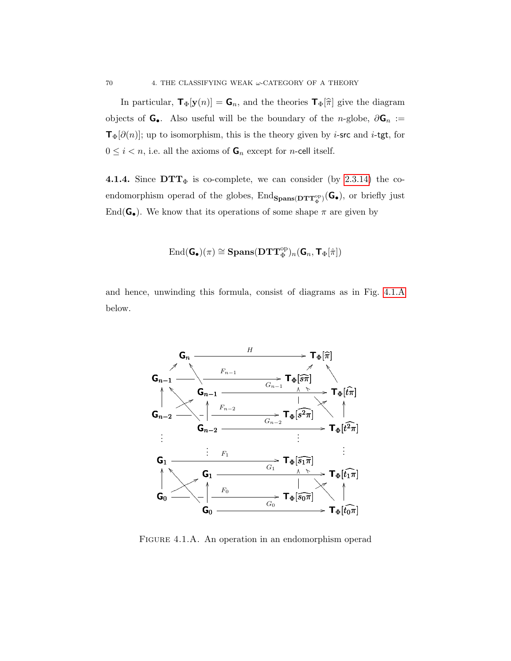In particular,  $\mathbf{T}_{\Phi}[\mathbf{y}(n)] = \mathbf{G}_n$ , and the theories  $\mathbf{T}_{\Phi}[\hat{\pi}]$  give the diagram objects of  $\mathsf{G}_{\bullet}$ . Also useful will be the boundary of the n-globe,  $\partial \mathsf{G}_n :=$  $\mathbf{T}_{\Phi}[\partial(n)]$ ; up to isomorphism, this is the theory given by *i*-src and *i*-tgt, for  $0 \leq i < n$ , i.e. all the axioms of  $\mathbf{G}_n$  except for *n*-cell itself.

4.1.4. Since  $DTT_{\Phi}$  is co-complete, we can consider (by [2.3.14\)](#page-56-0) the coendomorphism operad of the globes,  $\text{End}_{\text{Spans}(\text{DTT}_{\Phi}^{\text{op}})}(\mathsf{G}_{\bullet})$ , or briefly just End( $G_{\bullet}$ ). We know that its operations of some shape  $\pi$  are given by

$$
\mathrm{End}(\mathbf{G}_{\bullet})(\pi)\cong \mathbf{Spans}(\mathbf{DTT}_{\Phi}^{\mathrm{op}})_{n}(\mathbf{G}_{n},\mathbf{T}_{\Phi}[\hat{\pi}])
$$

and hence, unwinding this formula, consist of diagrams as in Fig. [4.1.A](#page-77-0) below.



<span id="page-77-0"></span>Figure 4.1.A. An operation in an endomorphism operad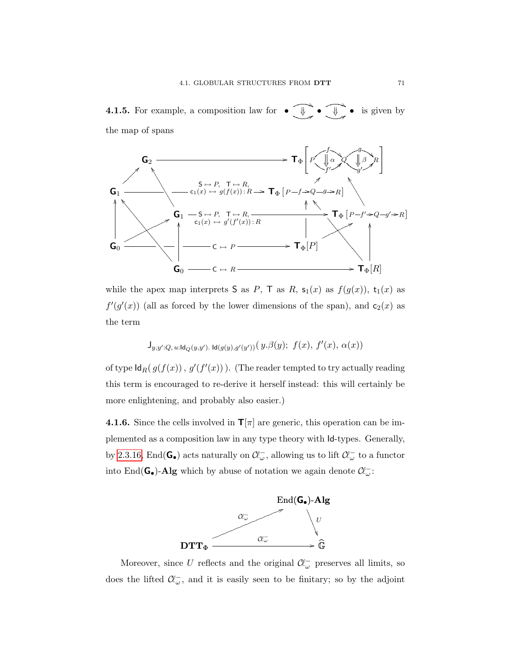**4.1.5.** For example, a composition law for  $\bullet$ 8 • ī  $\overline{\phantom{a}}$ & 8 ī  $\overline{\phantom{a}}$ is given by the map of spans



while the apex map interprets S as P, T as R,  $s_1(x)$  as  $f(g(x))$ ,  $t_1(x)$  as  $f'(g'(x))$  (all as forced by the lower dimensions of the span), and  $c_2(x)$  as the term

$$
\mathsf{J}_{y,y':Q,\,u:\mathrm{Id}_Q(y,y').}\,\mathrm{Id}(g(y),g'(y'))\big(\,y.\beta(y);\,\,f(x),\,f'(x),\,\alpha(x)\big)
$$

of type  $\mathsf{Id}_R(g(f(x)), g'(f'(x)))$ . (The reader tempted to try actually reading this term is encouraged to re-derive it herself instead: this will certainly be more enlightening, and probably also easier.)

**4.1.6.** Since the cells involved in  $\mathbf{T}[\pi]$  are generic, this operation can be implemented as a composition law in any type theory with Id-types. Generally, by [2.3.16,](#page-57-0) End( $\mathbf{G}_{\bullet}$ ) acts naturally on  $\mathcal{C}\!\ell_{\omega}^-$ , allowing us to lift  $\mathcal{C}\!\ell_{\omega}^-$  to a functor into End( $G_{\bullet}$ )-Alg which by abuse of notation we again denote  $\mathcal{C}\!\ell_{\omega}^{-}$ :



Moreover, since U reflects and the original  $\mathcal{C}\llcorner_{\omega}$  preserves all limits, so does the lifted  $\mathcal{C}\mathcal{C}_{\omega}$ , and it is easily seen to be finitary; so by the adjoint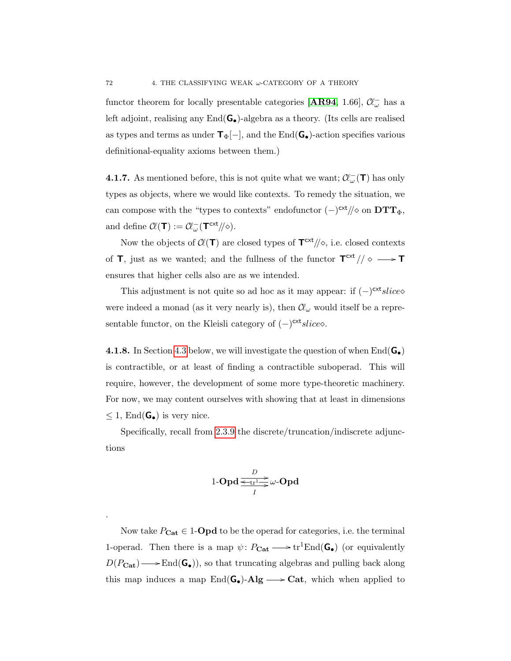functor theorem for locally presentable categories [[AR94](#page-108-2), 1.66],  $\mathcal{C}\!\ell_\omega^-$  has a left adjoint, realising any  $\text{End}(\mathbf{G}_{\bullet})$ -algebra as a theory. (Its cells are realised as types and terms as under  $\mathsf{T}_{\Phi}[-]$ , and the End( $\mathsf{G}_{\bullet}$ )-action specifies various definitional-equality axioms between them.)

**4.1.7.** As mentioned before, this is not quite what we want;  $\mathcal{C}\ell_{\omega}^{-}(\mathbf{T})$  has only types as objects, where we would like contexts. To remedy the situation, we can compose with the "types to contexts" endofunctor  $(-)^{\text{cxt}}/\!\!/\diamond$  on  $\text{DTT}_{\Phi}$ , and define  $\mathcal{C}\ell(\mathbf{T}):= \mathcal{C}\ell_{\omega}^{-}(\mathbf{T}^{\text{ext}}/\!/\diamond).$ 

Now the objects of  $Cl(T)$  are closed types of  $T^{\text{cxt}}/\!\!/ \diamond$ , i.e. closed contexts of **T**, just as we wanted; and the fullness of the functor  $T^{cxt}/\sim \rightarrow T$ ensures that higher cells also are as we intended.

This adjustment is not quite so ad hoc as it may appear: if  $(-)^{\text{cxt}} slice$ were indeed a monad (as it very nearly is), then  $\mathcal{C}\ell_{\omega}$  would itself be a representable functor, on the Kleisli category of  $(-)^{\text{cxt}}$ *slice*.

<span id="page-79-0"></span>**4.1.8.** In Section [4.3](#page-98-0) below, we will investigate the question of when  $\text{End}(\mathbf{G}_{\bullet})$ is contractible, or at least of finding a contractible suboperad. This will require, however, the development of some more type-theoretic machinery. For now, we may content ourselves with showing that at least in dimensions  $\leq 1$ , End( $\mathbf{G}_{\bullet}$ ) is very nice.

Specifically, recall from [2.3.9](#page-50-0) the discrete/truncation/indiscrete adjunctions

$$
1\text{-}\mathbf{Opd} \xrightarrow[\text{$I$}]{D} \omega\text{-}\mathbf{Opd}
$$

Now take  $P_{\text{Cat}} \in 1$ -**Opd** to be the operad for categories, i.e. the terminal 1-operad. Then there is a map  $\psi\colon P_{\mathbf{Cat}} \longrightarrow \mathrm{tr}^1\mathrm{End}(\mathbf{G}_{\bullet})$  (or equivalently  $D(P_{\text{Cat}}) \longrightarrow \text{End}(\mathbf{G}_{\bullet})$ , so that truncating algebras and pulling back along this map induces a map  $\text{End}(\mathsf{G}_{\bullet})$ -Alg  $\longrightarrow$  Cat, which when applied to

.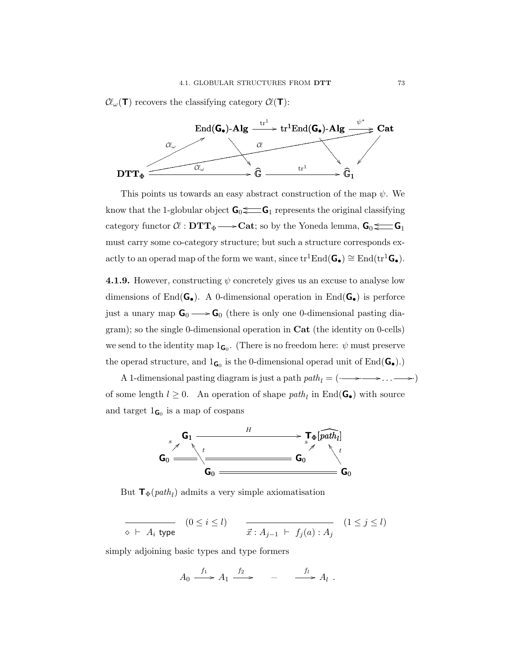$\mathcal{C}\ell_{\omega}(\mathbf{T})$  recovers the classifying category  $\mathcal{C}\ell(\mathbf{T})$ :



This points us towards an easy abstract construction of the map  $\psi$ . We know that the 1-globular object  $G_0 \leq -G_1$  represents the original classifying category functor  $\mathcal{C}$  :  $\mathbf{DTT}_{\Phi} \longrightarrow \mathbf{Cat}$ ; so by the Yoneda lemma,  $\mathbf{G}_0 \leq \mathbf{G}_1$ must carry some co-category structure; but such a structure corresponds exactly to an operad map of the form we want, since  $tr^1End(\mathbf{G}_\bullet) \cong End(tr^1\mathbf{G}_\bullet)$ .

<span id="page-80-0"></span>**4.1.9.** However, constructing  $\psi$  concretely gives us an excuse to analyse low dimensions of End( $G_{\bullet}$ ). A 0-dimensional operation in End( $G_{\bullet}$ ) is perforce just a unary map  $G_0 \longrightarrow G_0$  (there is only one 0-dimensional pasting diagram); so the single 0-dimensional operation in Cat (the identity on 0-cells) we send to the identity map  $1_{\mathsf{G}_0}$ . (There is no freedom here:  $\psi$  must preserve the operad structure, and  $1_{\mathsf{G}_0}$  is the 0-dimensional operad unit of  $\text{End}(\mathsf{G}_{\bullet}).$ 

A 1-dimensional pasting diagram is just a path  $path_l = (\rightarrow \rightarrow \rightarrow \rightarrow \rightarrow \rightarrow)$ of some length  $l \geq 0$ . An operation of shape path<sub>l</sub> in End( $\mathbf{G}_{\bullet}$ ) with source and target  $1_{\mathsf{G}_0}$  is a map of cospans



But  $\mathbf{T}_{\Phi}(\text{path}_l)$  admits a very simple axiomatisation

$$
\overline{\diamondsuit \vdash A_i \text{ type}} \quad (0 \leq i \leq l) \qquad \overline{\vec{x} : A_{j-1} \vdash f_j(a) : A_j} \quad (1 \leq j \leq l)
$$

simply adjoining basic types and type formers

$$
A_0 \xrightarrow{f_1} A_1 \xrightarrow{f_2} \qquad \qquad \xrightarrow{f_l} A_l \ .
$$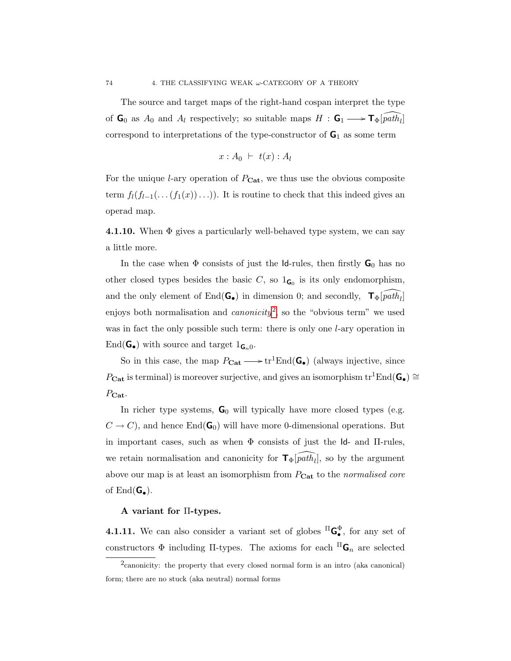The source and target maps of the right-hand cospan interpret the type of  $\mathbf{G}_0$  as  $A_0$  and  $A_l$  respectively; so suitable maps  $H : \mathbf{G}_1 \longrightarrow \mathbf{T}_{\Phi}[\widehat{path}_l]$ correspond to interpretations of the type-constructor of  $G_1$  as some term

$$
x:A_0 \;\vdash\; t(x):A_l
$$

For the unique *l*-ary operation of  $P_{\text{Cat}}$ , we thus use the obvious composite term  $f_l(f_{l-1}(\ldots(f_1(x))\ldots))$ . It is routine to check that this indeed gives an operad map.

<span id="page-81-1"></span>**4.1.10.** When  $\Phi$  gives a particularly well-behaved type system, we can say a little more.

In the case when  $\Phi$  consists of just the Id-rules, then firstly  $\mathsf{G}_0$  has no other closed types besides the basic C, so  $1_{\mathsf{G}_0}$  is its only endomorphism, and the only element of End( $\mathbf{G}_{\bullet}$ ) in dimension 0; and secondly,  $\mathbf{T}_{\Phi}[\widehat{path}_{l}]$ enjoys both normalisation and *canonicity*<sup>[2](#page-81-0)</sup>, so the "obvious term" we used was in fact the only possible such term: there is only one *l*-ary operation in End( $\mathbf{G}_{\bullet}$ ) with source and target  $1_{\mathbf{G}_{n}0}$ .

So in this case, the map  $P_{\text{Cat}} \longrightarrow \text{tr}^1\text{End}(\mathbf{G}_{\bullet})$  (always injective, since  $P_{\text{Cat}}$  is terminal) is moreover surjective, and gives an isomorphism tr<sup>1</sup>End( $\mathbf{G}_{\bullet}$ ) ≅  $P_{\text{Cat}}$ .

In richer type systems,  $G_0$  will typically have more closed types (e.g.  $C \to C$ , and hence End( $\mathbf{G}_0$ ) will have more 0-dimensional operations. But in important cases, such as when  $\Phi$  consists of just the Id- and II-rules, we retain normalisation and canonicity for  $\mathbf{T}_{\Phi}[\widehat{path}_{l}],$  so by the argument above our map is at least an isomorphism from  $P_{\text{Cat}}$  to the normalised core of  $\text{End}(\mathbf{G}_{\bullet}).$ 

### A variant for Π-types.

**4.1.11.** We can also consider a variant set of globes  ${}^{\Pi}G_{\bullet}^{\Phi}$ , for any set of constructors  $\Phi$  including  $\Pi$ -types. The axioms for each  $\Pi$ <sub> $\mathbf{G}_n$ </sub> are selected

<span id="page-81-0"></span><sup>2</sup> canonicity: the property that every closed normal form is an intro (aka canonical) form; there are no stuck (aka neutral) normal forms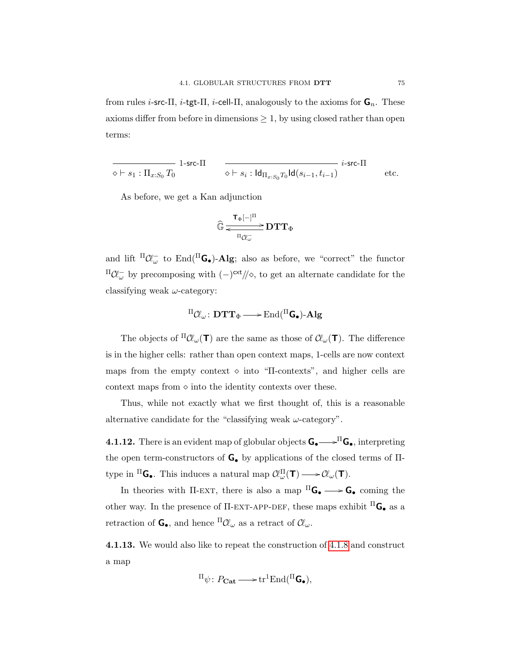from rules *i*-src-Π, *i*-tgt-Π, *i*-cell-Π, analogously to the axioms for  $\mathbf{G}_n$ . These axioms differ from before in dimensions  $\geq 1$ , by using closed rather than open terms:

$$
\overline{\diamond\vdash s_1:\Pi_{x:S_0}T_0}\quad\text{1-src-II}\qquad \overline{\diamond\vdash s_i:\text{Id}_{\Pi_{x:S_0}T_0}\text{Id}(s_{i-1},t_{i-1})}\quad\text{etc.}
$$

As before, we get a Kan adjunction

$$
\widehat{\mathbb{G}} \frac{\tau_{\Phi}[-]^{\Pi}}{\xrightarrow[\Pi_{\widetilde{\mathcal{C}}_{\omega}^-}]{} DTT_{\Phi}}
$$

and lift  $\Pi \mathcal{C} \ell_{\omega}^-$  to End( $\Pi$ **G**•)-Alg; also as before, we "correct" the functor  ${}^{\Pi} \mathcal{C}$ <sub>ω</sub> by precomposing with  $(-)^{\text{cxt}}/\!$ , to get an alternate candidate for the classifying weak  $\omega$ -category:

$$
{}^{\Pi}\mathcal{C}\!\ell_{\omega}\colon\mathbf{D}\mathbf{T}\mathbf{T}_{\Phi}\longrightarrow \mathrm{End}({}^{\Pi}\textbf{G}_{\bullet})\textbf{-Alg}
$$

The objects of  $^{\Pi} \mathcal{C}(\mu)$  are the same as those of  $\mathcal{C}(\mu)$ . The difference is in the higher cells: rather than open context maps, 1-cells are now context maps from the empty context  $\circ$  into "Π-contexts", and higher cells are context maps from  $\circ$  into the identity contexts over these.

Thus, while not exactly what we first thought of, this is a reasonable alternative candidate for the "classifying weak  $\omega$ -category".

**4.1.12.** There is an evident map of globular objects  $G_{\bullet} \longrightarrow^{\Pi} G_{\bullet}$ , interpreting the open term-constructors of  $\mathsf{G}_{\bullet}$  by applications of the closed terms of  $\Pi$ type in  ${}^{\Pi}$ **G**. This induces a natural map  $\mathcal{C}\!\ell_{\omega}^{\Pi}(\mathbf{T}) \longrightarrow \mathcal{C}\!\ell_{\omega}(\mathbf{T}).$ 

In theories with  $\Pi$ -EXT, there is also a map  ${}^{\Pi}$ **G** $\longrightarrow$ **G** $\bullet$  coming the other way. In the presence of  $\Pi$ -EXT-APP-DEF, these maps exhibit  ${}^{\Pi}$ **G**. as a retraction of  $\mathbf{G}_{\bullet}$ , and hence  ${}^{\Pi} \mathcal{C}\!\ell_{\omega}$  as a retract of  $\mathcal{C}\!\ell_{\omega}$ .

4.1.13. We would also like to repeat the construction of [4.1.8](#page-79-0) and construct a map

$$
{}^{\Pi}\psi\colon P_{\mathbf{Cat}}\longrightarrow \mathrm{tr}^1\mathrm{End}({}^{\Pi}\mathsf{G}_{\bullet}),
$$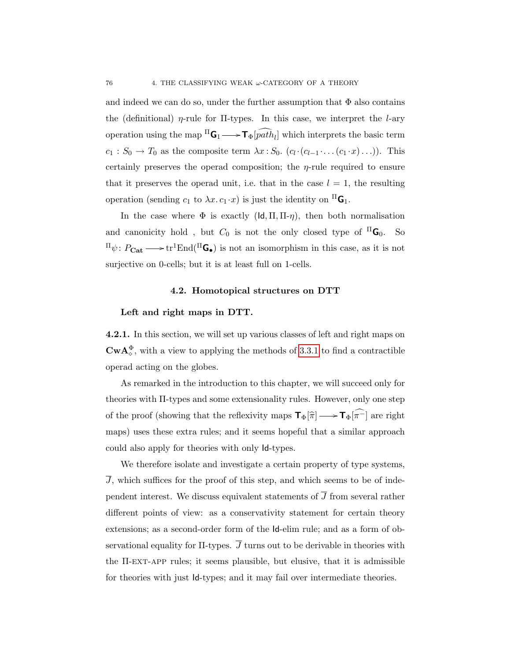and indeed we can do so, under the further assumption that  $\Phi$  also contains the (definitional)  $\eta$ -rule for II-types. In this case, we interpret the *l*-ary operation using the map  $\Pi$ **G**<sub>1</sub>  $\longrightarrow$  **T**<sub>Φ</sub>[*path*<sub>*l*</sub>] which interprets the basic term  $c_1: S_0 \to T_0$  as the composite term  $\lambda x: S_0$ .  $(c_l \cdot (c_{l-1} \cdot \ldots (c_1 \cdot x) \ldots))$ . This certainly preserves the operad composition; the  $\eta$ -rule required to ensure that it preserves the operad unit, i.e. that in the case  $l = 1$ , the resulting operation (sending  $c_1$  to  $\lambda x. c_1 \cdot x$ ) is just the identity on  ${}^{\Pi}$ **G**<sub>1</sub>.

In the case where  $\Phi$  is exactly  $(\mathsf{Id}, \Pi, \Pi - \eta)$ , then both normalisation and canonicity hold, but  $C_0$  is not the only closed type of  ${}^{\text{II}}\mathbf{G}_0$ . So  $\Pi \psi: P_{\text{Cat}} \longrightarrow \text{tr}^1\text{End}(\Pi\mathbf{G}_{\bullet})$  is not an isomorphism in this case, as it is not surjective on 0-cells; but it is at least full on 1-cells.

### 4.2. Homotopical structures on DTT

### <span id="page-83-0"></span>Left and right maps in DTT.

4.2.1. In this section, we will set up various classes of left and right maps on  $\mathbf{CwA}_{\diamond}^{\Phi}$ , with a view to applying the methods of [3.3.1](#page-67-0) to find a contractible operad acting on the globes.

As remarked in the introduction to this chapter, we will succeed only for theories with Π-types and some extensionality rules. However, only one step of the proof (showing that the reflexivity maps  $\mathbf{T}_{\Phi}[\hat{\pi}] \longrightarrow \mathbf{T}_{\Phi}[\pi^{-}]$  are right maps) uses these extra rules; and it seems hopeful that a similar approach could also apply for theories with only Id-types.

We therefore isolate and investigate a certain property of type systems,  $\overline{J}$ , which suffices for the proof of this step, and which seems to be of independent interest. We discuss equivalent statements of  $\overline{J}$  from several rather different points of view: as a conservativity statement for certain theory extensions; as a second-order form of the Id-elim rule; and as a form of observational equality for  $\Pi$ -types.  $\overline{J}$  turns out to be derivable in theories with the Π-ext-app rules; it seems plausible, but elusive, that it is admissible for theories with just Id-types; and it may fail over intermediate theories.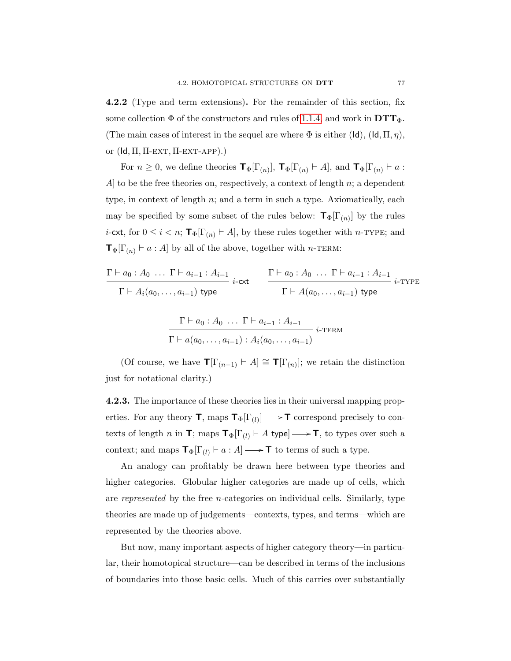4.2.2 (Type and term extensions). For the remainder of this section, fix some collection  $\Phi$  of the constructors and rules of [1.1.4,](#page-21-0) and work in  $\mathbf{DTT}_{\Phi}$ . (The main cases of interest in the sequel are where  $\Phi$  is either (Id), (Id,  $\Pi$ ,  $\eta$ ), or  $(\mathsf{Id}, \Pi, \Pi$ -EXT,  $\Pi$ -EXT-APP $).$ 

For  $n \geq 0$ , we define theories  $\mathbf{T}_{\Phi}[\Gamma_{(n)}], \mathbf{T}_{\Phi}[\Gamma_{(n)} \vdash A]$ , and  $\mathbf{T}_{\Phi}[\Gamma_{(n)} \vdash a$ :  $A$  to be the free theories on, respectively, a context of length n; a dependent type, in context of length  $n$ ; and a term in such a type. Axiomatically, each may be specified by some subset of the rules below:  $\mathbf{T}_{\Phi}[\Gamma_{(n)}]$  by the rules *i*-cxt, for  $0 \leq i < n$ ;  $\mathbf{T}_{\Phi}[\Gamma_{(n)} \vdash A]$ , by these rules together with *n*-TYPE; and  $\mathbf{T}_{\Phi}[\Gamma_{(n)} \vdash a : A]$  by all of the above, together with *n*-TERM:

$$
\frac{\Gamma \vdash a_0: A_0 \ldots \Gamma \vdash a_{i-1}: A_{i-1}}{\Gamma \vdash A_i(a_0, \ldots, a_{i-1}) \text{ type}} \quad \frac{\Gamma \vdash a_0: A_0 \ldots \Gamma \vdash a_{i-1}: A_{i-1}}{\Gamma \vdash A(a_0, \ldots, a_{i-1}) \text{ type}} \quad i\text{-type}
$$

$$
\frac{\Gamma \vdash a_0 : A_0 \ldots \Gamma \vdash a_{i-1} : A_{i-1}}{\Gamma \vdash a(a_0, \ldots, a_{i-1}) : A_i(a_0, \ldots, a_{i-1})} \ i\text{-term}
$$

(Of course, we have  $\mathbf{T}[\Gamma_{(n-1)} \vdash A] \cong \mathbf{T}[\Gamma_{(n)}];$  we retain the distinction just for notational clarity.)

4.2.3. The importance of these theories lies in their universal mapping properties. For any theory  $\mathbf{T}$ , maps  $\mathbf{T}_{\Phi}[\Gamma_{(l)}] \longrightarrow \mathbf{T}$  correspond precisely to contexts of length n in  $\mathbf{T}$ ; maps  $\mathbf{T}_{\Phi}[\Gamma_{(l)} \vdash A$  type]  $\longrightarrow$  T, to types over such a context; and maps  $\mathbf{T}_{\Phi}[\Gamma_{(l)} \vdash a : A] \longrightarrow \mathbf{T}$  to terms of such a type.

An analogy can profitably be drawn here between type theories and higher categories. Globular higher categories are made up of cells, which are represented by the free n-categories on individual cells. Similarly, type theories are made up of judgements—contexts, types, and terms—which are represented by the theories above.

But now, many important aspects of higher category theory—in particular, their homotopical structure—can be described in terms of the inclusions of boundaries into those basic cells. Much of this carries over substantially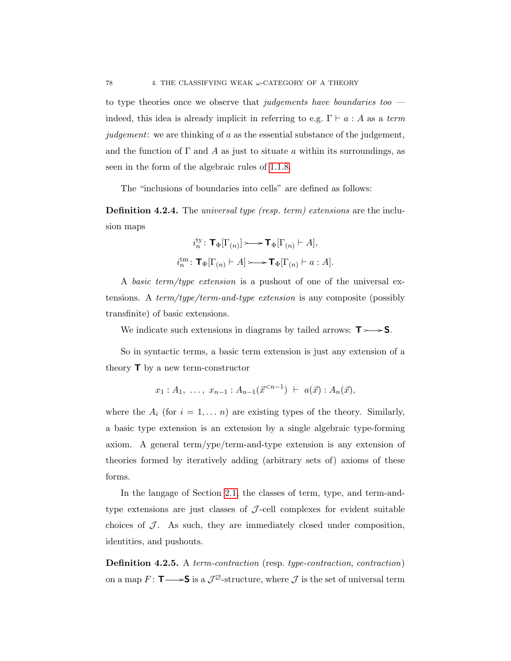to type theories once we observe that judgements have boundaries too indeed, this idea is already implicit in referring to e.g.  $\Gamma \vdash a : A$  as a term judgement: we are thinking of a as the essential substance of the judgement, and the function of  $\Gamma$  and A as just to situate a within its surroundings, as seen in the form of the algebraic rules of [1.1.8.](#page-25-0)

The "inclusions of boundaries into cells" are defined as follows:

**Definition 4.2.4.** The *universal type (resp. term) extensions* are the inclusion maps

$$
i_n^{\text{ty}} \colon \mathbf{T}_{\Phi}[\Gamma_{(n)}] \longrightarrow \mathbf{T}_{\Phi}[\Gamma_{(n)} \vdash A],
$$
  

$$
i_n^{\text{tm}} \colon \mathbf{T}_{\Phi}[\Gamma_{(n)} \vdash A] \longrightarrow \mathbf{T}_{\Phi}[\Gamma_{(n)} \vdash a : A].
$$

A basic term/type extension is a pushout of one of the universal extensions. A term/type/term-and-type extension is any composite (possibly transfinite) of basic extensions.

We indicate such extensions in diagrams by tailed arrows:  $T \rightarrow S$ .

So in syntactic terms, a basic term extension is just any extension of a theory  $\mathsf{T}$  by a new term-constructor

$$
x_1 : A_1, \ldots, x_{n-1} : A_{n-1}(\vec{x}^{
$$

where the  $A_i$  (for  $i = 1, \ldots n$ ) are existing types of the theory. Similarly, a basic type extension is an extension by a single algebraic type-forming axiom. A general term/ype/term-and-type extension is any extension of theories formed by iteratively adding (arbitrary sets of) axioms of these forms.

In the langage of Section [2.1,](#page-38-0) the classes of term, type, and term-andtype extensions are just classes of  $J$ -cell complexes for evident suitable choices of  $\mathcal J$ . As such, they are immediately closed under composition, identities, and pushouts.

Definition 4.2.5. A term-contraction (resp. type-contraction, contraction) on a map  $F: \mathsf{T} \longrightarrow S$  is a  $\mathcal{J}^{\boxtimes}$ -structure, where  $\mathcal J$  is the set of universal term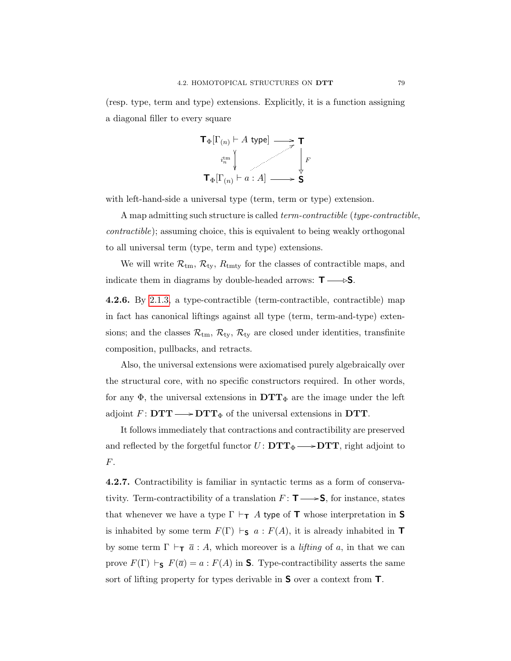(resp. type, term and type) extensions. Explicitly, it is a function assigning a diagonal filler to every square



with left-hand-side a universal type (term, term or type) extension.

A map admitting such structure is called *term-contractible* (*type-contractible*, contractible); assuming choice, this is equivalent to being weakly orthogonal to all universal term (type, term and type) extensions.

We will write  $\mathcal{R}_{\text{tm}}$ ,  $\mathcal{R}_{\text{ty}}$ ,  $R_{\text{tmty}}$  for the classes of contractible maps, and indicate them in diagrams by double-headed arrows:  $T \rightarrow S$ .

<span id="page-86-0"></span>4.2.6. By [2.1.3,](#page-40-0) a type-contractible (term-contractible, contractible) map in fact has canonical liftings against all type (term, term-and-type) extensions; and the classes  $\mathcal{R}_{tm}$ ,  $\mathcal{R}_{ty}$ ,  $\mathcal{R}_{ty}$  are closed under identities, transfinite composition, pullbacks, and retracts.

Also, the universal extensions were axiomatised purely algebraically over the structural core, with no specific constructors required. In other words, for any  $\Phi$ , the universal extensions in  $DTT_{\Phi}$  are the image under the left adjoint  $F: \mathbf{DTT} \longrightarrow \mathbf{DTT}_{\Phi}$  of the universal extensions in DTT.

It follows immediately that contractions and contractibility are preserved and reflected by the forgetful functor  $U: \mathbf{DTT}_{\Phi} \longrightarrow \mathbf{DTT}$ , right adjoint to F.

4.2.7. Contractibility is familiar in syntactic terms as a form of conservativity. Term-contractibility of a translation  $F: \mathbf{T} \longrightarrow S$ , for instance, states that whenever we have a type  $\Gamma \vdash_{\mathsf{T}} A$  type of  $\mathsf T$  whose interpretation in  $\mathsf S$ is inhabited by some term  $F(\Gamma) \vdash_S a : F(A)$ , it is already inhabited in  $\top$ by some term  $\Gamma \vdash_{\mathsf{T}} \overline{a} : A$ , which moreover is a *lifting* of a, in that we can prove  $F(\Gamma) \vdash_S F(\overline{a}) = a : F(A)$  in S. Type-contractibility asserts the same sort of lifting property for types derivable in S over a context from T.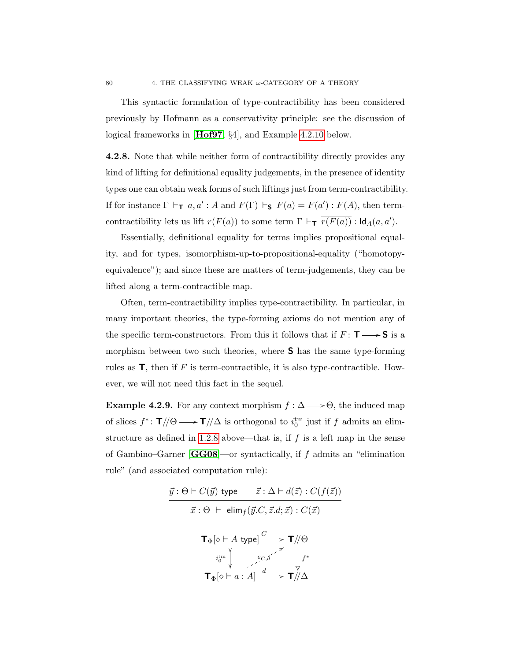This syntactic formulation of type-contractibility has been considered previously by Hofmann as a conservativity principle: see the discussion of logical frameworks in [[Hof97](#page-109-1), §4], and Example [4.2.10](#page-88-0) below.

4.2.8. Note that while neither form of contractibility directly provides any kind of lifting for definitional equality judgements, in the presence of identity types one can obtain weak forms of such liftings just from term-contractibility. If for instance  $\Gamma \vdash_{\mathsf{T}} a, a' : A \text{ and } F(\Gamma) \vdash_{\mathsf{S}} F(a) = F(a') : F(A)$ , then termcontractibility lets us lift  $r(F(a))$  to some term  $\Gamma \vdash_{\mathsf{T}} \overline{r(F(a))}$ :  $\mathsf{Id}_A(a, a')$ .

Essentially, definitional equality for terms implies propositional equality, and for types, isomorphism-up-to-propositional-equality ("homotopyequivalence"); and since these are matters of term-judgements, they can be lifted along a term-contractible map.

Often, term-contractibility implies type-contractibility. In particular, in many important theories, the type-forming axioms do not mention any of the specific term-constructors. From this it follows that if  $F: T \longrightarrow S$  is a morphism between two such theories, where S has the same type-forming rules as **, then if F is term-contractible, it is also type-contractible. How**ever, we will not need this fact in the sequel.

<span id="page-87-0"></span>**Example 4.2.9.** For any context morphism  $f : \Delta \longrightarrow \Theta$ , the induced map of slices  $f^*$ :  $\mathbf{T}/\Theta \longrightarrow \mathbf{T}/\Delta$  is orthogonal to  $i_0^{\text{tm}}$  just if f admits an elim-structure as defined in [1.2.8](#page-30-0) above—that is, if  $f$  is a left map in the sense of Gambino–Garner  $[GG08]$  $[GG08]$  $[GG08]$ —or syntactically, if f admits an "elimination rule" (and associated computation rule):

$$
\vec{y} : \Theta \vdash C(\vec{y}) \text{ type } \vec{z} : \Delta \vdash d(\vec{z}) : C(f(\vec{z}))
$$
\n
$$
\vec{x} : \Theta \vdash \text{ elim}_{f}(\vec{y}.C, \vec{z}.d; \vec{x}) : C(\vec{x})
$$
\n
$$
\mathsf{T}_{\Phi}[\diamond \vdash A \text{ type}] \xrightarrow{C} \mathsf{T}/\!/\Theta
$$
\n
$$
\begin{array}{c}\n\downarrow \text{tr} \\
\downarrow \text{tr} \\
\mathsf{T}_{\Phi}[\diamond \vdash a : A] \xrightarrow{d} \mathsf{T}/\!/\Delta\n\end{array}
$$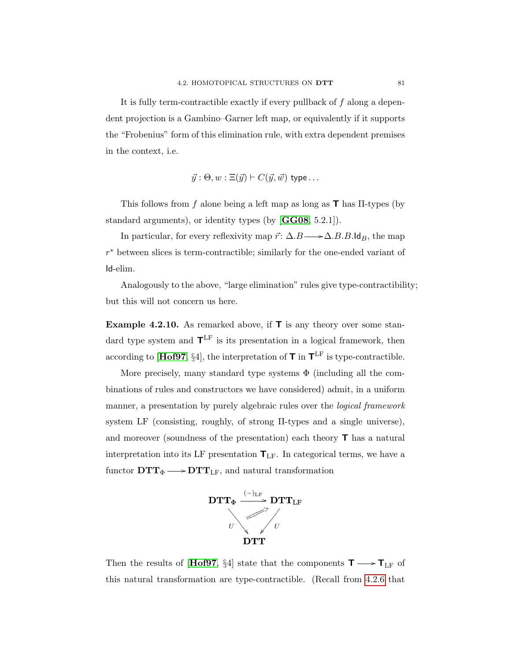It is fully term-contractible exactly if every pullback of  $f$  along a dependent projection is a Gambino–Garner left map, or equivalently if it supports the "Frobenius" form of this elimination rule, with extra dependent premises in the context, i.e.

$$
\vec{y}
$$
:  $\Theta$ ,  $w$ :  $\Xi(\vec{y}) \vdash C(\vec{y}, \vec{w})$  type...

This follows from f alone being a left map as long as  $\mathsf{T}$  has  $\Pi$ -types (by standard arguments), or identity types (by [[GG08](#page-109-2), 5.2.1]).

In particular, for every reflexivity map  $\vec{r}$ :  $\Delta.B \longrightarrow \Delta.B.B.ldB$ , the map r <sup>∗</sup> between slices is term-contractible; similarly for the one-ended variant of Id-elim.

Analogously to the above, "large elimination" rules give type-contractibility; but this will not concern us here.

<span id="page-88-0"></span>**Example 4.2.10.** As remarked above, if  $\mathbf{T}$  is any theory over some standard type system and  $\mathbf{T}^{\text{LF}}$  is its presentation in a logical framework, then according to [[Hof97](#page-109-1), §4], the interpretation of  $T$  in  $T^{\text{LF}}$  is type-contractible.

More precisely, many standard type systems  $\Phi$  (including all the combinations of rules and constructors we have considered) admit, in a uniform manner, a presentation by purely algebraic rules over the logical framework system LF (consisting, roughly, of strong Π-types and a single universe), and moreover (soundness of the presentation) each theory T has a natural interpretation into its LF presentation  $T_{LF}$ . In categorical terms, we have a functor  $DTT_{\Phi} \longrightarrow DTT_{LF}$ , and natural transformation



Then the results of [[Hof97](#page-109-1), §4] state that the components  $\textsf{T} \longrightarrow \textsf{T}_{\text{LF}}$  of this natural transformation are type-contractible. (Recall from [4.2.6](#page-86-0) that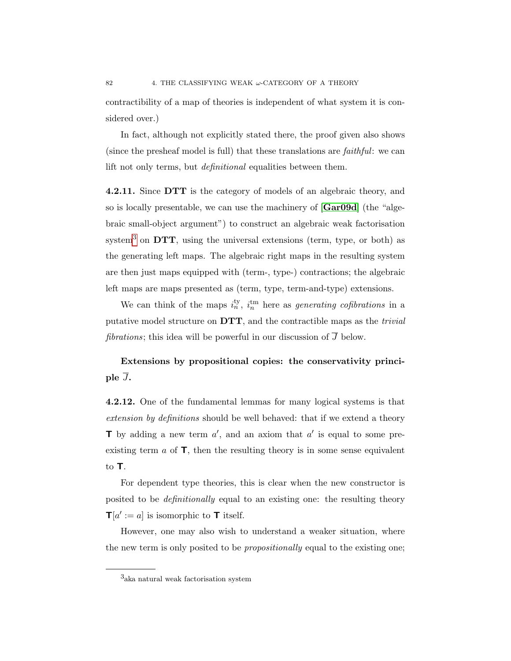contractibility of a map of theories is independent of what system it is considered over.)

In fact, although not explicitly stated there, the proof given also shows (since the presheaf model is full) that these translations are faithful: we can lift not only terms, but *definitional* equalities between them.

4.2.11. Since DTT is the category of models of an algebraic theory, and so is locally presentable, we can use the machinery of [[Gar09d](#page-109-3)] (the "algebraic small-object argument") to construct an algebraic weak factorisation system<sup>[3](#page-89-0)</sup> on  $DTT$ , using the universal extensions (term, type, or both) as the generating left maps. The algebraic right maps in the resulting system are then just maps equipped with (term-, type-) contractions; the algebraic left maps are maps presented as (term, type, term-and-type) extensions.

We can think of the maps  $i_n^{\text{ty}}, i_n^{\text{tm}}$  here as *generating cofibrations* in a putative model structure on  $DTT$ , and the contractible maps as the *trivial fibrations*; this idea will be powerful in our discussion of  $\overline{J}$  below.

Extensions by propositional copies: the conservativity principle  $\overline{J}$ .

4.2.12. One of the fundamental lemmas for many logical systems is that extension by definitions should be well behaved: that if we extend a theory **T** by adding a new term  $a'$ , and an axiom that  $a'$  is equal to some preexisting term  $\alpha$  of  $\mathsf{T}$ , then the resulting theory is in some sense equivalent to T.

For dependent type theories, this is clear when the new constructor is posited to be definitionally equal to an existing one: the resulting theory  $\mathbf{T}[a] := a$  is isomorphic to **T** itself.

However, one may also wish to understand a weaker situation, where the new term is only posited to be propositionally equal to the existing one;

<span id="page-89-0"></span><sup>3</sup> aka natural weak factorisation system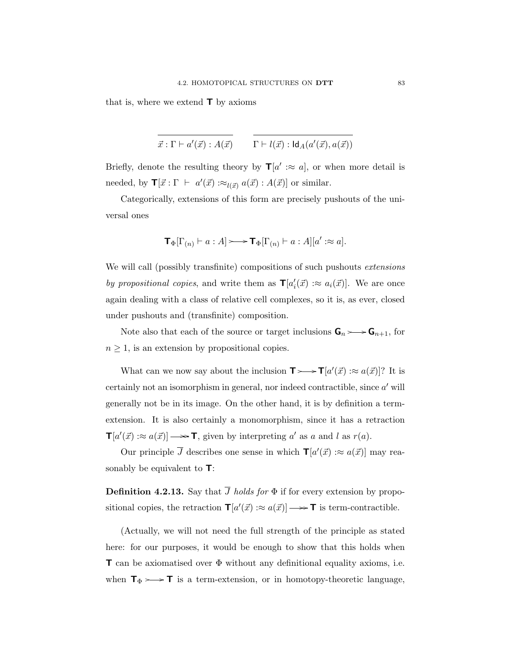that is, where we extend  $\mathsf{T}$  by axioms

$$
\vec{x} : \Gamma \vdash a'(\vec{x}) : A(\vec{x}) \qquad \Gamma \vdash l(\vec{x}) : \mathsf{Id}_A(a'(\vec{x}), a(\vec{x}))
$$

Briefly, denote the resulting theory by  $\mathbf{T}[a':\approx a]$ , or when more detail is needed, by  $\mathbf{T}[\vec{x} : \Gamma \vdash a'(\vec{x}) : \approx_{l(\vec{x})} a(\vec{x}) : A(\vec{x})]$  or similar.

Categorically, extensions of this form are precisely pushouts of the universal ones

$$
\mathbf{T}_{\Phi}[\Gamma_{(n)} \vdash a : A] \longrightarrow \mathbf{T}_{\Phi}[\Gamma_{(n)} \vdash a : A][a' : \approx a].
$$

We will call (possibly transfinite) compositions of such pushouts *extensions* by propositional copies, and write them as  $\mathbf{T}[a'_i(\vec{x}) : \approx a_i(\vec{x})]$ . We are once again dealing with a class of relative cell complexes, so it is, as ever, closed under pushouts and (transfinite) composition.

Note also that each of the source or target inclusions  $\mathbf{G}_n \rightarrow \mathbf{G}_{n+1}$ , for  $n \geq 1$ , is an extension by propositional copies.

What can we now say about the inclusion  $\mathbf{T} \rightarrow \mathbf{T} [a'(\vec{x}) : \approx a(\vec{x})]$ ? It is certainly not an isomorphism in general, nor indeed contractible, since  $a'$  will generally not be in its image. On the other hand, it is by definition a termextension. It is also certainly a monomorphism, since it has a retraction  $\mathbf{T}[a'(\vec{x}): \approx a(\vec{x})] \longrightarrow \mathbf{T}$ , given by interpreting a' as a and l as  $r(a)$ .

Our principle  $\overline{J}$  describes one sense in which  $\mathbf{T}[a'(\vec{x}) : \approx a(\vec{x})]$  may reasonably be equivalent to  $\mathsf{T}$ :

**Definition 4.2.13.** Say that  $\overline{J}$  holds for  $\Phi$  if for every extension by propositional copies, the retraction  $\mathbf{T}[a'(\vec{x}) : \approx a(\vec{x})] \longrightarrow \mathbf{T}$  is term-contractible.

(Actually, we will not need the full strength of the principle as stated here: for our purposes, it would be enough to show that this holds when **T** can be axiomatised over  $\Phi$  without any definitional equality axioms, i.e. when  $\mathsf{T}_{\Phi} \rightarrow \mathsf{T}$  is a term-extension, or in homotopy-theoretic language,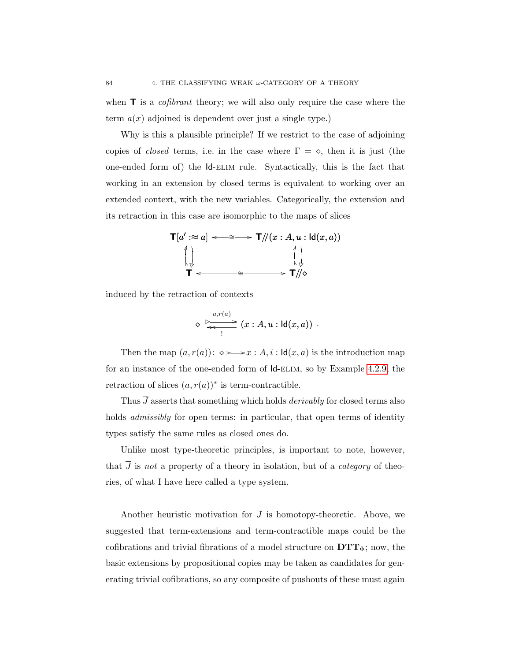when  $\mathbf{T}$  is a *cofibrant* theory; we will also only require the case where the term  $a(x)$  adjoined is dependent over just a single type.)

Why is this a plausible principle? If we restrict to the case of adjoining copies of *closed* terms, i.e. in the case where  $\Gamma = \diamond$ , then it is just (the one-ended form of) the Id-elim rule. Syntactically, this is the fact that working in an extension by closed terms is equivalent to working over an extended context, with the new variables. Categorically, the extension and its retraction in this case are isomorphic to the maps of slices



induced by the retraction of contexts

$$
\diamond \; \overrightarrow{\triangleright}_{\longleftarrow} \; (x : A, u : \mathsf{Id}(x,a)) \; .
$$

Then the map  $(a, r(a))$ :  $\diamond \longrightarrow x$ :  $A, i$ :  $\mathsf{Id}(x, a)$  is the introduction map for an instance of the one-ended form of Id-elim, so by Example [4.2.9,](#page-87-0) the retraction of slices  $(a, r(a))^*$  is term-contractible.

Thus  $\overline{J}$  asserts that something which holds *derivably* for closed terms also holds admissibly for open terms: in particular, that open terms of identity types satisfy the same rules as closed ones do.

Unlike most type-theoretic principles, is important to note, however, that  $\overline{J}$  is not a property of a theory in isolation, but of a *category* of theories, of what I have here called a type system.

Another heuristic motivation for  $\overline{J}$  is homotopy-theoretic. Above, we suggested that term-extensions and term-contractible maps could be the cofibrations and trivial fibrations of a model structure on  $DTT_{\Phi}$ ; now, the basic extensions by propositional copies may be taken as candidates for generating trivial cofibrations, so any composite of pushouts of these must again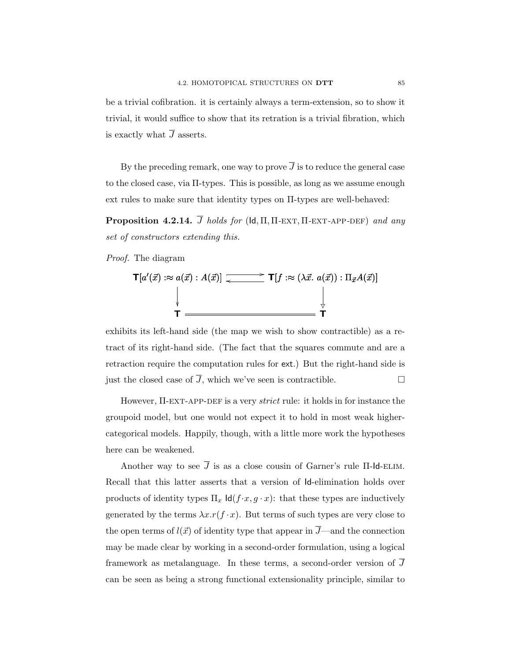be a trivial cofibration. it is certainly always a term-extension, so to show it trivial, it would suffice to show that its retration is a trivial fibration, which is exactly what  $\overline{J}$  asserts.

By the preceding remark, one way to prove  $\overline{J}$  is to reduce the general case to the closed case, via Π-types. This is possible, as long as we assume enough ext rules to make sure that identity types on Π-types are well-behaved:

**Proposition 4.2.14.**  $\overline{J}$  holds for (Id,  $\Pi$ ,  $\Pi$ -EXT,  $\Pi$ -EXT-APP-DEF) and any set of constructors extending this.

Proof. The diagram

$$
\mathsf{T}[a'(\vec{x}) : \approx a(\vec{x}) : A(\vec{x})] \xrightarrow{\longleftarrow} \mathsf{T}[f : \approx (\lambda \vec{x} \cdot a(\vec{x})) : \Pi_{\vec{x}} A(\vec{x})]
$$
\n
$$
\downarrow \qquad \qquad \downarrow \qquad \qquad \downarrow
$$
\n
$$
\mathsf{T} \xrightarrow{\longleftarrow} \mathsf{T}
$$

exhibits its left-hand side (the map we wish to show contractible) as a retract of its right-hand side. (The fact that the squares commute and are a retraction require the computation rules for ext.) But the right-hand side is just the closed case of  $\overline{J}$ , which we've seen is contractible.

However,  $\Pi$ -EXT-APP-DEF is a very *strict* rule: it holds in for instance the groupoid model, but one would not expect it to hold in most weak highercategorical models. Happily, though, with a little more work the hypotheses here can be weakened.

Another way to see  $\overline{J}$  is as a close cousin of Garner's rule  $\Pi$ -Id-ELIM. Recall that this latter asserts that a version of Id-elimination holds over products of identity types  $\Pi_x \operatorname{Id}(f \cdot x, g \cdot x)$ : that these types are inductively generated by the terms  $\lambda x.r(f \cdot x)$ . But terms of such types are very close to the open terms of  $l(\vec{x})$  of identity type that appear in  $\overline{J}$ —and the connection may be made clear by working in a second-order formulation, using a logical framework as metalanguage. In these terms, a second-order version of J can be seen as being a strong functional extensionality principle, similar to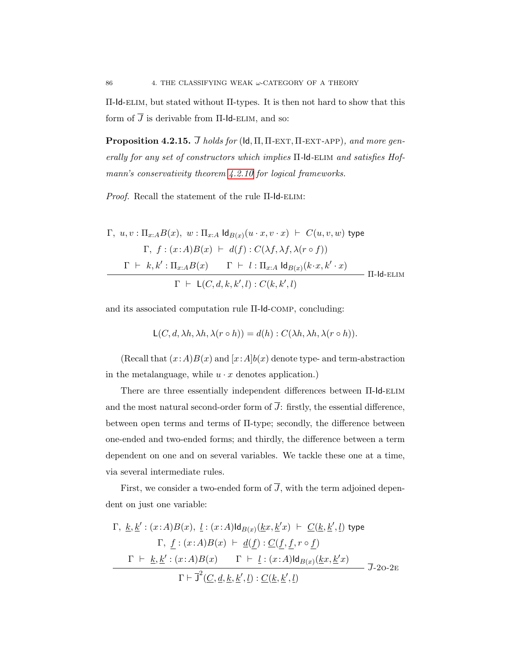Π-Id-elim, but stated without Π-types. It is then not hard to show that this form of  $\overline{J}$  is derivable from  $\Pi$ -Id-ELIM, and so:

**Proposition 4.2.15.**  $\overline{J}$  holds for (Id,  $\Pi$ ,  $\Pi$ -EXT,  $\Pi$ -EXT-APP), and more generally for any set of constructors which implies  $\Pi$ -Id-ELIM and satisfies Hof-mann's conservativity theorem [4.2.10](#page-88-0) for logical frameworks.

Proof. Recall the statement of the rule Π-Id-ELIM:

$$
\Gamma, u, v: \Pi_{x:A} B(x), w: \Pi_{x:A} \operatorname{Id}_{B(x)} (u \cdot x, v \cdot x) \vdash C(u, v, w) \text{ type}
$$
\n
$$
\Gamma, f: (x:A)B(x) \vdash d(f): C(\lambda f, \lambda f, \lambda (r \circ f))
$$
\n
$$
\Gamma \vdash k, k': \Pi_{x:A} B(x) \qquad \Gamma \vdash l: \Pi_{x:A} \operatorname{Id}_{B(x)} (k \cdot x, k' \cdot x)
$$
\n
$$
\Gamma \vdash \mathsf{L}(C, d, k, k', l): C(k, k', l)
$$
\n
$$
\Pi\text{-Id-ELIM}
$$

and its associated computation rule Π-Id-comp, concluding:

$$
L(C, d, \lambda h, \lambda h, \lambda(r \circ h)) = d(h) : C(\lambda h, \lambda h, \lambda(r \circ h)).
$$

(Recall that  $(x:A)B(x)$  and  $[x:A]b(x)$  denote type- and term-abstraction in the metalanguage, while  $u \cdot x$  denotes application.)

There are three essentially independent differences between Π-Id-elim and the most natural second-order form of  $\overline{J}$ : firstly, the essential difference, between open terms and terms of Π-type; secondly, the difference between one-ended and two-ended forms; and thirdly, the difference between a term dependent on one and on several variables. We tackle these one at a time, via several intermediate rules.

First, we consider a two-ended form of  $\overline{J}$ , with the term adjoined dependent on just one variable:

$$
\Gamma, \underline{k}, \underline{k}': (x:A)B(x), \underline{l}:(x:A)\mathrm{Id}_{B(x)}(\underline{k}x, \underline{k}'x) \vdash \underline{C}(\underline{k}, \underline{k}', \underline{l}) \text{ type}
$$
\n
$$
\Gamma, \underline{f}:(x:A)B(x) \vdash \underline{d}(\underline{f}):\underline{C}(\underline{f}, \underline{f}, r \circ \underline{f})
$$
\n
$$
\frac{\Gamma \vdash \underline{k}, \underline{k}': (x:A)B(x) \qquad \Gamma \vdash \underline{l}:(x:A)\mathrm{Id}_{B(x)}(\underline{k}x, \underline{k}'x)}{\Gamma \vdash \overline{J}^2(\underline{C}, \underline{d}, \underline{k}, \underline{k}', \underline{l}):\underline{C}(\underline{k}, \underline{k}', \underline{l})} \qquad \overline{J}\text{-}2\mathrm{O}\text{-}2\mathrm{E}}
$$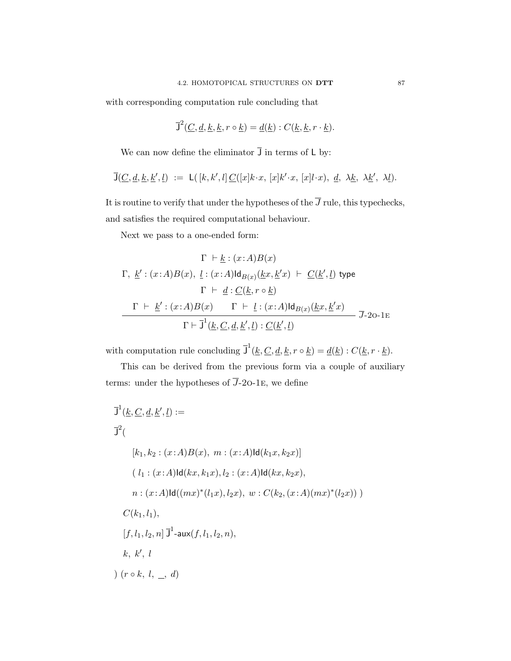with corresponding computation rule concluding that

$$
\overline{J}^2(\underline{C}, \underline{d}, \underline{k}, \underline{k}, r \circ \underline{k}) = \underline{d}(\underline{k}) : C(\underline{k}, \underline{k}, r \cdot \underline{k}).
$$

We can now define the eliminator  $\overline{J}$  in terms of L by:

$$
\overline{\mathsf{J}}(\underline{C},\underline{d},\underline{k},\underline{k}',\underline{l}) \ := \ \mathsf{L}(\ [k,k',l] \, \underline{C}([x]k\cdot x, \ [x]k'\cdot x, \ [x]l\cdot x), \ \underline{d}, \ \lambda \underline{k}, \ \lambda \underline{k}', \ \lambda \underline{l}).
$$

It is routine to verify that under the hypotheses of the  $\overline{J}$  rule, this typechecks, and satisfies the required computational behaviour.

Next we pass to a one-ended form:

$$
\Gamma \vdash \underline{k} : (x:A)B(x)
$$
\n
$$
\Gamma, \underline{k}': (x:A)B(x), \underline{l} : (x:A)\mathrm{Id}_{B(x)}(\underline{k}x, \underline{k}x) \vdash \underline{C}(\underline{k}', \underline{l}) \text{ type}
$$
\n
$$
\Gamma \vdash \underline{d} : \underline{C}(\underline{k}, r \circ \underline{k})
$$
\n
$$
\Gamma \vdash \underline{k}': (x:A)B(x) \qquad \Gamma \vdash \underline{l} : (x:A)\mathrm{Id}_{B(x)}(\underline{k}x, \underline{k}'x)
$$
\n
$$
\Gamma \vdash \overline{J}^1(\underline{k}, \underline{C}, \underline{d}, \underline{k}', \underline{l}) : \underline{C}(\underline{k}', \underline{l})
$$
\n
$$
\overline{J} \text{-} 2\mathrm{o} \text{-} 1\mathrm{E}
$$

with computation rule concluding  $\overline{J}^1(\underline{k}, \underline{C}, \underline{d}, \underline{k}, r \circ \underline{k}) = \underline{d}(\underline{k}) : C(\underline{k}, r \cdot \underline{k}).$ 

This can be derived from the previous form via a couple of auxiliary terms: under the hypotheses of  $\overline{J}$ -20-1E, we define

$$
J^{1}(\underline{k}, \underline{C}, \underline{d}, \underline{k}', \underline{l}) :=
$$
  
\n
$$
J^{2}(\n\qquad [k_{1}, k_{2} : (x : A)B(x), \, m : (x : A)Id(k_{1}x, k_{2}x)]
$$
  
\n
$$
(l_{1} : (x : A)Id(kx, k_{1}x), l_{2} : (x : A)Id(kx, k_{2}x),
$$
  
\n
$$
n : (x : A)Id((mx)^{*}(l_{1}x), l_{2}x), \, w : C(k_{2}, (x : A)(mx)^{*}(l_{2}x)))
$$
  
\n
$$
C(k_{1}, l_{1}),
$$
  
\n
$$
[f, l_{1}, l_{2}, n] J^{1} - aux(f, l_{1}, l_{2}, n),
$$
  
\n
$$
k, k', l
$$
  
\n
$$
)(r \circ k, l, \_, d)
$$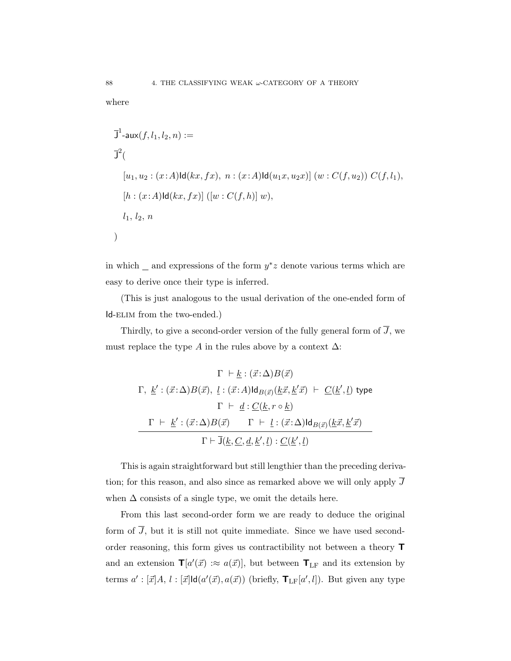where

$$
J^{1}\text{-}aux(f, l_{1}, l_{2}, n) :=
$$
  
\n
$$
J^{2}(
$$
  
\n
$$
[u_{1}, u_{2} : (x : A)Id(kx, fx), n : (x : A)Id(u_{1}x, u_{2}x)] (w : C(f, u_{2})) C(f, l_{1}),
$$
  
\n
$$
[h : (x : A)Id(kx, fx)] ([w : C(f, h)] w),
$$
  
\n
$$
l_{1}, l_{2}, n
$$

in which  $\Box$  and expressions of the form  $y^*z$  denote various terms which are easy to derive once their type is inferred.

(This is just analogous to the usual derivation of the one-ended form of Id-elim from the two-ended.)

Thirdly, to give a second-order version of the fully general form of  $\overline{J},$  we must replace the type A in the rules above by a context  $\Delta$ :

$$
\Gamma \vdash \underline{k} : (\vec{x} : \Delta)B(\vec{x})
$$
  
\n
$$
\Gamma, \underline{k}' : (\vec{x} : \Delta)B(\vec{x}), \underline{l} : (\vec{x} : A)\mathrm{Id}_{B(\vec{x})}(\underline{k}\vec{x}, \underline{k}'\vec{x}) \vdash \underline{C}(\underline{k}', \underline{l}) \text{ type}
$$
  
\n
$$
\Gamma \vdash \underline{d} : \underline{C}(\underline{k}, r \circ \underline{k})
$$
  
\n
$$
\Gamma \vdash \underline{k}' : (\vec{x} : \Delta)B(\vec{x}) \qquad \Gamma \vdash \underline{l} : (\vec{x} : \Delta)\mathrm{Id}_{B(\vec{x})}(\underline{k}\vec{x}, \underline{k}'\vec{x})
$$
  
\n
$$
\Gamma \vdash \overline{\mathrm{J}}(\underline{k}, \underline{C}, \underline{d}, \underline{k}', \underline{l}) : \underline{C}(\underline{k}', \underline{l})
$$

This is again straightforward but still lengthier than the preceding derivation; for this reason, and also since as remarked above we will only apply  $\overline{J}$ when  $\Delta$  consists of a single type, we omit the details here.

From this last second-order form we are ready to deduce the original form of  $\overline{J}$ , but it is still not quite immediate. Since we have used secondorder reasoning, this form gives us contractibility not between a theory T and an extension  $\mathbf{T}[a'(\vec{x}) : \approx a(\vec{x})]$ , but between  $\mathbf{T}_{LF}$  and its extension by terms  $a' : [\vec{x}]A, l : [\vec{x}]$ ld $(a'(\vec{x}), a(\vec{x}))$  (briefly,  $\mathbf{T}_{LF}[a', l]$ ). But given any type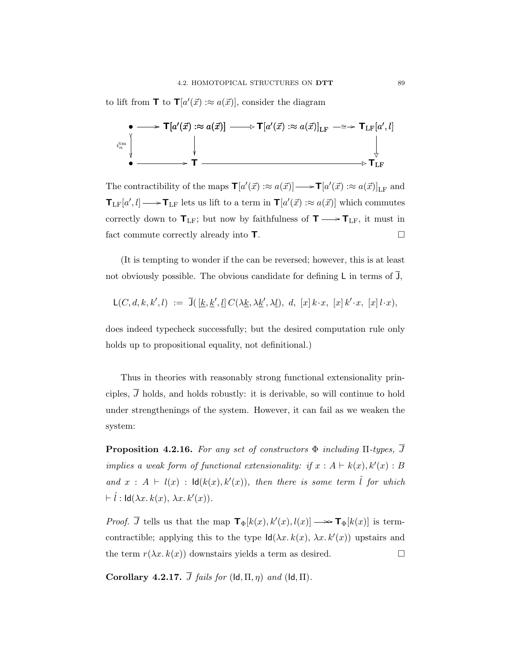to lift from **T** to **T**[ $a'(\vec{x})$  : $\approx a(\vec{x})$ ], consider the diagram



The contractibility of the maps  $\mathbf{T}[a'(\vec{x}) : \approx a(\vec{x})] \longrightarrow \mathbf{T}[a'(\vec{x}) : \approx a(\vec{x})]_{\text{LF}}$  and  $\mathbf{T}_{LF}[a', l] \longrightarrow \mathbf{T}_{LF}$  lets us lift to a term in  $\mathbf{T}[a'(\vec{x}) : a(\vec{x})]$  which commutes correctly down to  $\textsf{T}_{\text{LF}};$  but now by faithfulness of  $\textsf{T} \longrightarrow \textsf{T}_{\text{LF}},$  it must in fact commute correctly already into  $\mathsf{T}.$ 

(It is tempting to wonder if the can be reversed; however, this is at least not obviously possible. The obvious candidate for defining  $\mathsf{L}$  in terms of  $\overline{\mathsf{J}}$ ,

$$
\mathsf L (C, d, k, k', l) \ := \ \overline{\mathsf J} \big( \, [\underline{k}, \underline{k}', \underline{l}] \, C(\lambda \underline{k}, \lambda \underline{k}', \lambda \underline{l}), \ d, \ [x] \, k \cdot x, \ [x] \, k' \cdot x, \ [x] \, l \cdot x \big),
$$

does indeed typecheck successfully; but the desired computation rule only holds up to propositional equality, not definitional.)

Thus in theories with reasonably strong functional extensionality principles,  $\overline{J}$  holds, and holds robustly: it is derivable, so will continue to hold under strengthenings of the system. However, it can fail as we weaken the system:

<span id="page-96-0"></span>**Proposition 4.2.16.** For any set of constructors  $\Phi$  including  $\Pi$ -types,  $\overline{J}$ implies a weak form of functional extensionality: if  $x : A \vdash k(x), k'(x) : B$ and  $x : A \vdash l(x) : \mathsf{Id}(k(x), k'(x)),$  then there is some term  $\hat{l}$  for which  $\vdash \hat{l}$  :  $\text{Id}(\lambda x. k(x), \lambda x. k'(x)).$ 

*Proof.*  $\overline{J}$  tells us that the map  $\mathbf{T}_{\Phi}[k(x), k'(x), l(x)] \longrightarrow \mathbf{T}_{\Phi}[k(x)]$  is termcontractible; applying this to the type  $\mathsf{Id}(\lambda x. k(x), \lambda x. k'(x))$  upstairs and the term  $r(\lambda x. k(x))$  downstairs yields a term as desired.

<span id="page-96-1"></span>Corollary 4.2.17.  $\overline{J}$  fails for (Id,  $\Pi$ ,  $\eta$ ) and (Id,  $\Pi$ ).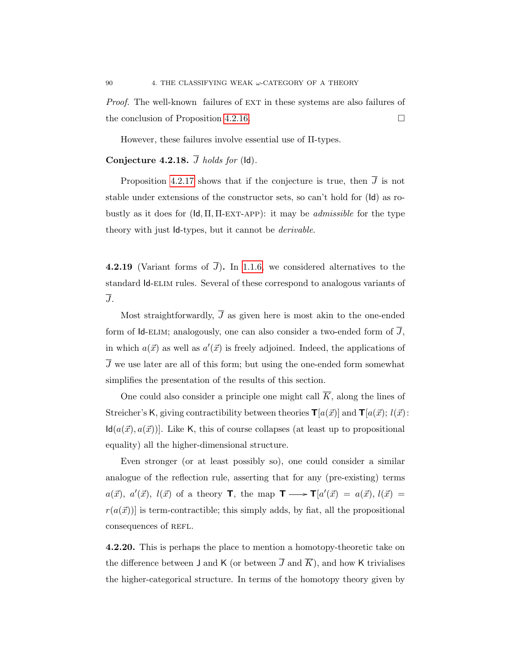Proof. The well-known failures of EXT in these systems are also failures of the conclusion of Proposition [4.2.16.](#page-96-0)

However, these failures involve essential use of Π-types.

# Conjecture 4.2.18.  $\overline{J}$  holds for (ld).

Proposition [4.2.17](#page-96-1) shows that if the conjecture is true, then  $\overline{J}$  is not stable under extensions of the constructor sets, so can't hold for (Id) as robustly as it does for  $(\mathsf{Id}, \Pi, \Pi\text{-EXT-APP})$ : it may be *admissible* for the type theory with just Id-types, but it cannot be derivable.

4.2.19 (Variant forms of  $\overline{J}$ ). In [1.1.6,](#page-22-0) we considered alternatives to the standard Id-elim rules. Several of these correspond to analogous variants of J.

Most straightforwardly,  $\overline{J}$  as given here is most akin to the one-ended form of Id-ELIM; analogously, one can also consider a two-ended form of  $\overline{J}$ , in which  $a(\vec{x})$  as well as  $a'(\vec{x})$  is freely adjoined. Indeed, the applications of J we use later are all of this form; but using the one-ended form somewhat simplifies the presentation of the results of this section.

One could also consider a principle one might call  $\overline{K}$ , along the lines of Streicher's K, giving contractibility between theories  $\mathbf{T}[a(\vec{x})]$  and  $\mathbf{T}[a(\vec{x}); l(\vec{x})]$ :  $\mathsf{Id}(a(\vec{x}), a(\vec{x}))$ . Like K, this of course collapses (at least up to propositional equality) all the higher-dimensional structure.

Even stronger (or at least possibly so), one could consider a similar analogue of the reflection rule, asserting that for any (pre-existing) terms  $a(\vec{x})$ ,  $a'(\vec{x})$ ,  $l(\vec{x})$  of a theory **T**, the map **T**  $\longrightarrow \mathbf{T}[a'(\vec{x}) = a(\vec{x}), l(\vec{x}) = a$  $r(a(\vec{x}))$  is term-contractible; this simply adds, by fiat, all the propositional consequences of REFL.

4.2.20. This is perhaps the place to mention a homotopy-theoretic take on the difference between J and K (or between  $\overline{J}$  and  $\overline{K}$ ), and how K trivialises the higher-categorical structure. In terms of the homotopy theory given by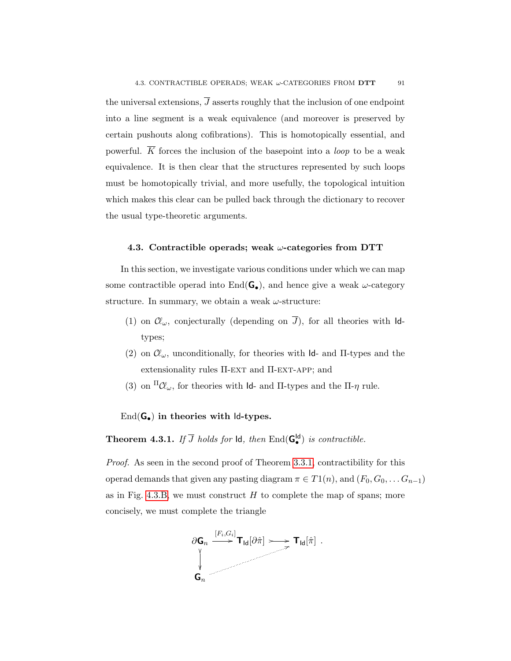the universal extensions,  $\overline{J}$  asserts roughly that the inclusion of one endpoint into a line segment is a weak equivalence (and moreover is preserved by certain pushouts along cofibrations). This is homotopically essential, and powerful.  $\overline{K}$  forces the inclusion of the basepoint into a *loop* to be a weak equivalence. It is then clear that the structures represented by such loops must be homotopically trivial, and more usefully, the topological intuition which makes this clear can be pulled back through the dictionary to recover the usual type-theoretic arguments.

### <span id="page-98-0"></span>4.3. Contractible operads; weak  $\omega$ -categories from DTT

In this section, we investigate various conditions under which we can map some contractible operad into  $\text{End}(\mathbf{G}_{\bullet})$ , and hence give a weak  $\omega$ -category structure. In summary, we obtain a weak  $\omega$ -structure:

- (1) on  $\mathcal{C}\!\ell_\omega$ , conjecturally (depending on  $\overline{J}$ ), for all theories with Idtypes;
- (2) on  $\mathcal{C}_{\omega}$ , unconditionally, for theories with Id- and II-types and the extensionality rules  $\Pi$ -EXT and  $\Pi$ -EXT-APP; and
- (3) on  $\Pi\mathcal{U}_{\omega}$ , for theories with Id- and  $\Pi$ -types and the  $\Pi$ - $\eta$  rule.

 $End(G_{\bullet})$  in theories with  $Id$ -types.

<span id="page-98-1"></span>**Theorem 4.3.1.** If  $\overline{J}$  holds for  $\mathsf{Id}$ , then  $\text{End}(\mathsf{G}_{\bullet}^{\mathsf{Id}})$  is contractible.

Proof. As seen in the second proof of Theorem [3.3.1,](#page-67-0) contractibility for this operad demands that given any pasting diagram  $\pi \in T_1(n)$ , and  $(F_0, G_0, \ldots, G_{n-1})$ as in Fig. [4.3.B,](#page-99-0) we must construct  $H$  to complete the map of spans; more concisely, we must complete the triangle

$$
\frac{\partial \mathsf{G}_n}{\bigvee_{\mathsf{G}_n}} \xrightarrow{[F_i, G_i]} \mathsf{T}_{\mathsf{Id}}[\partial \hat{\pi}] \longrightarrow \mathsf{T}_{\mathsf{Id}}[\hat{\pi}].
$$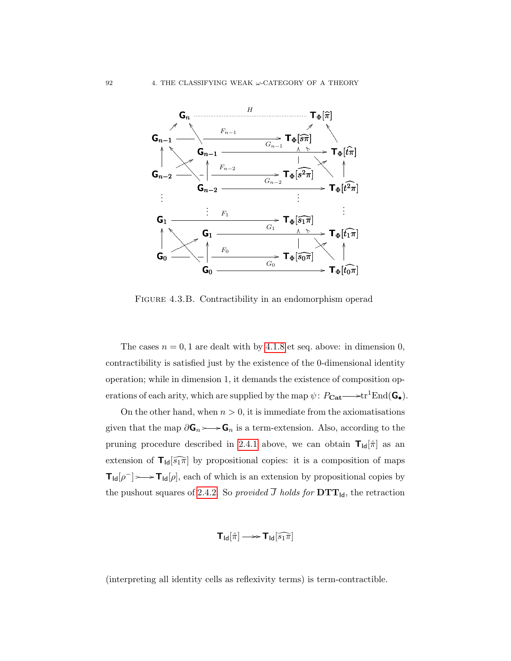

<span id="page-99-0"></span>FIGURE 4.3.B. Contractibility in an endomorphism operad

The cases  $n = 0, 1$  are dealt with by [4.1.8](#page-79-0) et seq. above: in dimension 0, contractibility is satisfied just by the existence of the 0-dimensional identity operation; while in dimension 1, it demands the existence of composition operations of each arity, which are supplied by the map  $\psi: P_{\text{Cat}} \longrightarrow \text{tr}^1\text{End}(\mathbf{G}_{\bullet}).$ 

On the other hand, when  $n > 0$ , it is immediate from the axiomatisations given that the map  $\partial \mathsf{G}_n \rightarrow \mathsf{G}_n$  is a term-extension. Also, according to the pruning procedure described in [2.4.1](#page-57-1) above, we can obtain  $\mathbf{T}_{\text{Id}}[\hat{\pi}]$  as an extension of  $T_{\text{Id}}\widehat{[s_1\pi]}$  by propositional copies: it is a composition of maps  $T_{\text{Id}}[\rho^-] \rightarrow \text{I}_{\text{Id}}[\rho],$  each of which is an extension by propositional copies by the pushout squares of [2.4.2.](#page-58-0) So provided  $\overline{J}$  holds for  $DTT_{\text{Id}}$ , the retraction

$$
\mathbf{T}_{\mathsf{Id}}[\hat{\pi}] \longrightarrow \mathbf{T}_{\mathsf{Id}}[\widehat{s_1}\widehat{\pi}]
$$

(interpreting all identity cells as reflexivity terms) is term-contractible.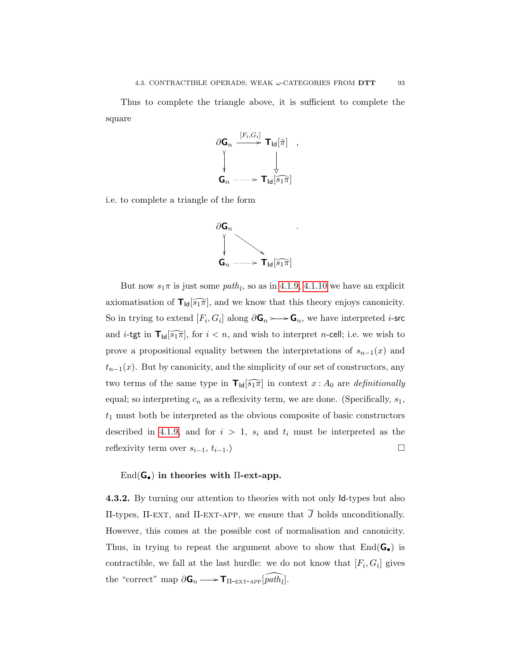Thus to complete the triangle above, it is sufficient to complete the square



i.e. to complete a triangle of the form



But now  $s_1\pi$  is just some  $path_l$ , so as in [4.1.9,](#page-80-0) [4.1.10](#page-81-1) we have an explicit axiomatisation of  $\mathsf{T}_{\mathsf{Id}}\widehat{[s_1\pi]}$ , and we know that this theory enjoys canonicity. So in trying to extend  $[F_i, G_i]$  along  $\partial \mathbf{G}_n \rightarrow \mathbf{G}_n$ , we have interpreted *i*-src and *i*-tgt in  $\mathbf{T}_{\text{Id}}[\widehat{s_1\pi}]$ , for  $i < n$ , and wish to interpret *n*-cell; i.e. we wish to prove a propositional equality between the interpretations of  $s_{n-1}(x)$  and  $t_{n-1}(x)$ . But by canonicity, and the simplicity of our set of constructors, any two terms of the same type in  $\mathbf{T}_{\text{Id}}[\widehat{s_1\pi}]$  in context  $x : A_0$  are *definitionally* equal; so interpreting  $c_n$  as a reflexivity term, we are done. (Specifically,  $s_1$ ,  $t_1$  must both be interpreted as the obvious composite of basic constructors described in [4.1.9,](#page-80-0) and for  $i > 1$ ,  $s_i$  and  $t_i$  must be interpreted as the reflexivity term over  $s_{i-1}, t_{i-1}$ .)

### $\text{End}(\mathsf{G}_{\bullet})$  in theories with  $\Pi$ -ext-app.

4.3.2. By turning our attention to theories with not only Id-types but also Π-types, Π-EXT, and Π-EXT-APP, we ensure that  $\overline{J}$  holds unconditionally. However, this comes at the possible cost of normalisation and canonicity. Thus, in trying to repeat the argument above to show that  $End(G_{\bullet})$  is contractible, we fall at the last hurdle: we do not know that  $[F_i, G_i]$  gives the "correct" map  $\partial \mathbf{G}_n \longrightarrow \mathbf{T}_{\Pi\text{-EXT-APP}}[\widehat{path}_l].$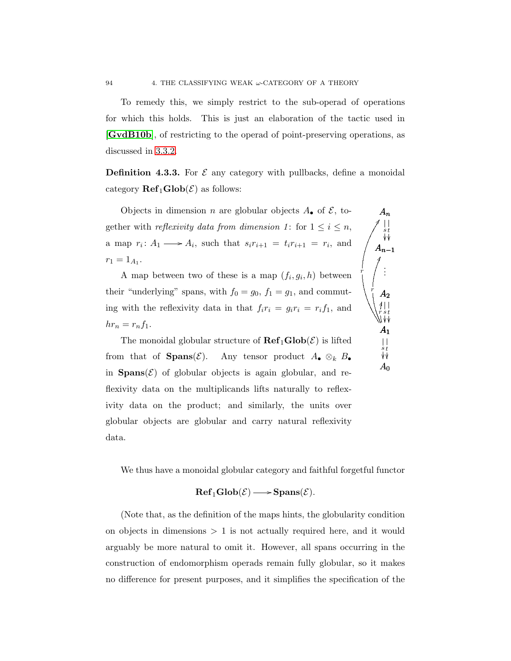To remedy this, we simply restrict to the sub-operad of operations for which this holds. This is just an elaboration of the tactic used in [[GvdB10b](#page-109-0)], of restricting to the operad of point-preserving operations, as discussed in [3.3.2.](#page-70-0)

**Definition 4.3.3.** For  $\mathcal{E}$  any category with pullbacks, define a monoidal category  $\mathbf{Ref}_1\mathbf{Glob}(\mathcal{E})$  as follows:

 $A_n$ 

DD

s ľ t ľ

 $A_{n-1}$ 

. . .

r

 $A<sub>2</sub>$ 

JJ r

 $A<sub>1</sub>$ 

 $A_0$ 

s t ľ  $\mathbf{r}$ 

 $\dot{r}$  s  $t$ ľ ľ

Objects in dimension *n* are globular objects  $A_{\bullet}$  of  $\mathcal{E}$ , together with *reflexivity data from dimension 1*: for  $1 \leq i \leq n$ , a map  $r_i: A_1 \longrightarrow A_i$ , such that  $s_i r_{i+1} = t_i r_{i+1} = r_i$ , and  $r_1 = 1_{A_1}.$ 

A map between two of these is a map  $(f_i, g_i, h)$  between their "underlying" spans, with  $f_0 = g_0$ ,  $f_1 = g_1$ , and commuting with the reflexivity data in that  $f_i r_i = g_i r_i = r_i f_1$ , and  $hr_n = r_n f_1.$ 

The monoidal globular structure of  $\mathbf{Ref}_1\mathbf{Glob}(\mathcal{E})$  is lifted from that of **Spans**( $\mathcal{E}$ ). Any tensor product  $A_{\bullet} \otimes_k B_{\bullet}$ in  $\text{Spans}(\mathcal{E})$  of globular objects is again globular, and reflexivity data on the multiplicands lifts naturally to reflexivity data on the product; and similarly, the units over globular objects are globular and carry natural reflexivity data.

We thus have a monoidal globular category and faithful forgetful functor

# $\mathbf{Ref}_1\mathbf{Glob}(\mathcal{E}) \longrightarrow \mathbf{Spans}(\mathcal{E}).$

(Note that, as the definition of the maps hints, the globularity condition on objects in dimensions  $> 1$  is not actually required here, and it would arguably be more natural to omit it. However, all spans occurring in the construction of endomorphism operads remain fully globular, so it makes no difference for present purposes, and it simplifies the specification of the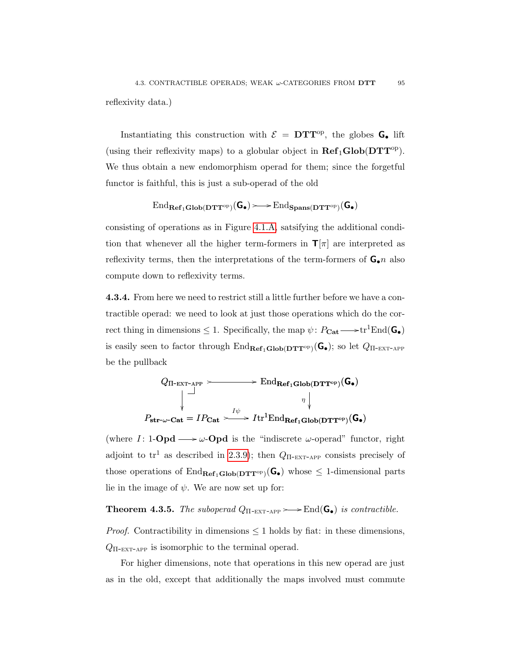reflexivity data.)

Instantiating this construction with  $\mathcal{E} = DTT^{op}$ , the globes G. lift (using their reflexivity maps) to a globular object in  $\mathbf{Ref}_1\mathbf{Glob}(\mathbf{DTT}^{\mathrm{op}})$ . We thus obtain a new endomorphism operad for them; since the forgetful functor is faithful, this is just a sub-operad of the old

$$
\mathrm{End}_{\mathbf{Ref}_1\mathbf{Glob}(\mathbf{DTT}^{\mathrm{op}})}(G_\bullet)\!>\!\!-\!\!>\mathrm{End}_{\mathbf{Spans}(\mathbf{DTT}^{\mathrm{op}})}(G_\bullet)
$$

consisting of operations as in Figure [4.1.A,](#page-77-0) satsifying the additional condition that whenever all the higher term-formers in  $\mathbf{T}[\pi]$  are interpreted as reflexivity terms, then the interpretations of the term-formers of  $\mathbf{G}_{\bullet}n$  also compute down to reflexivity terms.

4.3.4. From here we need to restrict still a little further before we have a contractible operad: we need to look at just those operations which do the correct thing in dimensions  $\leq 1$ . Specifically, the map  $\psi \colon P_{\mathbf{Cat}} \longrightarrow \mathrm{tr}^1\mathrm{End}(\mathbf{G}_{\bullet})$ is easily seen to factor through  $\text{End}_{\textbf{Ref}_1\textbf{Glob}(\textbf{DTT}^{\text{op}})}(\textbf{G}_{\bullet})$ ; so let  $Q_{\Pi-\text{EXT-APP}}$ be the pullback

$$
Q_{\Pi-\text{EXT-APP}} \longrightarrow \text{End}_{\text{Ref}_1\text{Glob}(\text{DTT}^{\text{op}})}(\textbf{G}_{\bullet})
$$
\n
$$
\downarrow \qquad \qquad \eta \downarrow
$$
\n
$$
P_{\text{str-}\omega-\text{Cat}} = IP_{\text{Cat}} \longrightarrow I \text{tr}^{1}\text{End}_{\text{Ref}_1\text{Glob}(\text{DTT}^{\text{op}})}(\textbf{G}_{\bullet})
$$

(where  $I: 1$ -**Opd**  $\longrightarrow \omega$ -**Opd** is the "indiscrete  $\omega$ -operad" functor, right adjoint to tr<sup>1</sup> as described in [2.3.9\)](#page-50-0); then  $Q_{\text{II-EXT-APP}}$  consists precisely of those operations of  $\text{End}_{\text{Ref}_1\text{Glob}(\text{DTT}^{\text{op}})}(\text{G}_{\bullet})$  whose  $\leq$  1-dimensional parts lie in the image of  $\psi$ . We are now set up for:

<span id="page-102-0"></span>**Theorem 4.3.5.** The suboperad  $Q_{\Pi\text{-EXT-APP}} \rightarrow \text{End}(\mathbf{G}_{\bullet})$  is contractible.

*Proof.* Contractibility in dimensions  $\leq 1$  holds by fiat: in these dimensions,  $Q_{\Pi$ -EXT-APP is isomorphic to the terminal operad.

For higher dimensions, note that operations in this new operad are just as in the old, except that additionally the maps involved must commute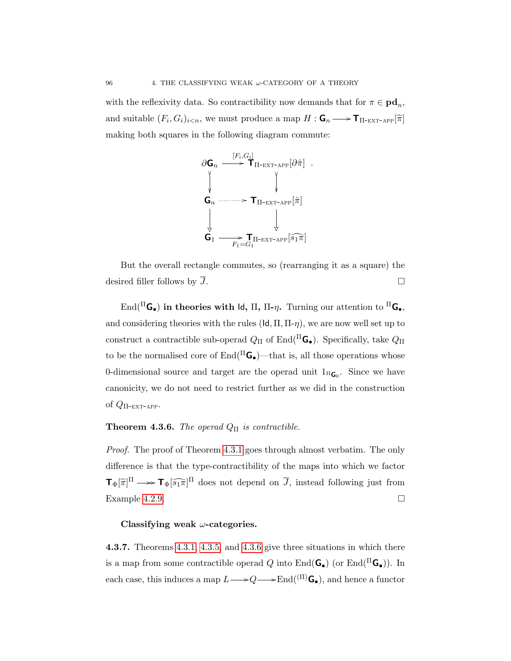with the reflexivity data. So contractibility now demands that for  $\pi \in \mathbf{pd}_n$ , and suitable  $(F_i, G_i)_{i \le n}$ , we must produce a map  $H : \mathbf{G}_n \longrightarrow \mathbf{T}_{\Pi\text{-EXT-APP}}[\hat{\pi}]$ making both squares in the following diagram commute:



But the overall rectangle commutes, so (rearranging it as a square) the desired filler follows by  $\overline{J}$ .

End( ${}^{\Pi}$ G<sub>•</sub>) in theories with Id,  $\Pi$ ,  $\Pi$ - $\eta$ . Turning our attention to  ${}^{\Pi}$ G<sub>•</sub>, and considering theories with the rules  $(\mathsf{Id}, \Pi, \Pi - \eta)$ , we are now well set up to construct a contractible sub-operad  $Q_{\Pi}$  of End( ${}^{\Pi}$ G<sub>•</sub>). Specifically, take  $Q_{\Pi}$ to be the normalised core of  $\mathrm{End}(\Pi\mathsf{G}_\bullet)$  —that is, all those operations whose 0-dimensional source and target are the operad unit  $1_{\Pi_{\mathbf{G}_0}}$ . Since we have canonicity, we do not need to restrict further as we did in the construction of  $Q_{\Pi$ -EXT-APP.

## <span id="page-103-0"></span>**Theorem 4.3.6.** The operad  $Q_{\Pi}$  is contractible.

Proof. The proof of Theorem [4.3.1](#page-98-1) goes through almost verbatim. The only difference is that the type-contractibility of the maps into which we factor  $\mathbf{T}_{\Phi}[\widehat{\pi}]^{\Pi} \longrightarrow \mathbf{T}_{\Phi}[\widehat{s_1\pi}]^{\Pi}$  does not depend on  $\overline{J}$ , instead following just from Example [4.2.9.](#page-87-0)  $\Box$ 

### Classifying weak  $\omega$ -categories.

4.3.7. Theorems [4.3.1,](#page-98-1) [4.3.5,](#page-102-0) and [4.3.6](#page-103-0) give three situations in which there is a map from some contractible operad Q into  $\text{End}(\mathbf{G}_{\bullet})$  (or  $\text{End}(\Pi \mathbf{G}_{\bullet})$ ). In each case, this induces a map  $L \longrightarrow Q \longrightarrow \text{End}(\binom{\Pi}{\mathbf{G}_{\bullet}})$ , and hence a functor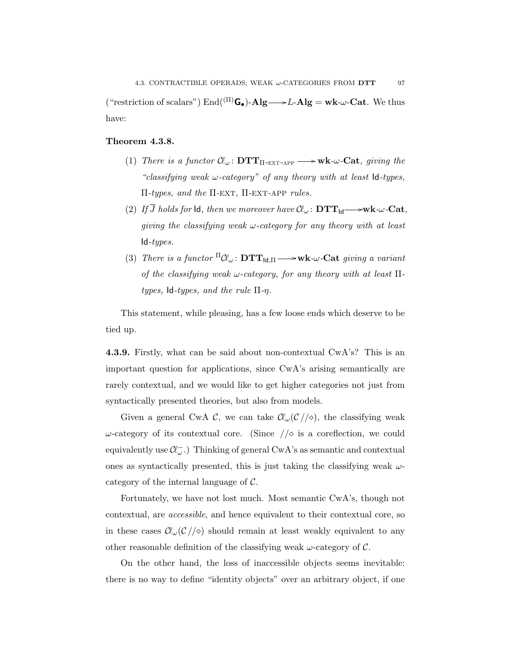("restriction of scalars")  $\text{End}(\text{^{(II)}G}_{\bullet})$ -Alg —>L-Alg = wk- $\omega$ -Cat. We thus have:

### Theorem 4.3.8.

- (1) There is a functor  $\mathcal{C}\!\ell_{\omega}$ :  $\mathbf{DTT}_{\Pi\text{-EXT-APP}} \longrightarrow \mathbf{wk}\text{-}\omega\text{-}\mathbf{Cat}$ , giving the "classifying weak  $\omega$ -category" of any theory with at least  $Id$ -types, Π-types, and the  $\Pi$ -EXT,  $\Pi$ -EXT-APP rules.
- (2) If J holds for Id, then we moreover have C`<sup>ω</sup> : DTTId /wk-ω-Cat, giving the classifying weak  $\omega$ -category for any theory with at least  $Id-types.$
- (3) There is a functor  ${}^{\Pi} \mathcal{C} \omega$ :  $\mathbf{DTT}_{\mathsf{Id},\Pi} \longrightarrow \mathbf{wk} \cdot \omega \cdot \mathbf{Cat}$  giving a variant of the classifying weak  $\omega$ -category, for any theory with at least  $\Pi$ types, Id-types, and the rule  $\Pi$ -η.

This statement, while pleasing, has a few loose ends which deserve to be tied up.

4.3.9. Firstly, what can be said about non-contextual CwA's? This is an important question for applications, since CwA's arising semantically are rarely contextual, and we would like to get higher categories not just from syntactically presented theories, but also from models.

Given a general CwA C, we can take  $\mathcal{C}\mathcal{L}_{\omega}(\mathcal{C}/\sqrt{2})$ , the classifying weak  $ω$ -category of its contextual core. (Since  $//\diamond$  is a coreflection, we could equivalently use  $\mathcal{C}\!(\omega)$ . Thinking of general CwA's as semantic and contextual ones as syntactically presented, this is just taking the classifying weak  $\omega$ category of the internal language of  $\mathcal{C}$ .

Fortunately, we have not lost much. Most semantic CwA's, though not contextual, are accessible, and hence equivalent to their contextual core, so in these cases  $\mathcal{C}\mathcal{C}\mathcal{C}/\langle\circ\rangle$  should remain at least weakly equivalent to any other reasonable definition of the classifying weak  $\omega$ -category of  $\mathcal{C}$ .

On the other hand, the loss of inaccessible objects seems inevitable: there is no way to define "identity objects" over an arbitrary object, if one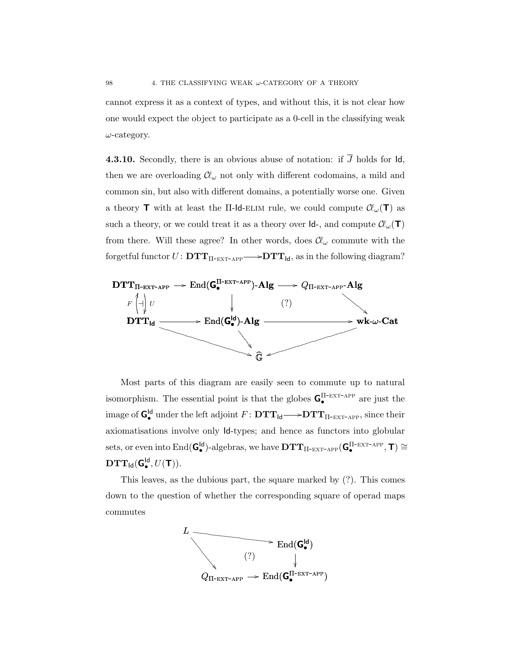cannot express it as a context of types, and without this, it is not clear how one would expect the object to participate as a 0-cell in the classifying weak  $\omega$ -category.

**4.3.10.** Secondly, there is an obvious abuse of notation: if  $\overline{J}$  holds for  $\overline{d}$ , then we are overloading  $\mathcal{C}_{\omega}$  not only with different codomains, a mild and common sin, but also with different domains, a potentially worse one. Given a theory **T** with at least the II-Id-ELIM rule, we could compute  $\mathcal{C}\mathcal{L}(\mathbf{T})$  as such a theory, or we could treat it as a theory over  $\mathsf{Id}$ -, and compute  $\mathcal{C}\mathcal{L}_{\omega}(\mathsf{T})$ from there. Will these agree? In other words, does  $\mathcal{C}_{\omega}$  commute with the forgetful functor  $U \colon \mathbf{DTT}_{\Pi-\text{EXT-APP}} \longrightarrow \mathbf{DTT}_{\mathsf{Id}},$  as in the following diagram?



Most parts of this diagram are easily seen to commute up to natural isomorphism. The essential point is that the globes  $G_{\bullet}^{\Pi-\textsc{ext-app}}$  are just the image of  $G_{\bullet}^{Id}$  under the left adjoint  $F \colon \mathbf{DTT}_{Id} \longrightarrow \mathbf{DTT}_{\Pi-\text{EXT-APP}}$ , since their axiomatisations involve only Id-types; and hence as functors into globular sets, or even into  $\text{End}(\mathbf{G}_{\bullet}^{\text{Id}})$ -algebras, we have  $\mathbf{DTT}_{\Pi\text{-EXT-APP}}(\mathbf{G}_{\bullet}^{\Pi\text{-EXT-APP}}, \mathbf{T}) \cong$  $\mathbf{DTT}_{\mathsf{Id}}(\mathsf{G}_{\bullet}^{\mathsf{Id}}, U(\mathsf{T})).$ 

This leaves, as the dubious part, the square marked by (?). This comes down to the question of whether the corresponding square of operad maps commutes

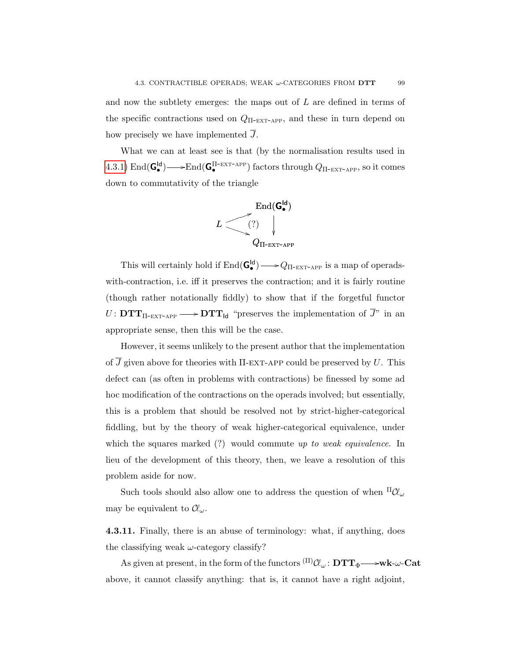and now the subtlety emerges: the maps out of  $L$  are defined in terms of the specific contractions used on  $Q_{\text{II-EXT-APP}}$ , and these in turn depend on how precisely we have implemented  $\overline{J}$ .

What we can at least see is that (by the normalisation results used in  $(4.3.1)$  $(4.3.1)$   $\text{End}(\mathbf{G}_{\bullet}^{\text{Id}}) \longrightarrow \text{End}(\mathbf{G}_{\bullet}^{\text{II-EXT-APP}})$  factors through  $Q_{\Pi\text{-EXT-APP}}$ , so it comes down to commutativity of the triangle



This will certainly hold if  $\text{End}(\mathbf{G}_{\bullet}^{\text{Id}}) \longrightarrow Q_{\Pi-\text{EXT}-\text{APP}}$  is a map of operadswith-contraction, i.e. iff it preserves the contraction; and it is fairly routine (though rather notationally fiddly) to show that if the forgetful functor  $U: \mathbf{DTT}_{\Pi\text{-EXT-APP}} \longrightarrow \mathbf{DTT}_{\mathsf{Id}}$  "preserves the implementation of J" in an appropriate sense, then this will be the case.

However, it seems unlikely to the present author that the implementation of  $\overline{J}$  given above for theories with  $\Pi$ -EXT-APP could be preserved by U. This defect can (as often in problems with contractions) be finessed by some ad hoc modification of the contractions on the operads involved; but essentially, this is a problem that should be resolved not by strict-higher-categorical fiddling, but by the theory of weak higher-categorical equivalence, under which the squares marked  $(?)$  would commute up to weak equivalence. In lieu of the development of this theory, then, we leave a resolution of this problem aside for now.

Such tools should also allow one to address the question of when  $\Pi \mathcal{U}_{\omega}$ may be equivalent to  $\mathcal{C}\!\ell_{\omega}$ .

4.3.11. Finally, there is an abuse of terminology: what, if anything, does the classifying weak  $\omega$ -category classify?

As given at present, in the form of the functors  ${}^{(\Pi)}\mathcal{C}\!\ell_\omega\colon\mathbf{DTT_\Phi}{\longrightarrow}\mathbf{wk}\text{-}\omega\text{-}\mathbf{Cat}$ above, it cannot classify anything: that is, it cannot have a right adjoint,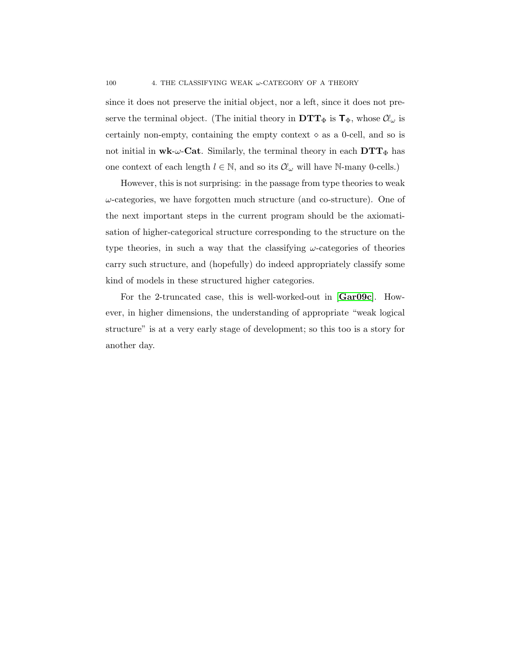since it does not preserve the initial object, nor a left, since it does not preserve the terminal object. (The initial theory in  $DTT_{\Phi}$  is  $\mathbf{T}_{\Phi}$ , whose  $\mathcal{C}\!\ell_{\omega}$  is certainly non-empty, containing the empty context  $\diamond$  as a 0-cell, and so is not initial in  $w\mathbf{k}\text{-}\omega\text{-}\mathbf{Cat}$ . Similarly, the terminal theory in each  $\mathbf{DTT}_{\Phi}$  has one context of each length  $l \in \mathbb{N}$ , and so its  $\mathcal{C}_{\omega}$  will have N-many 0-cells.)

However, this is not surprising: in the passage from type theories to weak  $\omega$ -categories, we have forgotten much structure (and co-structure). One of the next important steps in the current program should be the axiomatisation of higher-categorical structure corresponding to the structure on the type theories, in such a way that the classifying  $\omega$ -categories of theories carry such structure, and (hopefully) do indeed appropriately classify some kind of models in these structured higher categories.

For the 2-truncated case, this is well-worked-out in [[Gar09c](#page-109-4)]. However, in higher dimensions, the understanding of appropriate "weak logical structure" is at a very early stage of development; so this too is a story for another day.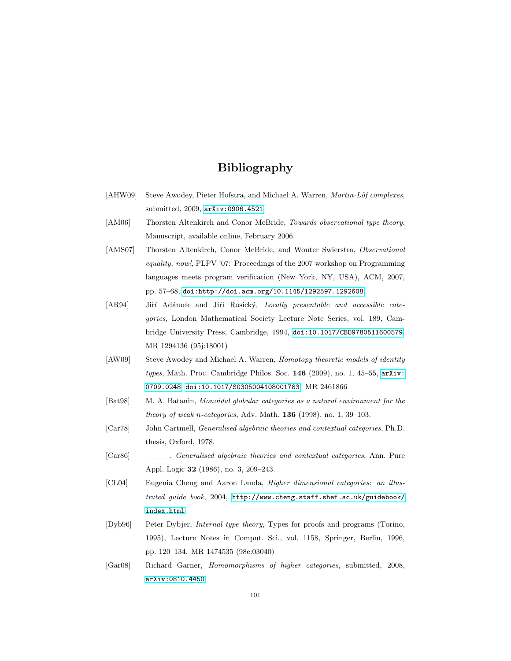## Bibliography

- [AHW09] Steve Awodey, Pieter Hofstra, and Michael A. Warren, *Martin-Löf complexes*, submitted, 2009, [arXiv:0906.4521](http://arxiv.org/abs/0906.4521).
- [AM06] Thorsten Altenkirch and Conor McBride, *Towards observational type theory*, Manuscript, available online, February 2006.
- [AMS07] Thorsten Altenkirch, Conor McBride, and Wouter Swierstra, Observational equality, now!, PLPV '07: Proceedings of the 2007 workshop on Programming languages meets program verification (New York, NY, USA), ACM, 2007, pp. 57–68, [doi:http://doi.acm.org/10.1145/1292597.1292608](http://dx.doi.org/http://doi.acm.org/10.1145/1292597.1292608).
- [AR94] Jiří Adámek and Jiří Rosický, Locally presentable and accessible categories, London Mathematical Society Lecture Note Series, vol. 189, Cambridge University Press, Cambridge, 1994, [doi:10.1017/CBO9780511600579](http://dx.doi.org/10.1017/CBO9780511600579). MR 1294136 (95j:18001)
- [AW09] Steve Awodey and Michael A. Warren, Homotopy theoretic models of identity types, Math. Proc. Cambridge Philos. Soc.  $146$  (2009), no. 1, 45–55, [arXiv:](http://arxiv.org/abs/0709.0248) [0709.0248](http://arxiv.org/abs/0709.0248), [doi:10.1017/S0305004108001783](http://dx.doi.org/10.1017/S0305004108001783). MR 2461866
- [Bat98] M. A. Batanin, Monoidal globular categories as a natural environment for the theory of weak n-categories, Adv. Math.  $136$  (1998), no. 1, 39–103.
- [Car78] John Cartmell, Generalised algebraic theories and contextual categories, Ph.D. thesis, Oxford, 1978.
- [Car86] , Generalised algebraic theories and contextual categories, Ann. Pure Appl. Logic 32 (1986), no. 3, 209–243.
- [CL04] Eugenia Cheng and Aaron Lauda, Higher dimensional categories: an illustrated guide book, 2004, [http://www.cheng.staff.shef.ac.uk/guidebook/](http://www.cheng.staff.shef.ac.uk/guidebook/index.html) [index.html](http://www.cheng.staff.shef.ac.uk/guidebook/index.html).
- [Dyb96] Peter Dybjer, Internal type theory, Types for proofs and programs (Torino, 1995), Lecture Notes in Comput. Sci., vol. 1158, Springer, Berlin, 1996, pp. 120–134. MR 1474535 (98e:03040)
- [Gar08] Richard Garner, Homomorphisms of higher categories, submitted, 2008, [arXiv:0810.4450](http://arxiv.org/abs/0810.4450).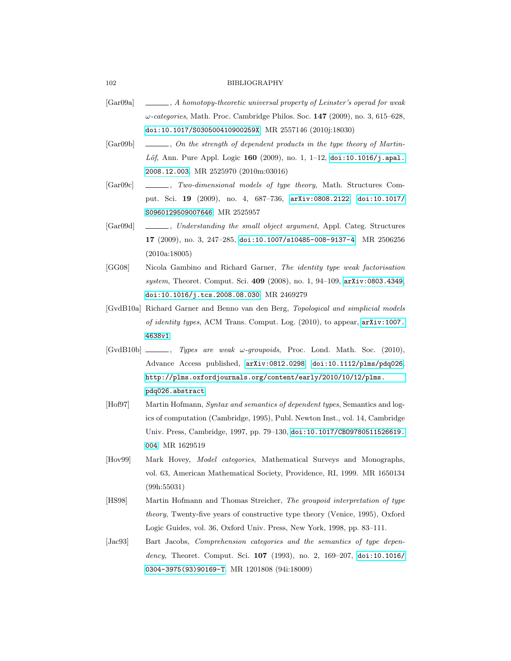## 102 BIBLIOGRAPHY

- [Gar09a] , A homotopy-theoretic universal property of Leinster's operad for weak  $\omega$ -categories, Math. Proc. Cambridge Philos. Soc. 147 (2009), no. 3, 615–628, [doi:10.1017/S030500410900259X](http://dx.doi.org/10.1017/S030500410900259X). MR 2557146 (2010j:18030)
- [Gar09b]  $\Box$ , On the strength of dependent products in the type theory of Martin- $L\ddot{o}f$ , Ann. Pure Appl. Logic 160 (2009), no. 1, 1-12, [doi:10.1016/j.apal.](http://dx.doi.org/10.1016/j.apal.2008.12.003) [2008.12.003](http://dx.doi.org/10.1016/j.apal.2008.12.003). MR 2525970 (2010m:03016)
- [Gar09c] , Two-dimensional models of type theory, Math. Structures Comput. Sci. 19 (2009), no. 4, 687–736, [arXiv:0808.2122](http://arxiv.org/abs/0808.2122), [doi:10.1017/](http://dx.doi.org/10.1017/S0960129509007646) [S0960129509007646](http://dx.doi.org/10.1017/S0960129509007646). MR 2525957
- [Gar09d] , Understanding the small object argument, Appl. Categ. Structures 17 (2009), no. 3, 247–285, [doi:10.1007/s10485-008-9137-4](http://dx.doi.org/10.1007/s10485-008-9137-4). MR 2506256 (2010a:18005)
- [GG08] Nicola Gambino and Richard Garner, The identity type weak factorisation system, Theoret. Comput. Sci. 409 (2008), no. 1, 94–109, [arXiv:0803.4349](http://arxiv.org/abs/0803.4349), [doi:10.1016/j.tcs.2008.08.030](http://dx.doi.org/10.1016/j.tcs.2008.08.030). MR 2469279
- [GvdB10a] Richard Garner and Benno van den Berg, Topological and simplicial models of identity types, ACM Trans. Comput. Log. (2010), to appear, [arXiv:1007.](http://arxiv.org/abs/1007.4638v1) [4638v1](http://arxiv.org/abs/1007.4638v1).
- $[\text{GvdB10b}]$   $\_\_\_\_\_\_\$  fypes are weak  $\omega$ -groupoids, Proc. Lond. Math. Soc. (2010), Advance Access published, [arXiv:0812.0298](http://arxiv.org/abs/0812.0298), [doi:10.1112/plms/pdq026](http://dx.doi.org/10.1112/plms/pdq026), [http://plms.oxfordjournals.org/content/early/2010/10/12/plms.](http://plms.oxfordjournals.org/content/early/2010/10/12/plms.pdq026.abstract) [pdq026.abstract](http://plms.oxfordjournals.org/content/early/2010/10/12/plms.pdq026.abstract).
- [Hof97] Martin Hofmann, Syntax and semantics of dependent types, Semantics and logics of computation (Cambridge, 1995), Publ. Newton Inst., vol. 14, Cambridge Univ. Press, Cambridge, 1997, pp. 79–130, [doi:10.1017/CBO9780511526619.](http://dx.doi.org/10.1017/CBO9780511526619.004) [004](http://dx.doi.org/10.1017/CBO9780511526619.004). MR 1629519
- [Hov99] Mark Hovey, Model categories, Mathematical Surveys and Monographs, vol. 63, American Mathematical Society, Providence, RI, 1999. MR 1650134 (99h:55031)
- [HS98] Martin Hofmann and Thomas Streicher, The groupoid interpretation of type theory, Twenty-five years of constructive type theory (Venice, 1995), Oxford Logic Guides, vol. 36, Oxford Univ. Press, New York, 1998, pp. 83–111.
- [Jac93] Bart Jacobs, *Comprehension categories and the semantics of type depen*dency, Theoret. Comput. Sci. 107 (1993), no. 2, 169-207, [doi:10.1016/](http://dx.doi.org/10.1016/0304-3975(93)90169-T) [0304-3975\(93\)90169-T](http://dx.doi.org/10.1016/0304-3975(93)90169-T). MR 1201808 (94i:18009)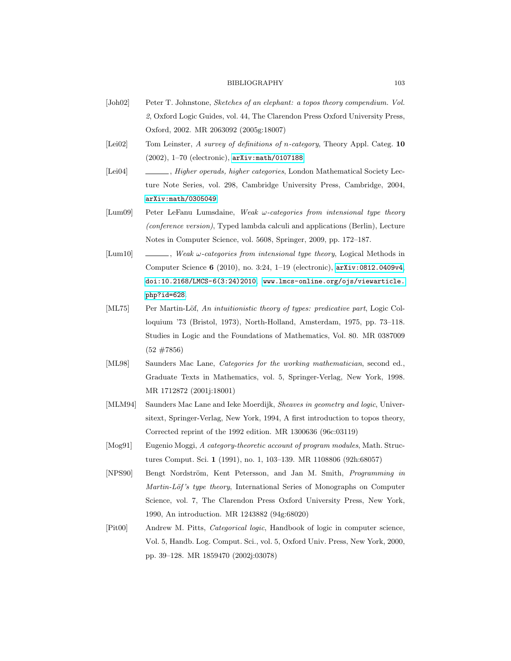## BIBLIOGRAPHY 103

- [Joh02] Peter T. Johnstone, Sketches of an elephant: a topos theory compendium. Vol. 2, Oxford Logic Guides, vol. 44, The Clarendon Press Oxford University Press, Oxford, 2002. MR 2063092 (2005g:18007)
- [Lei02] Tom Leinster, A survey of definitions of n-category, Theory Appl. Categ. 10 (2002), 1–70 (electronic), [arXiv:math/0107188](http://arxiv.org/abs/math/0107188).
- [Lei04] , Higher operads, higher categories, London Mathematical Society Lecture Note Series, vol. 298, Cambridge University Press, Cambridge, 2004, [arXiv:math/0305049](http://arxiv.org/abs/math/0305049).
- [Lum09] Peter LeFanu Lumsdaine, Weak  $\omega$ -categories from intensional type theory (conference version), Typed lambda calculi and applications (Berlin), Lecture Notes in Computer Science, vol. 5608, Springer, 2009, pp. 172–187.
- $[Lum10] \quad \underline{\hspace{2cm}}$ , Weak  $\omega$ -categories from intensional type theory, Logical Methods in Computer Science 6 (2010), no. 3:24, 1–19 (electronic), [arXiv:0812.0409v4](http://arxiv.org/abs/0812.0409v4), [doi:10.2168/LMCS-6\(3:24\)2010](http://dx.doi.org/10.2168/LMCS-6(3:24)2010), [www.lmcs-online.org/ojs/viewarticle.](www.lmcs-online.org/ojs/viewarticle.php?id=628) [php?id=628](www.lmcs-online.org/ojs/viewarticle.php?id=628).
- [ML75] Per Martin-Löf, An intuitionistic theory of types: predicative part, Logic Colloquium '73 (Bristol, 1973), North-Holland, Amsterdam, 1975, pp. 73–118. Studies in Logic and the Foundations of Mathematics, Vol. 80. MR 0387009  $(52 \; #7856)$
- [ML98] Saunders Mac Lane, Categories for the working mathematician, second ed., Graduate Texts in Mathematics, vol. 5, Springer-Verlag, New York, 1998. MR 1712872 (2001j:18001)
- [MLM94] Saunders Mac Lane and Ieke Moerdijk, Sheaves in geometry and logic, Universitext, Springer-Verlag, New York, 1994, A first introduction to topos theory, Corrected reprint of the 1992 edition. MR 1300636 (96c:03119)
- [Mog91] Eugenio Moggi, A category-theoretic account of program modules, Math. Structures Comput. Sci. 1 (1991), no. 1, 103–139. MR 1108806 (92h:68057)
- [NPS90] Bengt Nordström, Kent Petersson, and Jan M. Smith, *Programming in* Martin-Löf's type theory, International Series of Monographs on Computer Science, vol. 7, The Clarendon Press Oxford University Press, New York, 1990, An introduction. MR 1243882 (94g:68020)
- [Pit00] Andrew M. Pitts, Categorical logic, Handbook of logic in computer science, Vol. 5, Handb. Log. Comput. Sci., vol. 5, Oxford Univ. Press, New York, 2000, pp. 39–128. MR 1859470 (2002j:03078)